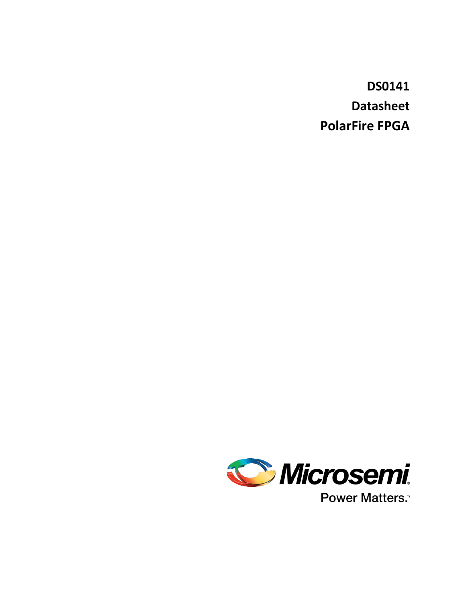**DS0141 Datasheet PolarFire FPGA**

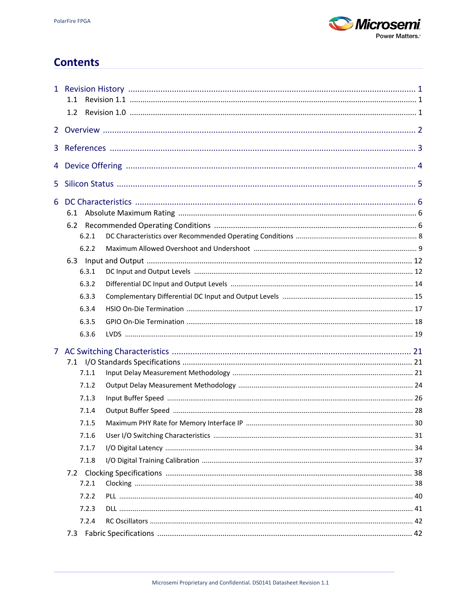

# **Contents**

|    | 1.1   |  |
|----|-------|--|
|    | 1.2   |  |
|    |       |  |
|    |       |  |
|    |       |  |
| 5. |       |  |
|    | 6.1   |  |
|    | 6.2   |  |
|    | 6.2.1 |  |
|    | 6.2.2 |  |
|    |       |  |
|    | 6.3.1 |  |
|    | 6.3.2 |  |
|    | 6.3.3 |  |
|    | 6.3.4 |  |
|    | 6.3.5 |  |
|    | 6.3.6 |  |
|    |       |  |
|    |       |  |
|    | 7.1.1 |  |
|    | 7.1.2 |  |
|    | 7.1.3 |  |
|    | 7.1.4 |  |
|    | 7.1.5 |  |
|    | 7.1.6 |  |
|    | 7.1.7 |  |
|    | 7.1.8 |  |
|    |       |  |
|    | 7.2.1 |  |
|    | 7.2.2 |  |
|    | 7.2.3 |  |
|    | 7.2.4 |  |
|    | 7.3   |  |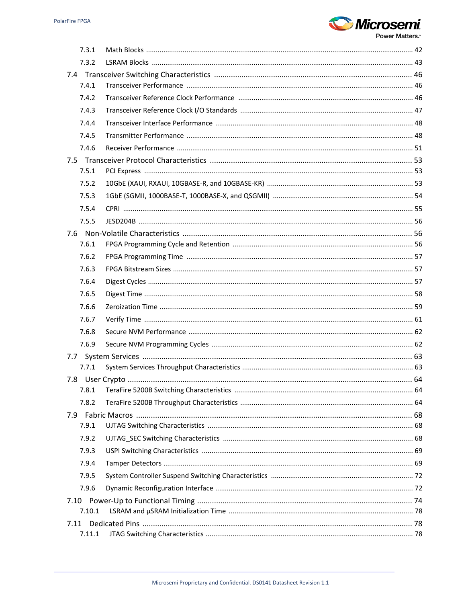

| 7.3.1          |  |
|----------------|--|
| 7.3.2          |  |
|                |  |
| 7.4.1          |  |
| 7.4.2          |  |
| 7.4.3          |  |
| 7.4.4          |  |
| 7.4.5          |  |
| 7.4.6          |  |
|                |  |
| 7.5.1          |  |
| 7.5.2          |  |
| 7.5.3          |  |
| 7.5.4          |  |
| 7.5.5          |  |
|                |  |
| 7.6.1          |  |
| 7.6.2          |  |
| 7.6.3          |  |
| 7.6.4          |  |
| 7.6.5          |  |
| 7.6.6          |  |
| 7.6.7          |  |
| 7.6.8          |  |
| 7.6.9          |  |
| 7.7            |  |
| 7.7.1          |  |
|                |  |
| 7.8.1          |  |
| 7.8.2          |  |
|                |  |
| 7.9.1          |  |
| 7.9.2          |  |
| 7.9.3          |  |
| 7.9.4          |  |
| 7.9.5          |  |
| 7.9.6          |  |
| 7.10           |  |
| 7.10.1         |  |
| 7.11<br>7.11.1 |  |
|                |  |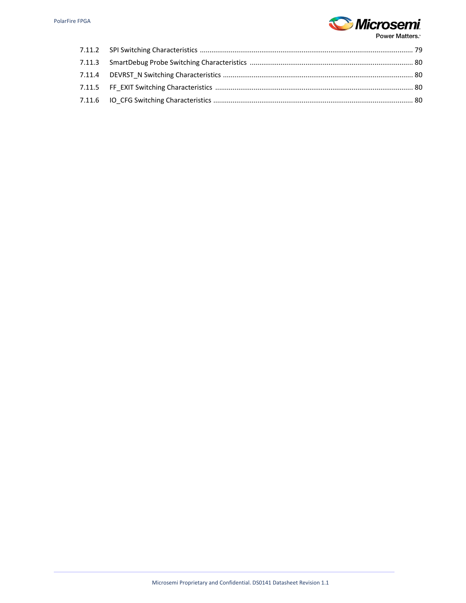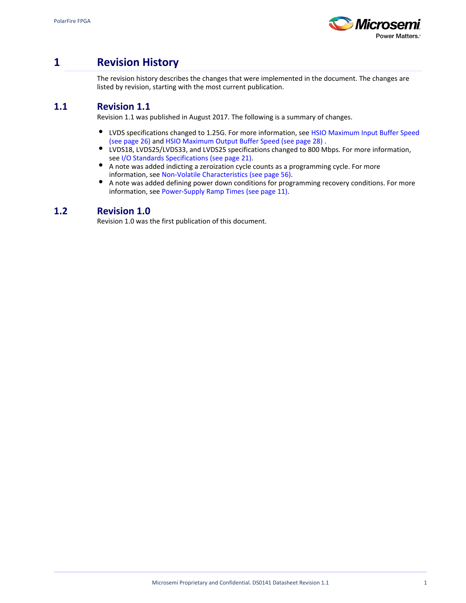

# <span id="page-4-0"></span>**1 Revision History**

The revision history describes the changes that were implemented in the document. The changes are listed by revision, starting with the most current publication.

## <span id="page-4-1"></span>**1.1 Revision 1.1**

Revision 1.1 was published in August 2017. The following is a summary of changes.

- $\bullet$ LVDS specifications changed to 1.25G. For more information, see [HSIO Maximum Input Buffer Speed](#page-29-1) [\(see page 26\)](#page-29-1) and [HSIO Maximum Output Buffer Speed \(see page 28\)](#page-31-1) .
- $\bullet$ LVDS18, LVDS25/LVDS33, and LVDS25 specifications changed to 800 Mbps. For more information, see [I/O Standards Specifications \(see page 21\)](#page-24-1).
- $\bullet$ A note was added indicting a zeroization cycle counts as a programming cycle. For more information, see [Non-Volatile Characteristics \(see page 56\)](#page-59-1).
- $\bullet$ A note was added defining power down conditions for programming recovery conditions. For more information, see [Power-Supply Ramp Times \(see page 11\).](#page-14-0)

## <span id="page-4-2"></span>**1.2 Revision 1.0**

Revision 1.0 was the first publication of this document.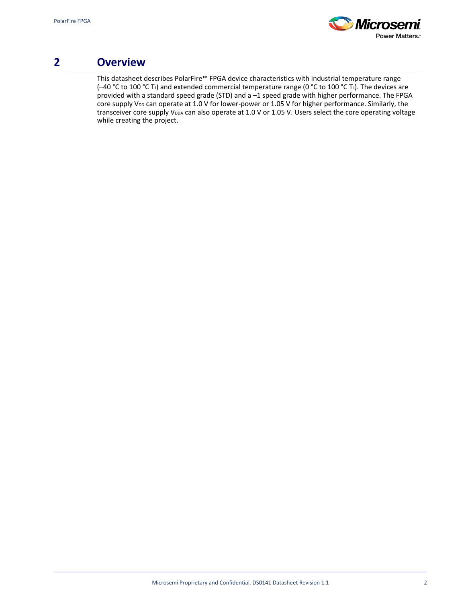

# <span id="page-5-0"></span>**2 Overview**

This datasheet describes PolarFire™ FPGA device characteristics with industrial temperature range (-40 °C to 100 °C T<sub>J</sub>) and extended commercial temperature range (0 °C to 100 °C T<sub>J</sub>). The devices are provided with a standard speed grade (STD) and a –1 speed grade with higher performance. The FPGA core supply V<sub>DD</sub> can operate at 1.0 V for lower-power or 1.05 V for higher performance. Similarly, the transceiver core supply V<sub>DDA</sub> can also operate at 1.0 V or 1.05 V. Users select the core operating voltage while creating the project.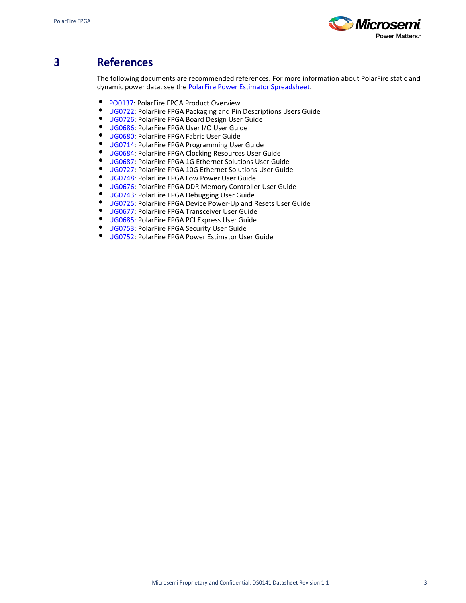

# <span id="page-6-0"></span>**3 References**

The following documents are recommended references. For more information about PolarFire static and dynamic power data, see the [PolarFire Power Estimator Spreadsheet](http://www.microsemi.com/index.php?option=com_docman&task=doc_download&gid=136554).

- $\bullet$ [PO0137:](http://www.microsemi.com/index.php?option=com_docman&task=doc_download&gid=136518) PolarFire FPGA Product Overview
- $\bullet$ [UG0722](http://www.microsemi.com/index.php?option=com_docman&task=doc_download&gid=136521): PolarFire FPGA Packaging and Pin Descriptions Users Guide
- $\bullet$ [UG0726](http://www.microsemi.com/index.php?option=com_docman&task=doc_download&gid=136520): PolarFire FPGA Board Design User Guide
- $\bullet$ [UG0686](http://www.microsemi.com/index.php?option=com_docman&task=doc_download&gid=136535): PolarFire FPGA User I/O User Guide
- $\bullet$ [UG0680](http://www.microsemi.com/index.php?option=com_docman&task=doc_download&gid=136522): PolarFire FPGA Fabric User Guide
- $\bullet$ [UG0714](http://www.microsemi.com/index.php?option=com_docman&task=doc_download&gid=136523): PolarFire FPGA Programming User Guide
- $\bullet$ [UG0684](http://www.microsemi.com/index.php?option=com_docman&task=doc_download&gid=136524): PolarFire FPGA Clocking Resources User Guide
- $\bullet$ [UG0687](http://www.microsemi.com/index.php?option=com_docman&task=doc_download&gid=136525): PolarFire FPGA 1G Ethernet Solutions User Guide
- $\bullet$ [UG0727](http://www.microsemi.com/index.php?option=com_docman&task=doc_download&gid=136526): PolarFire FPGA 10G Ethernet Solutions User Guide
- $\bullet$ [UG0748](http://www.microsemi.com/index.php?option=com_docman&task=doc_download&gid=136527): PolarFire FPGA Low Power User Guide
- [UG0676](http://www.microsemi.com/index.php?option=com_docman&task=doc_download&gid=136528): PolarFire FPGA DDR Memory Controller User Guide
- [UG0743](http://www.microsemi.com/index.php?option=com_docman&task=doc_download&gid=136529): PolarFire FPGA Debugging User Guide
- [UG0725](http://www.microsemi.com/index.php?option=com_docman&task=doc_download&gid=136530): PolarFire FPGA Device Power-Up and Resets User Guide
- **[UG0677](http://www.microsemi.com/index.php?option=com_docman&task=doc_download&gid=136531): PolarFire FPGA Transceiver User Guide**
- **[UG0685](http://www.microsemi.com/index.php?option=com_docman&task=doc_download&gid=136532): PolarFire FPGA PCI Express User Guide**
- [UG0753](https://www.microsemi.com/document-portal/doc_download/136534-ug0753-polarfire-fpga-security-user-guide): PolarFire FPGA Security User Guide
- [UG0752](http://www.microsemi.com/index.php?option=com_docman&task=doc_download&gid=136536): PolarFire FPGA Power Estimator User Guide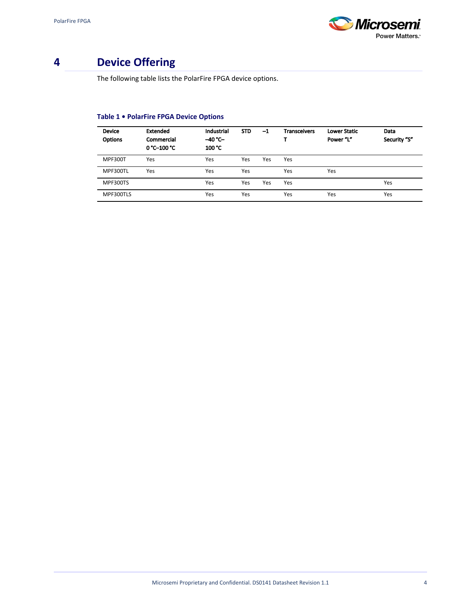

# <span id="page-7-0"></span>**4 Device Offering**

The following table lists the PolarFire FPGA device options.

## **Table 1 • PolarFire FPGA Device Options**

| <b>Device</b><br><b>Options</b> | <b>Extended</b><br>Commercial<br>0 °C-100 °C | Industrial<br>$-40 °C -$<br>100 °C | <b>STD</b> | -1  | <b>Transceivers</b> | <b>Lower Static</b><br>Power "L" | Data<br>Security "S" |
|---------------------------------|----------------------------------------------|------------------------------------|------------|-----|---------------------|----------------------------------|----------------------|
| <b>MPF300T</b>                  | Yes                                          | Yes                                | Yes        | Yes | Yes                 |                                  |                      |
| MPF300TL                        | Yes                                          | Yes                                | Yes        |     | Yes                 | Yes                              |                      |
| MPF300TS                        |                                              | Yes                                | Yes        | Yes | Yes                 |                                  | Yes                  |
| MPF300TLS                       |                                              | Yes                                | Yes        |     | Yes                 | Yes                              | Yes                  |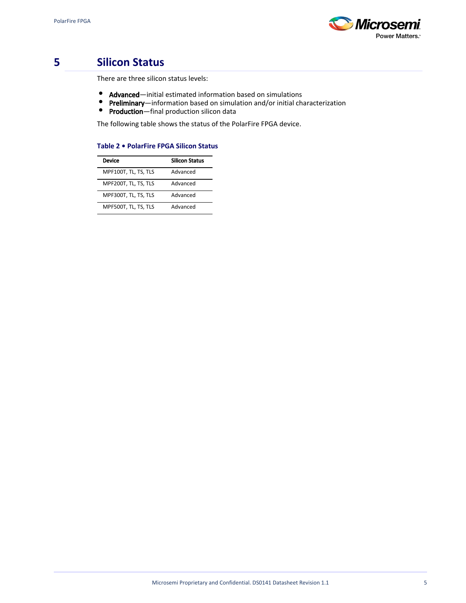

# <span id="page-8-0"></span>**5 Silicon Status**

There are three silicon status levels:

- $\bullet$ Advanced—initial estimated information based on simulations
- $\bullet$ Preliminary—information based on simulation and/or initial characterization
- $\bullet$ Production-final production silicon data

The following table shows the status of the PolarFire FPGA device.

#### **Table 2 • PolarFire FPGA Silicon Status**

| Device               | <b>Silicon Status</b> |
|----------------------|-----------------------|
| MPF100T, TL, TS, TLS | Advanced              |
| MPF200T, TL, TS, TLS | Advanced              |
| MPF300T, TL, TS, TLS | Advanced              |
| MPF500T, TL, TS, TLS | Advanced              |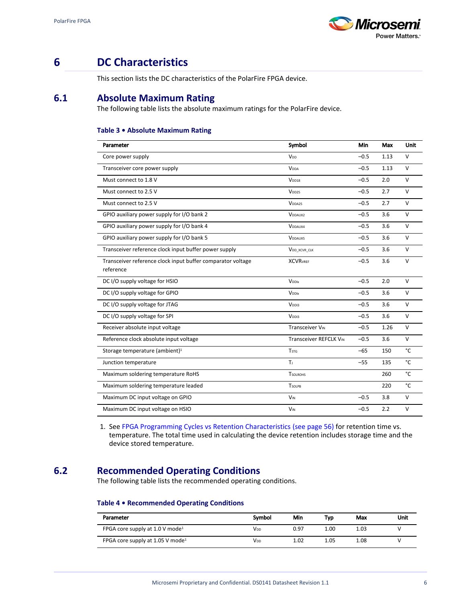

# <span id="page-9-0"></span>**6 DC Characteristics**

This section lists the DC characteristics of the PolarFire FPGA device.

## <span id="page-9-1"></span>**6.1 Absolute Maximum Rating**

The following table lists the absolute maximum ratings for the PolarFire device.

#### **Table 3 • Absolute Maximum Rating**

| <b>Parameter</b>                                                         | Symbol                   | <b>Min</b> | Max  | <b>Unit</b> |
|--------------------------------------------------------------------------|--------------------------|------------|------|-------------|
| Core power supply                                                        | V <sub>DD</sub>          | $-0.5$     | 1.13 | $\vee$      |
| Transceiver core power supply                                            | <b>V</b> <sub>DDA</sub>  | $-0.5$     | 1.13 | $\vee$      |
| Must connect to 1.8 V                                                    | V <sub>DD18</sub>        | $-0.5$     | 2.0  | v           |
| Must connect to 2.5 V                                                    | V <sub>DD25</sub>        | $-0.5$     | 2.7  | $\vee$      |
| Must connect to 2.5 V                                                    | V <sub>DDA25</sub>       | $-0.5$     | 2.7  | $\vee$      |
| GPIO auxiliary power supply for I/O bank 2                               | <b>VDDAUX2</b>           | $-0.5$     | 3.6  | $\vee$      |
| GPIO auxiliary power supply for I/O bank 4                               | V <sub>DDAUX4</sub>      | $-0.5$     | 3.6  | $\vee$      |
| GPIO auxiliary power supply for I/O bank 5                               | <b>VDDAUX5</b>           | $-0.5$     | 3.6  | $\vee$      |
| Transceiver reference clock input buffer power supply                    | V <sub>DD_XCVR_CLK</sub> | $-0.5$     | 3.6  | $\vee$      |
| Transceiver reference clock input buffer comparator voltage<br>reference | <b>XCVR</b> VREF         | $-0.5$     | 3.6  | $\vee$      |
| DC I/O supply voltage for HSIO                                           | <b>V</b> <sub>DDIX</sub> | $-0.5$     | 2.0  | $\vee$      |
| DC I/O supply voltage for GPIO                                           | <b>V</b> <sub>DDIX</sub> | $-0.5$     | 3.6  | $\vee$      |
| DC I/O supply voltage for JTAG                                           | V <sub>DDI3</sub>        | $-0.5$     | 3.6  | $\vee$      |
| DC I/O supply voltage for SPI                                            | V <sub>DDI3</sub>        | $-0.5$     | 3.6  | $\vee$      |
| Receiver absolute input voltage                                          | <b>Transceiver VIN</b>   | $-0.5$     | 1.26 | $\vee$      |
| Reference clock absolute input voltage                                   | Transceiver REFCLK VIN   | $-0.5$     | 3.6  | $\vee$      |
| Storage temperature (ambient) <sup>1</sup>                               | <b>T</b> <sub>STG</sub>  | $-65$      | 150  | °C          |
| Junction temperature                                                     | Tı.                      | $-55$      | 135  | °C          |
| Maximum soldering temperature RoHS                                       | <b>T</b> SOLROHS         |            | 260  | °C          |
| Maximum soldering temperature leaded                                     | <b>TSOLPB</b>            |            | 220  | °C          |
| Maximum DC input voltage on GPIO                                         | <b>V<sub>IN</sub></b>    | $-0.5$     | 3.8  | $\vee$      |
| Maximum DC input voltage on HSIO                                         | <b>V<sub>IN</sub></b>    | $-0.5$     | 2.2  | $\vee$      |

1. See [FPGA Programming Cycles vs Retention Characteristics \(see page 56\)](#page-59-3) for retention time vs. temperature. The total time used in calculating the device retention includes storage time and the device stored temperature.

## <span id="page-9-2"></span>**6.2 Recommended Operating Conditions**

The following table lists the recommended operating conditions.

## **Table 4 • Recommended Operating Conditions**

| Parameter                                     | Symbol | Min  | Typ  | Max  | Unit |
|-----------------------------------------------|--------|------|------|------|------|
| FPGA core supply at $1.0$ V mode <sup>1</sup> | Vdd    | 0.97 | 1.00 | 1.03 |      |
| FPGA core supply at 1.05 V mode <sup>1</sup>  | Vnn    | 1.02 | 1.05 | 1.08 |      |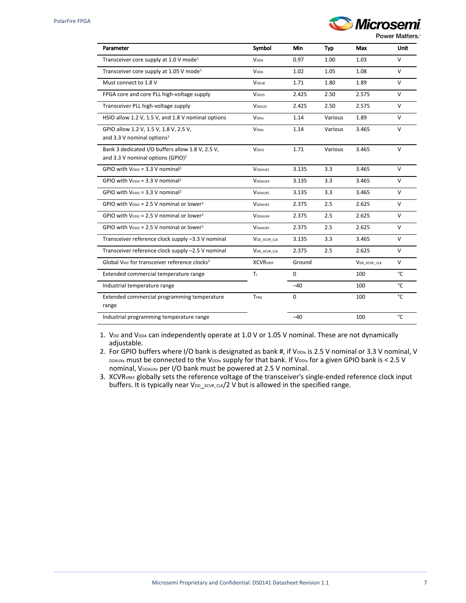

| Parameter                                                                                         | Symbol                   | Min         | Typ     | Max                      | Unit         |
|---------------------------------------------------------------------------------------------------|--------------------------|-------------|---------|--------------------------|--------------|
| Transceiver core supply at 1.0 V mode <sup>1</sup>                                                | <b>V</b> <sub>DDA</sub>  | 0.97        | 1.00    | 1.03                     | $\vee$       |
| Transceiver core supply at 1.05 V mode <sup>1</sup>                                               | <b>V</b> <sub>DDA</sub>  | 1.02        | 1.05    | 1.08                     | $\vee$       |
| Must connect to 1.8 V                                                                             | V <sub>DD18</sub>        | 1.71        | 1.80    | 1.89                     | v            |
| FPGA core and core PLL high-voltage supply                                                        | V <sub>DD25</sub>        | 2.425       | 2.50    | 2.575                    | $\vee$       |
| Transceiver PLL high-voltage supply                                                               | V <sub>DDA25</sub>       | 2.425       | 2.50    | 2.575                    | $\mathsf{V}$ |
| HSIO allow 1.2 V, 1.5 V, and 1.8 V nominal options                                                | <b>VDDIX</b>             | 1.14        | Various | 1.89                     | $\mathsf{V}$ |
| GPIO allow 1.2 V, 1.5 V, 1.8 V, 2.5 V,<br>and 3.3 V nominal options <sup>2</sup>                  | <b>VDDIX</b>             | 1.14        | Various | 3.465                    | $\vee$       |
| Bank 3 dedicated I/O buffers allow 1.8 V, 2.5 V,<br>and 3.3 V nominal options (GPIO) <sup>2</sup> | V <sub>DDI3</sub>        | 1.71        | Various | 3.465                    | $\vee$       |
| GPIO with $V_{DD12} = 3.3$ V nominal <sup>2</sup>                                                 | V <sub>DDAUX2</sub>      | 3.135       | 3.3     | 3.465                    | $\vee$       |
| GPIO with $V_{DD14} = 3.3 V$ nominal <sup>2</sup>                                                 | V <sub>DDAUX4</sub>      | 3.135       | 3.3     | 3.465                    | V            |
| GPIO with $V_{\text{DDIS}} = 3.3 \text{ V}$ nominal <sup>2</sup>                                  | <b>VDDAUX5</b>           | 3.135       | 3.3     | 3.465                    | V            |
| GPIO with $V_{\text{DD12}} = 2.5$ V nominal or lower <sup>2</sup>                                 | V <sub>DDAUX2</sub>      | 2.375       | 2.5     | 2.625                    | $\vee$       |
| GPIO with $V_{\text{DD12}}$ = 2.5 V nominal or lower <sup>2</sup>                                 | V <sub>DDAUX4</sub>      | 2.375       | 2.5     | 2.625                    | $\vee$       |
| GPIO with $V_{DD12}$ = 2.5 V nominal or lower <sup>2</sup>                                        | <b>VDDAUX5</b>           | 2.375       | 2.5     | 2.625                    | $\vee$       |
| Transceiver reference clock supply -3.3 V nominal                                                 | V <sub>DD</sub> XCVR CLK | 3.135       | 3.3     | 3.465                    | V            |
| Transceiver reference clock supply -2.5 V nominal                                                 | V <sub>DD</sub> XCVR CLK | 2.375       | 2.5     | 2.625                    | V            |
| Global VREE for transceiver reference clocks <sup>3</sup>                                         | <b>XCVR</b> VREF         | Ground      |         | V <sub>DD_XCVR_CLK</sub> | V            |
| Extended commercial temperature range                                                             | Tı.                      | $\mathbf 0$ |         | 100                      | °C           |
| Industrial temperature range                                                                      |                          | $-40$       |         | 100                      | °C           |
| Extended commercial programming temperature<br>range                                              | TPRG                     | 0           |         | 100                      | °C           |
| Industrial programming temperature range                                                          |                          | $-40$       |         | 100                      | °C           |

1. V<sub>DD</sub> and V<sub>DDA</sub> can independently operate at 1.0 V or 1.05 V nominal. These are not dynamically adjustable.

2. For GPIO buffers where I/O bank is designated as bank #, if Voolx is 2.5 V nominal or 3.3 V nominal, V DDAUXx must be connected to the VDDIx supply for that bank. If VDDIx for a given GPIO bank is < 2.5 V nominal, VDDAUXx per I/O bank must be powered at 2.5 V nominal.

3. XCVRVREF globally sets the reference voltage of the transceiver's single-ended reference clock input buffers. It is typically near VDD\_XCVR\_CLK/2 V but is allowed in the specified range.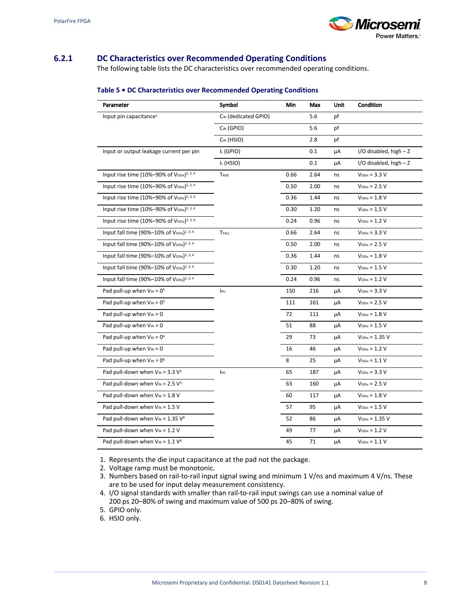

## <span id="page-11-0"></span>**6.2.1 DC Characteristics over Recommended Operating Conditions**

The following table lists the DC characteristics over recommended operating conditions.

| Parameter                                                          | Symbol               | Min  | Max  | Unit | Condition                  |
|--------------------------------------------------------------------|----------------------|------|------|------|----------------------------|
| Input pin capacitance <sup>1</sup>                                 | CIN (dedicated GPIO) |      | 5.6  | pf   |                            |
|                                                                    | CIN (GPIO)           |      | 5.6  | pf   |                            |
|                                                                    | CIN (HSIO)           |      | 2.8  | pf   |                            |
| Input or output leakage current per pin                            | IL (GPIO)            |      | 0.1  | μA   | $I/O$ disabled, high $- Z$ |
|                                                                    | IL (HSIO)            |      | 0.1  | μA   | $I/O$ disabled, high $- Z$ |
| Input rise time (10%-90% of V <sub>DDIx</sub> ) <sup>2, 3, 4</sup> | TRISE                | 0.66 | 2.64 | ns   | $V_{\text{DDIX}} = 3.3 V$  |
| Input rise time (10%-90% of VDDIx) <sup>2, 3, 4</sup>              |                      | 0.50 | 2.00 | ns   | $V_{DDIX} = 2.5 V$         |
| Input rise time (10%-90% of V <sub>DDIx</sub> ) <sup>2, 3, 4</sup> |                      | 0.36 | 1.44 | ns   | $V_{\text{DDIX}} = 1.8 V$  |
| Input rise time (10%-90% of V <sub>DDIx</sub> ) <sup>2, 3, 4</sup> |                      | 0.30 | 1.20 | ns   | $V_{\text{DDIX}} = 1.5 V$  |
| Input rise time (10%-90% of $V_{\text{DDlx}}$ ) <sup>2, 3, 4</sup> |                      | 0.24 | 0.96 | ns   | $V_{\text{DDIX}} = 1.2 V$  |
| Input fall time (90%-10% of V <sub>DDIx</sub> ) <sup>2, 3, 4</sup> | <b>TFALL</b>         | 0.66 | 2.64 | ns   | $V_{\text{DDIX}} = 3.3 V$  |
| Input fall time (90%-10% of V <sub>DDIx</sub> ) <sup>2, 3, 4</sup> |                      | 0.50 | 2.00 | ns   | $V_{\text{DDIX}}$ = 2.5 V  |
| Input fall time (90%-10% of V <sub>DDIx</sub> ) <sup>2, 3, 4</sup> |                      | 0.36 | 1.44 | ns   | $V_{\text{DDIX}} = 1.8 V$  |
| Input fall time (90%-10% of V <sub>DDIx</sub> ) <sup>2, 3, 4</sup> |                      | 0.30 | 1.20 | ns   | $V_{\text{DDIX}} = 1.5 V$  |
| Input fall time (90%–10% of $V_{DD1x}$ ) <sup>2, 3, 4</sup>        |                      | 0.24 | 0.96 | ns   | $V_{\text{DDIX}} = 1.2 V$  |
| Pad pull-up when $V_{IN} = 0^5$                                    | IPU                  | 150  | 216  | μA   | $V_{\text{DDIX}} = 3.3 V$  |
| Pad pull-up when $V_{IN} = 0^5$                                    |                      | 111  | 161  | μA   | $V_{\text{DDIX}}$ = 2.5 V  |
| Pad pull-up when $V_{IN} = 0$                                      |                      | 72   | 111  | μA   | $V_{\text{DDIX}} = 1.8 V$  |
| Pad pull-up when $V_{IN} = 0$                                      |                      | 51   | 88   | μA   | $V_{\text{DDIX}} = 1.5 V$  |
| Pad pull-up when $V_{IN} = 0^6$                                    |                      | 29   | 73   | μA   | $V_{DDIX} = 1.35 V$        |
| Pad pull-up when $V_{IN} = 0$                                      |                      | 16   | 46   | μA   | $V_{\text{DDIX}} = 1.2 V$  |
| Pad pull-up when $V_{IN} = 0^6$                                    |                      | 8    | 25   | μA   | $V_{DDIX} = 1.1 V$         |
| Pad pull-down when $V_{IN}$ = 3.3 $V^5$                            | IPD                  | 65   | 187  | μA   | $V_{DDIX} = 3.3 V$         |
| Pad pull-down when $V_{IN}$ = 2.5 $V^5$                            |                      | 63   | 160  | μA   | $V_{DDIX} = 2.5 V$         |
| Pad pull-down when $V_{IN} = 1.8 V$                                |                      | 60   | 117  | μA   | $V_{DDIX} = 1.8 V$         |
| Pad pull-down when $V_{IN} = 1.5 V$                                |                      | 57   | 95   | μA   | $V_{\text{DDIX}} = 1.5 V$  |
| Pad pull-down when $V_{IN}$ = 1.35 $V^6$                           |                      | 52   | 86   | μA   | $V_{DD1x} = 1.35 V$        |
| Pad pull-down when $V_{IN} = 1.2 V$                                |                      | 49   | 77   | μA   | $V_{DDIX} = 1.2 V$         |
| Pad pull-down when $V_{IN} = 1.1 V^6$                              |                      | 45   | 71   | μA   | $V_{DDIX} = 1.1 V$         |

#### **Table 5 • DC Characteristics over Recommended Operating Conditions**

1. Represents the die input capacitance at the pad not the package.

2. Voltage ramp must be monotonic.

4. I/O signal standards with smaller than rail-to-rail input swings can use a nominal value of 200 ps 20–80% of swing and maximum value of 500 ps 20–80% of swing.

5. GPIO only.

6. HSIO only.

<sup>3.</sup>  Numbers based on rail-to-rail input signal swing and minimum 1 V/ns and maximum 4 V/ns. These are to be used for input delay measurement consistency.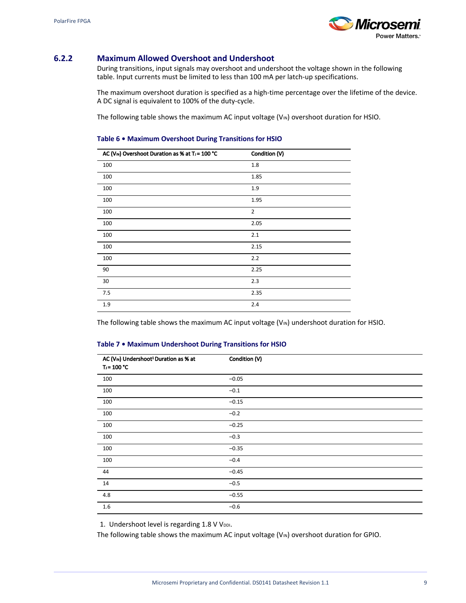

## <span id="page-12-0"></span>**6.2.2 Maximum Allowed Overshoot and Undershoot**

During transitions, input signals may overshoot and undershoot the voltage shown in the following table. Input currents must be limited to less than 100 mA per latch-up specifications.

The maximum overshoot duration is specified as a high-time percentage over the lifetime of the device. A DC signal is equivalent to 100% of the duty-cycle.

The following table shows the maximum AC input voltage  $(V_{\text{IN}})$  overshoot duration for HSIO.

#### **Table 6 • Maximum Overshoot During Transitions for HSIO**

| AC (VIN) Overshoot Duration as % at TJ = 100 °C | Condition (V)  |
|-------------------------------------------------|----------------|
| 100                                             | 1.8            |
| 100                                             | 1.85           |
| 100                                             | 1.9            |
| 100                                             | 1.95           |
| 100                                             | $\overline{2}$ |
| 100                                             | 2.05           |
| 100                                             | 2.1            |
| 100                                             | 2.15           |
| 100                                             | 2.2            |
| 90                                              | 2.25           |
| 30                                              | 2.3            |
| 7.5                                             | 2.35           |
| 1.9                                             | 2.4            |

The following table shows the maximum AC input voltage ( $V_{IN}$ ) undershoot duration for HSIO.

#### **Table 7 • Maximum Undershoot During Transitions for HSIO**

| AC (VIN) Undershoot <sup>1</sup> Duration as % at<br>$T = 100 °C$ | Condition (V) |
|-------------------------------------------------------------------|---------------|
| 100                                                               | $-0.05$       |
| 100                                                               | $-0.1$        |
| 100                                                               | $-0.15$       |
| 100                                                               | $-0.2$        |
| 100                                                               | $-0.25$       |
| 100                                                               | $-0.3$        |
| 100                                                               | $-0.35$       |
| 100                                                               | $-0.4$        |
| 44                                                                | $-0.45$       |
| 14                                                                | $-0.5$        |
| 4.8                                                               | $-0.55$       |
| 1.6                                                               | $-0.6$        |

1. Undershoot level is regarding 1.8 V VDDI.

The following table shows the maximum AC input voltage  $(V_{IN})$  overshoot duration for GPIO.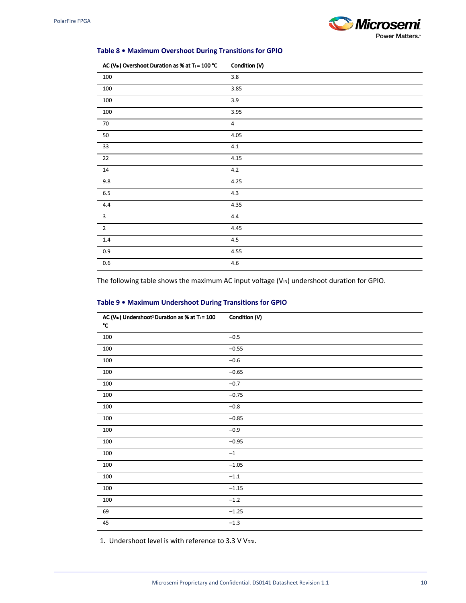

### **Table 8 • Maximum Overshoot During Transitions for GPIO**

| AC (VIN) Overshoot Duration as % at TJ = 100 °C | Condition (V)  |
|-------------------------------------------------|----------------|
| 100                                             | $3.8\,$        |
| 100                                             | 3.85           |
| 100                                             | 3.9            |
| 100                                             | 3.95           |
| $70\,$                                          | $\overline{4}$ |
| $50\,$                                          | 4.05           |
| $33\,$                                          | $4.1\,$        |
| 22                                              | 4.15           |
| 14                                              | $4.2\,$        |
| 9.8                                             | 4.25           |
| $6.5\,$                                         | 4.3            |
| 4.4                                             | 4.35           |
| $\mathbf{3}$                                    | $4.4\,$        |
| $\mathbf 2$                                     | 4.45           |
| $1.4\,$                                         | $4.5\,$        |
| $0.9\,$                                         | 4.55           |
| $0.6\,$                                         | $4.6\,$        |

The following table shows the maximum AC input voltage ( $V_{\text{IN}}$ ) undershoot duration for GPIO.

| AC (VIN) Undershoot <sup>1</sup> Duration as % at T <sub>J</sub> = 100<br>$^\circ \text{C}$ | Condition (V) |
|---------------------------------------------------------------------------------------------|---------------|
| $100\,$                                                                                     | $-0.5$        |
| 100                                                                                         | $-0.55$       |
| 100                                                                                         | $-0.6$        |
| 100                                                                                         | $-0.65$       |
| $100\,$                                                                                     | $-0.7$        |
| $100\,$                                                                                     | $-0.75$       |
| $100\,$                                                                                     | $-0.8$        |
| 100                                                                                         | $-0.85$       |
| 100                                                                                         | $-0.9$        |
| 100                                                                                         | $-0.95$       |
| 100                                                                                         | $-1$          |
| 100                                                                                         | $-1.05$       |
| 100                                                                                         | $-1.1$        |
| $100\,$                                                                                     | $-1.15$       |
| $100\,$                                                                                     | $-1.2$        |
| 69                                                                                          | $-1.25$       |
| 45                                                                                          | $-1.3$        |

### **Table 9 • Maximum Undershoot During Transitions for GPIO**

1. Undershoot level is with reference to 3.3 V VDDI.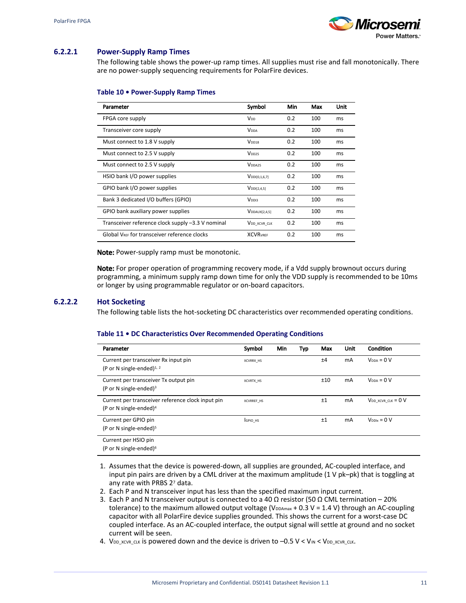

## <span id="page-14-0"></span>**6.2.2.1 Power-Supply Ramp Times**

The following table shows the power-up ramp times. All supplies must rise and fall monotonically. There are no power-supply sequencing requirements for PolarFire devices.

#### **Table 10 • Power-Supply Ramp Times**

| Parameter                                                | Symbol                    | Min | Max | Unit |
|----------------------------------------------------------|---------------------------|-----|-----|------|
| FPGA core supply                                         | V <sub>DD</sub>           | 0.2 | 100 | ms   |
| Transceiver core supply                                  | <b>V</b> <sub>DDA</sub>   | 0.2 | 100 | ms   |
| Must connect to 1.8 V supply                             | V <sub>DD18</sub>         | 0.2 | 100 | ms   |
| Must connect to 2.5 V supply                             | V <sub>DD25</sub>         | 0.2 | 100 | ms   |
| Must connect to 2.5 V supply                             | V <sub>DDA25</sub>        | 0.2 | 100 | ms   |
| HSIO bank I/O power supplies                             | $V_{DD1[0,1,6,7]}$        | 0.2 | 100 | ms   |
| GPIO bank I/O power supplies                             | V <sub>DD1</sub> [2,4,5]  | 0.2 | 100 | ms   |
| Bank 3 dedicated I/O buffers (GPIO)                      | V <sub>DDI3</sub>         | 0.2 | 100 | ms   |
| GPIO bank auxiliary power supplies                       | $V_{\text{DDAUX[2,4,5]}}$ | 0.2 | 100 | ms   |
| Transceiver reference clock supply -3.3 V nominal        | V <sub>DD</sub> XCVR CLK  | 0.2 | 100 | ms   |
| Global V <sub>REE</sub> for transceiver reference clocks | <b>XCVRVREF</b>           | 0.2 | 100 | ms   |

Note: Power-supply ramp must be monotonic.

Note: For proper operation of programming recovery mode, if a Vdd supply brownout occurs during programming, a minimum supply ramp down time for only the VDD supply is recommended to be 10ms or longer by using programmable regulator or on-board capacitors.

#### **6.2.2.2 Hot Socketing**

The following table lists the hot-socketing DC characteristics over recommended operating conditions.

#### **Table 11 • DC Characteristics Over Recommended Operating Conditions**

| Parameter                                                                               | Symbol            | Min | Тур | Max | Unit      | <b>Condition</b>          |
|-----------------------------------------------------------------------------------------|-------------------|-----|-----|-----|-----------|---------------------------|
| Current per transceiver Rx input pin<br>(P or N single-ended) $^{1, 2}$                 | XCVRRX HS         |     |     | ±4  | mA        | $V_{\text{DDA}} = 0 V$    |
| Current per transceiver Tx output pin<br>(P or N single-ended) $3$                      | XCVRTX HS         |     |     | ±10 | <b>mA</b> | $V_{DDA} = 0 V$           |
| Current per transceiver reference clock input pin<br>(P or N single-ended) <sup>4</sup> | <b>XCVRREF HS</b> |     |     | ±1  | mA        | $V_{DD}$ xcvr clk = $0$ V |
| Current per GPIO pin<br>(P or N single-ended) $5$                                       | GPIO HS           |     |     | ±1  | mA        | $V_{\text{DDix}} = 0 V$   |
| Current per HSIO pin<br>(P or N single-ended) $6$                                       |                   |     |     |     |           |                           |

- 1. Assumes that the device is powered-down, all supplies are grounded, AC-coupled interface, and input pin pairs are driven by a CML driver at the maximum amplitude (1 V pk–pk) that is toggling at any rate with PRBS 27 data.
- 2. Each P and N transceiver input has less than the specified maximum input current.
- 3. Each P and N transceiver output is connected to a 40  $\Omega$  resistor (50  $\Omega$  CML termination 20% tolerance) to the maximum allowed output voltage ( $V_{DDAMax} + 0.3 V = 1.4 V$ ) through an AC-coupling capacitor with all PolarFire device supplies grounded. This shows the current for a worst-case DC coupled interface. As an AC-coupled interface, the output signal will settle at ground and no socket current will be seen.
- 4. VDD\_XCVR\_CLK is powered down and the device is driven to -0.5 V < VIN < VDD\_XCVR\_CLK.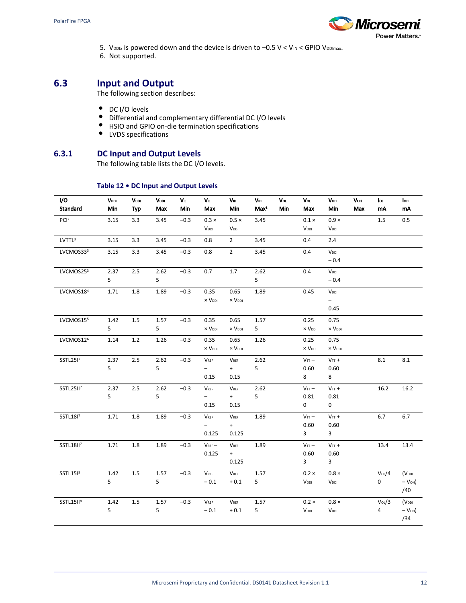

- 5. V<sub>DDIx</sub> is powered down and the device is driven to  $-0.5$  V < V<sub>IN</sub> < GPIO V<sub>DDImax</sub>.
- 6. Not supported.

## <span id="page-15-0"></span>**6.3 Input and Output**

The following section describes:

- DC I/O levels
- Differential and complementary differential DC I/O levels
- HSIO and GPIO on-die termination specifications
- LVDS specifications

## **6.3.1 DC Input and Output Levels**

The following table lists the DC I/O levels.

### **Table 12 • DC Input and Output Levels**

<span id="page-15-1"></span>

| I/O<br><b>Standard</b> | VDDI<br>Min | VDDI<br><b>Typ</b> | VDDI<br>Max | VIL.<br>Min | VL.<br>Max               | VIII<br>Min                 | Vн<br>Max <sup>1</sup> | Vol<br>Min | Vol<br>Max                | Vou<br>Min                | Vou<br>Max | loı.<br>mA | lou<br>mA         |
|------------------------|-------------|--------------------|-------------|-------------|--------------------------|-----------------------------|------------------------|------------|---------------------------|---------------------------|------------|------------|-------------------|
| PCI <sup>2</sup>       | 3.15        | 3.3                | 3.45        | $-0.3$      | $0.3 \times$             | $0.5 \times$                | 3.45                   |            | $0.1 \times$              | $0.9 \times$              |            | 1.5        | 0.5               |
|                        |             |                    |             |             | V <sub>DDI</sub>         | V <sub>DDI</sub>            |                        |            | V <sub>DDI</sub>          | V <sub>DDI</sub>          |            |            |                   |
| LVTTL <sup>3</sup>     | 3.15        | 3.3                | 3.45        | $-0.3$      | 0.8                      | $\overline{2}$              | 3.45                   |            | 0.4                       | 2.4                       |            |            |                   |
| LVCMOS333              | 3.15        | 3.3                | 3.45        | $-0.3$      | 0.8                      | $\overline{2}$              | 3.45                   |            | 0.4                       | V <sub>DDI</sub>          |            |            |                   |
|                        |             |                    |             |             |                          |                             |                        |            |                           | $-0.4$                    |            |            |                   |
| LVCMOS25 <sup>3</sup>  | 2.37        | 2.5                | 2.62        | $-0.3$      | 0.7                      | 1.7                         | 2.62                   |            | 0.4                       | V <sub>DDI</sub>          |            |            |                   |
|                        | 5           |                    | 5           |             |                          |                             | 5                      |            |                           | $-0.4$                    |            |            |                   |
| LVCMOS18 <sup>4</sup>  | 1.71        | 1.8                | 1.89        | $-0.3$      | 0.35                     | 0.65                        | 1.89                   |            | 0.45                      | V <sub>DDI</sub>          |            |            |                   |
|                        |             |                    |             |             | $\times$ $V_{DDI}$       | $\times$ $V_{\text{DDI}}$   |                        |            |                           | −.                        |            |            |                   |
|                        |             |                    |             |             |                          |                             |                        |            |                           | 0.45                      |            |            |                   |
| LVCMOS155              | 1.42        | 1.5                | 1.57        | $-0.3$      | 0.35                     | 0.65                        | 1.57                   |            | 0.25                      | 0.75                      |            |            |                   |
|                        | 5           |                    | 5           |             | $\times$ $V_{DDI}$       | $\times$ $V_{\text{DDI}}$   | 5                      |            | $\times$ $V_{DDI}$        | $\times$ $V_{\text{DDI}}$ |            |            |                   |
| LVCMOS12 <sup>6</sup>  | 1.14        | 1.2                | 1.26        | $-0.3$      | 0.35                     | 0.65                        | 1.26                   |            | 0.25                      | 0.75                      |            |            |                   |
|                        |             |                    |             |             | $\times$ $V_{DDI}$       | $\times$ $V_{\text{DDI}}$   |                        |            | $\times$ $V_{\text{DDI}}$ | x V <sub>DDI</sub>        |            |            |                   |
| SSTL25I7               | 2.37        | 2.5                | 2.62        | $-0.3$      | $V_{REF}$                | VREF                        | 2.62                   |            | V <sub>TT</sub>           | $VTT$ +                   |            | 8.1        | $8.1\,$           |
|                        | 5           |                    | 5           |             | $\overline{\phantom{0}}$ | $+$                         | 5                      |            | 0.60                      | 0.60                      |            |            |                   |
|                        |             |                    |             |             | 0.15                     | 0.15                        |                        |            | 8                         | 8                         |            |            |                   |
| SSTL25II <sup>7</sup>  | 2.37        | 2.5                | 2.62        | $-0.3$      | <b>VREF</b>              | <b>VREF</b>                 | 2.62                   |            | $V_{TT}$ -                | $V_{TT}$ +                |            | 16.2       | 16.2              |
|                        | 5           |                    | 5           |             | $-$                      | $+$                         | 5                      |            | 0.81                      | 0.81                      |            |            |                   |
|                        |             |                    |             |             | 0.15                     | 0.15                        |                        |            | $\mathbf 0$               | $\mathbf 0$               |            |            |                   |
| SSTL1817               | 1.71        | 1.8                | 1.89        | $-0.3$      | <b>VREF</b>              | VREF                        | 1.89                   |            | $V_{TT}$ -                | $V_{TT}$ +                |            | 6.7        | 6.7               |
|                        |             |                    |             |             |                          | $+$                         |                        |            | 0.60                      | 0.60                      |            |            |                   |
|                        |             |                    |             |             | 0.125                    | 0.125                       |                        |            | 3 <sup>7</sup>            | $\mathbf{3}$              |            |            |                   |
| <b>SSTL18II7</b>       | 1.71        | $1.8\,$            | 1.89        | $-0.3$      | $V_{REF}$                | $V_{REF}$                   | 1.89                   |            | V <sub>TT</sub>           | $V_{TT}$ +                |            | 13.4       | 13.4              |
|                        |             |                    |             |             | 0.125                    | $+$                         |                        |            | 0.60                      | 0.60                      |            |            |                   |
|                        |             |                    |             |             |                          | 0.125                       |                        |            | 3 <sup>7</sup>            | $\overline{3}$            |            |            |                   |
| SSTL1518               | 1.42        | 1.5                | 1.57        | $-0.3$      | $V_{REF}$                | <b>VREF</b>                 | 1.57                   |            | $0.2 \times$              | $0.8 \times$              |            | $V_0L/4$   | (V <sub>DDI</sub> |
|                        | 5           |                    | 5           |             | $-0.1$                   | $+0.1$                      | 5 <sup>1</sup>         |            | V <sub>DDI</sub>          | V <sub>DDI</sub>          |            | 0          | $-VOH$ )<br>/40   |
| SSTL15II <sup>8</sup>  | 1.42        | 1.5                | 1.57        | $-0.3$      | $V_{REF}$                | $\mathsf{V}_{\mathsf{REF}}$ | 1.57                   |            | $0.2 \times$              | $0.8 \times$              |            | $V_0L/3$   | (V <sub>DDI</sub> |
|                        | 5           |                    | 5           |             | $-0.1$                   | $+0.1$                      | 5                      |            | V <sub>DDI</sub>          | V <sub>DDI</sub>          |            | 4          | $-VOH$ )<br>/34   |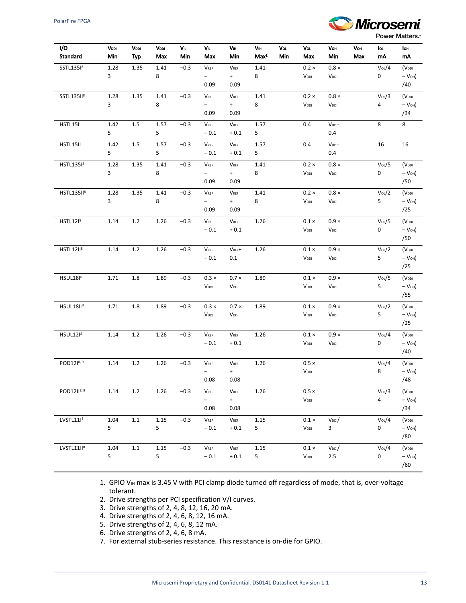

**Power Matters.** 

| I/O<br><b>Standard</b> | Vddi<br>Min | VDDI<br><b>Typ</b> | Vddi<br>Max | VIL.<br>Min | Vı.<br>Max               | Vш<br>Min        | Vн<br>Max <sup>1</sup> | Vol<br>Min | Vol<br>Max       | Vou<br>Min              | Voh<br>Max | lou<br>mA      | lон<br>mA         |
|------------------------|-------------|--------------------|-------------|-------------|--------------------------|------------------|------------------------|------------|------------------|-------------------------|------------|----------------|-------------------|
| SSTL13518              | 1.28        | 1.35               | 1.41        | $-0.3$      | <b>VREF</b>              | <b>VREF</b>      | 1.41                   |            | $0.2 \times$     | $0.8 \times$            |            | $V_0L/4$       | (V <sub>DDI</sub> |
|                        | 3           |                    | 8           |             | $-$                      | $+$              | 8                      |            | V <sub>DDI</sub> | V <sub>DDI</sub>        |            | 0              | $-VOH$ )          |
|                        |             |                    |             |             | 0.09                     | 0.09             |                        |            |                  |                         |            |                | /40               |
| SSTL135II <sup>8</sup> | 1.28        | 1.35               | 1.41        | $-0.3$      | $V_{REF}$                | <b>VREF</b>      | 1.41                   |            | $0.2 \times$     | $0.8 \times$            |            | $V_0L/3$       | (V <sub>DDI</sub> |
|                        | 3           |                    | 8           |             | -                        | $+$              | 8                      |            | V <sub>DDI</sub> | V <sub>DDI</sub>        |            | 4              | $-V$ OH)          |
|                        |             |                    |             |             | 0.09                     | 0.09             |                        |            |                  |                         |            |                | /34               |
| HSTL15I                | 1.42        | 1.5                | 1.57        | $-0.3$      | $V_{REF}$                | VREF             | 1.57                   |            | 0.4              | V <sub>DDI</sub> -      |            | 8              | 8                 |
|                        | 5           |                    | 5           |             | $-0.1$                   | $+0.1$           | 5                      |            |                  | 0.4                     |            |                |                   |
| HSTL15II               | 1.42        | 1.5                | 1.57        | $-0.3$      | VREF                     | VREF             | 1.57                   |            | 0.4              | V <sub>DDI</sub> -      |            | 16             | 16                |
|                        | 5           |                    | 5           |             | $-0.1$                   | $+0.1$           | 5                      |            |                  | 0.4                     |            |                |                   |
| HSTL13518              | 1.28        | 1.35               | 1.41        | $-0.3$      | <b>VREF</b>              | <b>VREF</b>      | 1.41                   |            | $0.2 \times$     | $0.8\times$             |            | $V_0L/5$       | (V <sub>DDI</sub> |
|                        | 3           |                    | 8           |             | $\overline{\phantom{0}}$ | $+$              | 8                      |            | V <sub>DDI</sub> | V <sub>DDI</sub>        |            | 0              | $-VOH$ )          |
|                        |             |                    |             |             | 0.09                     | 0.09             |                        |            |                  |                         |            |                | /50               |
| HSTL135II <sup>8</sup> | 1.28        | 1.35               | 1.41        | $-0.3$      | <b>VREF</b>              | <b>VREF</b>      | 1.41                   |            | $0.2 \times$     | $0.8 \times$            |            | $V_0L/2$       | (V <sub>DDI</sub> |
|                        | 3           |                    | 8           |             | $\overline{\phantom{0}}$ | $+$              | 8                      |            | V <sub>DDI</sub> | V <sub>DDI</sub>        |            | 5              | $-V$ OH)          |
|                        |             |                    |             |             | 0.09                     | 0.09             |                        |            |                  |                         |            |                | /25               |
| <b>HSTL1218</b>        | 1.14        | $1.2\,$            | 1.26        | $-0.3$      | $V_{REF}$                | $V_{REF}$        | 1.26                   |            | $0.1 \times$     | $0.9 \times$            |            | Vot0L/5        | (V <sub>DDI</sub> |
|                        |             |                    |             |             | $-0.1$                   | $+0.1$           |                        |            | V <sub>DDI</sub> | V <sub>DDI</sub>        |            | 0              | $-VOH$ )          |
|                        |             |                    |             |             |                          |                  |                        |            |                  |                         |            |                | /50               |
| <b>HSTL12II</b> 8      | 1.14        | $1.2\,$            | 1.26        | $-0.3$      | $V_{REF}$                | $V_{REF}+$       | 1.26                   |            | $0.1 \times$     | $0.9 \times$            |            | $V_0L/2$       | (V <sub>DDI</sub> |
|                        |             |                    |             |             | $-0.1$                   | 0.1              |                        |            | V <sub>DDI</sub> | V <sub>DDI</sub>        |            | 5              | $-VOH$ )          |
|                        |             |                    |             |             |                          |                  |                        |            |                  |                         |            |                | /25               |
| HSUL1818               | 1.71        | 1.8                | 1.89        | $-0.3$      | $0.3 \times$             | $0.7 \times$     | 1.89                   |            | $0.1 \times$     | $0.9 \times$            |            | $V_0 \sqrt{5}$ | (V <sub>DDI</sub> |
|                        |             |                    |             |             | V <sub>DDI</sub>         | V <sub>DDI</sub> |                        |            | $V_{DDI}$        | V <sub>DDI</sub>        |            | 5              | $-VOH$ )          |
|                        |             |                    |             |             |                          |                  |                        |            |                  |                         |            |                | /55               |
| HSUL18II <sup>8</sup>  | 1.71        | 1.8                | 1.89        | $-0.3$      | $0.3 \times$             | $0.7 \times$     | 1.89                   |            | $0.1 \times$     | $0.9 \times$            |            | $V_0L/2$       | (V <sub>DDI</sub> |
|                        |             |                    |             |             | V <sub>DDI</sub>         | V <sub>DDI</sub> |                        |            | V <sub>DDI</sub> | V <sub>DDI</sub>        |            | 5              | $-VOH$ )          |
|                        |             |                    |             |             |                          |                  |                        |            |                  |                         |            |                | /25               |
| HSUL12 <sup>8</sup>    | 1.14        | $1.2\,$            | 1.26        | $-0.3$      | $V_{REF}$                | VREF             | 1.26                   |            | $0.1 \times$     | $0.9 \times$            |            | $V_0L/4$       | (V <sub>DDI</sub> |
|                        |             |                    |             |             | $-0.1$                   | $+0.1$           |                        |            | V <sub>DDI</sub> | V <sub>DDI</sub>        |            | 0              | $-VOH$ )          |
|                        |             |                    |             |             |                          |                  |                        |            |                  |                         |            |                | /40               |
| POD1218, 9             | 1.14        | $1.2\,$            | 1.26        | $-0.3$      | <b>VREF</b>              | <b>VREF</b>      | 1.26                   |            | $0.5 \times$     |                         |            | $V_0L/4$       | (V <sub>DDI</sub> |
|                        |             |                    |             |             | Ξ.                       | $+$              |                        |            | $V_{DDI}$        |                         |            | 8              | $-V$ OH)          |
|                        |             |                    |             |             | 0.08                     | 0.08             |                        |            |                  |                         |            |                | /48               |
| POD12118, 9            | 1.14        | $1.2\,$            | $1.26\,$    | $-0.3$      | $V_{REF}$                | <b>VREF</b>      | 1.26                   |            | $0.5 \times$     |                         |            | $V_0L/3$       | (V <sub>DDI</sub> |
|                        |             |                    |             |             | -                        | $+$              |                        |            | $V_{DDI}$        |                         |            | 4              | $-VOH$ )          |
|                        |             |                    |             |             | 0.08                     | 0.08             |                        |            |                  |                         |            |                | /34               |
| LVSTL11 8              | 1.04        | $1.1\,$            | 1.15        | $-0.3$      | $V_{REF}$                | VREF             | 1.15                   |            | $0.1 \times$     | $V_{DDI}/$              |            | $V_0/L$        | (V <sub>DDI</sub> |
|                        | 5           |                    | 5           |             | $-0.1$                   | $+0.1$           | 5                      |            | $V_{DDI}$        | $\overline{\mathbf{3}}$ |            | 0              | $-VOH$ )          |
|                        |             |                    |             |             |                          |                  |                        |            |                  |                         |            |                | /80               |
| LVSTL11II8             | 1.04        | 1.1                | 1.15        | $-0.3$      | V <sub>REF</sub>         | $V_{REF}$        | $1.15\,$               |            | $0.1 \times$     | $V_{DD}/$               |            | $V_0L/4$       | (V <sub>DDI</sub> |
|                        | 5           |                    | 5           |             | $-0.1$                   | $+\,0.1$         | 5                      |            | $V_{DDI}$        | $2.5\,$                 |            | 0              | $-V$ OH)          |
|                        |             |                    |             |             |                          |                  |                        |            |                  |                         |            |                | /60               |

1. GPIO VIH max is 3.45 V with PCI clamp diode turned off regardless of mode, that is, over-voltage tolerant.

- 2. Drive strengths per PCI specification V/I curves.
- 3. Drive strengths of 2, 4, 8, 12, 16, 20 mA.
- 4. Drive strengths of 2, 4, 6, 8, 12, 16 mA.
- 5. Drive strengths of 2, 4, 6, 8, 12 mA.
- 6. Drive strengths of 2, 4, 6, 8 mA.
- 7. For external stub-series resistance. This resistance is on-die for GPIO.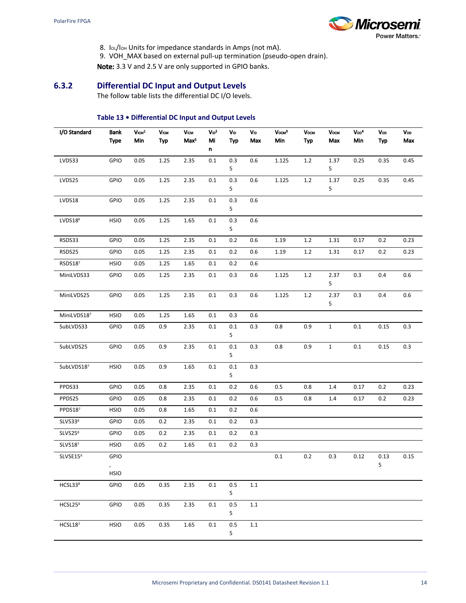

- 8. IOL/IOH Units for impedance standards in Amps (not mA).
- 9. VOH\_MAX based on external pull-up termination (pseudo-open drain).

Note: 3.3 V and 2.5 V are only supported in GPIO banks.

## **6.3.2 Differential DC Input and Output Levels**

The follow table lists the differential DC I/O levels.

## **Table 13 • Differential DC Input and Output Levels**

<span id="page-17-0"></span>

| I/O Standard        | Bank<br><b>Type</b>  | $V \text{cm}^1$<br>Min | Vcw<br>Typ | Viam<br>Max <sup>5</sup> | $V_{1D}^2$<br>Mi<br>n | VID<br><b>Typ</b>      | <b>VID</b><br>Max | $V$ осм $3$<br>Min | <b>VOCM</b><br><b>Typ</b> | <b>Vосм</b><br>Max | Vop <sup>4</sup><br>Min | <b>Vop</b><br><b>Typ</b> | Vop<br>Max |
|---------------------|----------------------|------------------------|------------|--------------------------|-----------------------|------------------------|-------------------|--------------------|---------------------------|--------------------|-------------------------|--------------------------|------------|
| LVDS33              | <b>GPIO</b>          | 0.05                   | 1.25       | 2.35                     | $0.1\,$               | 0.3                    | $0.6\,$           | 1.125              | $1.2\,$                   | 1.37               | 0.25                    | 0.35                     | 0.45       |
|                     |                      |                        |            |                          |                       | 5                      |                   |                    |                           | 5                  |                         |                          |            |
| LVDS25              | GPIO                 | 0.05                   | 1.25       | 2.35                     | $0.1\,$               | 0.3<br>5               | 0.6               | 1.125              | $1.2\,$                   | 1.37<br>5          | 0.25                    | 0.35                     | 0.45       |
| LVDS18              | GPIO                 | 0.05                   | 1.25       | 2.35                     | $0.1\,$               | 0.3<br>5               | 0.6               |                    |                           |                    |                         |                          |            |
| LVDS18 <sup>6</sup> | <b>HSIO</b>          | 0.05                   | $1.25\,$   | 1.65                     | $0.1\,$               | 0.3<br>5               | 0.6               |                    |                           |                    |                         |                          |            |
| RSDS33              | <b>GPIO</b>          | 0.05                   | 1.25       | 2.35                     | $0.1\,$               | 0.2                    | 0.6               | 1.19               | $1.2\,$                   | 1.31               | 0.17                    | 0.2                      | 0.23       |
| RSDS25              | <b>GPIO</b>          | 0.05                   | 1.25       | 2.35                     | 0.1                   | 0.2                    | 0.6               | 1.19               | 1.2                       | 1.31               | 0.17                    | 0.2                      | 0.23       |
| RSDS187             | <b>HSIO</b>          | 0.05                   | 1.25       | 1.65                     | 0.1                   | 0.2                    | 0.6               |                    |                           |                    |                         |                          |            |
| MiniLVDS33          | GPIO                 | 0.05                   | 1.25       | 2.35                     | 0.1                   | 0.3                    | 0.6               | 1.125              | $1.2\,$                   | 2.37<br>5          | 0.3                     | 0.4                      | $0.6\,$    |
| MiniLVDS25          | GPIO                 | 0.05                   | 1.25       | 2.35                     | $0.1\,$               | 0.3                    | $0.6\,$           | 1.125              | $1.2\,$                   | 2.37<br>5          | 0.3                     | 0.4                      | $0.6\,$    |
| MiniLVDS187         | <b>HSIO</b>          | 0.05                   | 1.25       | 1.65                     | 0.1                   | 0.3                    | 0.6               |                    |                           |                    |                         |                          |            |
| SubLVDS33           | <b>GPIO</b>          | 0.05                   | 0.9        | 2.35                     | 0.1                   | 0.1<br>5               | 0.3               | 0.8                | 0.9                       | $\mathbf 1$        | $0.1\,$                 | 0.15                     | 0.3        |
| SubLVDS25           | GPIO                 | 0.05                   | 0.9        | 2.35                     | 0.1                   | 0.1<br>$5\phantom{.0}$ | 0.3               | 0.8                | 0.9                       | $\mathbf{1}$       | 0.1                     | 0.15                     | 0.3        |
| SubLVDS187          | <b>HSIO</b>          | 0.05                   | 0.9        | 1.65                     | $0.1\,$               | $0.1\,$<br>5           | 0.3               |                    |                           |                    |                         |                          |            |
| PPDS33              | <b>GPIO</b>          | 0.05                   | 0.8        | 2.35                     | 0.1                   | 0.2                    | 0.6               | 0.5                | 0.8                       | 1.4                | 0.17                    | 0.2                      | 0.23       |
| PPDS25              | GPIO                 | 0.05                   | 0.8        | 2.35                     | 0.1                   | 0.2                    | 0.6               | 0.5                | 0.8                       | 1.4                | 0.17                    | 0.2                      | 0.23       |
| PPDS187             | <b>HSIO</b>          | 0.05                   | 0.8        | 1.65                     | 0.1                   | 0.2                    | 0.6               |                    |                           |                    |                         |                          |            |
| SLVS338             | GPIO                 | 0.05                   | 0.2        | 2.35                     | 0.1                   | 0.2                    | 0.3               |                    |                           |                    |                         |                          |            |
| SLVS25 <sup>8</sup> | <b>GPIO</b>          | 0.05                   | 0.2        | 2.35                     | 0.1                   | 0.2                    | 0.3               |                    |                           |                    |                         |                          |            |
| SLVS187             | <b>HSIO</b>          | 0.05                   | 0.2        | 1.65                     | 0.1                   | 0.2                    | 0.3               |                    |                           |                    |                         |                          |            |
| SLVSE159            | GPIO<br>$\mathbf{r}$ |                        |            |                          |                       |                        |                   | 0.1                | 0.2                       | 0.3                | 0.12                    | 0.13<br>5                | 0.15       |
|                     | <b>HSIO</b>          |                        |            |                          |                       |                        |                   |                    |                           |                    |                         |                          |            |
| HCSL33 <sup>8</sup> | GPIO                 | 0.05                   | 0.35       | 2.35                     | 0.1                   | 0.5<br>5               | $1.1\,$           |                    |                           |                    |                         |                          |            |
| HCSL25 <sup>8</sup> | <b>GPIO</b>          | 0.05                   | 0.35       | 2.35                     | 0.1                   | 0.5<br>5               | 1.1               |                    |                           |                    |                         |                          |            |
| HCSL187             | <b>HSIO</b>          | 0.05                   | 0.35       | 1.65                     | 0.1                   | 0.5<br>5               | $1.1\,$           |                    |                           |                    |                         |                          |            |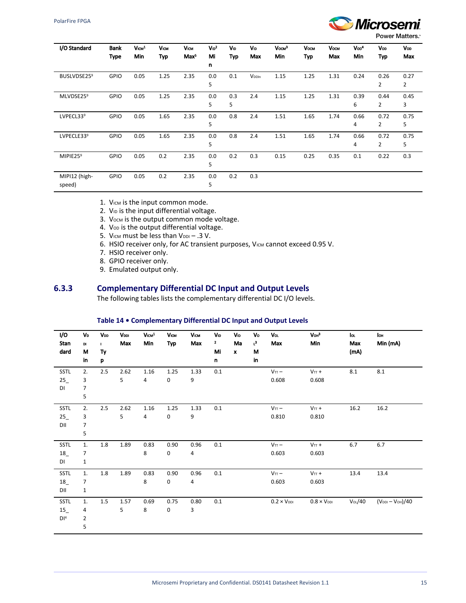

**Power Matters.** 

| I/O Standard            | <b>Bank</b> | Vcm <sup>1</sup> | <b>Vicw</b> | <b>VICM</b>      | $V_{1D}^2$ | VID | <b>V<sub>ID</sub></b> | $V$ <sub>OCM</sub> $3$ | <b>Vосм</b> | <b>Vосм</b> | Vop <sup>4</sup> | Vop  | Vop  |
|-------------------------|-------------|------------------|-------------|------------------|------------|-----|-----------------------|------------------------|-------------|-------------|------------------|------|------|
|                         | <b>Type</b> | Min              | <b>Typ</b>  | Max <sup>5</sup> | Mi         | Typ | Max                   | Min                    | <b>Typ</b>  | Max         | Min              | Typ  | Max  |
|                         |             |                  |             |                  | n          |     |                       |                        |             |             |                  |      |      |
| BUSLVDSE25 <sup>9</sup> | GPIO        | 0.05             | 1.25        | 2.35             | 0.0        | 0.1 | V <sub>DDIn</sub>     | 1.15                   | 1.25        | 1.31        | 0.24             | 0.26 | 0.27 |
|                         |             |                  |             |                  | 5          |     |                       |                        |             |             |                  | 2    | 2    |
| MLVDSE259               | GPIO        | 0.05             | 1.25        | 2.35             | 0.0        | 0.3 | 2.4                   | 1.15                   | 1.25        | 1.31        | 0.39             | 0.44 | 0.45 |
|                         |             |                  |             |                  | 5          | 5   |                       |                        |             |             | 6                | 2    | 3    |
| LVPECL339               | <b>GPIO</b> | 0.05             | 1.65        | 2.35             | 0.0        | 0.8 | 2.4                   | 1.51                   | 1.65        | 1.74        | 0.66             | 0.72 | 0.75 |
|                         |             |                  |             |                  | 5          |     |                       |                        |             |             | 4                | 2    | 5    |
| LVPECLE339              | <b>GPIO</b> | 0.05             | 1.65        | 2.35             | 0.0        | 0.8 | 2.4                   | 1.51                   | 1.65        | 1.74        | 0.66             | 0.72 | 0.75 |
|                         |             |                  |             |                  | 5          |     |                       |                        |             |             | 4                | 2    | 5    |
| MIPIE25 <sup>9</sup>    | <b>GPIO</b> | 0.05             | 0.2         | 2.35             | 0.0        | 0.2 | 0.3                   | 0.15                   | 0.25        | 0.35        | 0.1              | 0.22 | 0.3  |
|                         |             |                  |             |                  | 5          |     |                       |                        |             |             |                  |      |      |
| MIPI12 (high-           | GPIO        | 0.05             | 0.2         | 2.35             | 0.0        | 0.2 | 0.3                   |                        |             |             |                  |      |      |
| speed)                  |             |                  |             |                  | 5          |     |                       |                        |             |             |                  |      |      |

1. VICM is the input common mode.

- 2. V<sub>ID</sub> is the input differential voltage.
- 3. Vocm is the output common mode voltage.
- 4. VOD is the output differential voltage.
- 5. VICM must be less than VDDI .3 V.
- 6. HSIO receiver only, for AC transient purposes, VICM cannot exceed 0.95 V.
- 7. HSIO receiver only.
- 8. GPIO receiver only.
- 9. Emulated output only.

## **6.3.3 Complementary Differential DC Input and Output Levels**

The following tables lists the complementary differential DC I/O levels.

#### **Table 14 • Complementary Differential DC Input and Output Levels**

<span id="page-18-0"></span>

| I/O<br>Stan<br>dard | VD<br>DI<br>М<br>in | VDD<br>$\mathbf{L}$<br>Ty<br>p | <b>VDDI</b><br>Max | $V_{ICM}$ <sup>1</sup><br>Min | <b>VICM</b><br>Typ  | <b>VICM</b><br>Max | <b>V<sub>D</sub></b><br>$\mathbf{z}$<br>Mi<br>n | <b>V<sub>ID</sub></b><br>Ma<br>$\pmb{\chi}$ | Vo<br>$\mathsf{L}^3$<br>М<br>in | Vol<br>Max           | V <sub>OH</sub> <sup>3</sup><br>Min | lo.<br>Max<br>(mA) | lon<br>Min (mA)   |
|---------------------|---------------------|--------------------------------|--------------------|-------------------------------|---------------------|--------------------|-------------------------------------------------|---------------------------------------------|---------------------------------|----------------------|-------------------------------------|--------------------|-------------------|
| SSTL                | 2.                  | 2.5                            | 2.62               | 1.16                          | 1.25                | 1.33               | 0.1                                             |                                             |                                 | $V_{TT}$ -           | $V_{TT}$ +                          | 8.1                | 8.1               |
| 25                  | 3                   |                                | 5                  | $\overline{4}$                | 0                   | 9                  |                                                 |                                             |                                 | 0.608                | 0.608                               |                    |                   |
| DI                  | 7                   |                                |                    |                               |                     |                    |                                                 |                                             |                                 |                      |                                     |                    |                   |
|                     | 5                   |                                |                    |                               |                     |                    |                                                 |                                             |                                 |                      |                                     |                    |                   |
| SSTL                | 2.                  | 2.5                            | 2.62               | 1.16                          | 1.25                | 1.33               | 0.1                                             |                                             |                                 | $V_{TT}$ -           | $V_{TT}$ +                          | 16.2               | 16.2              |
| 25                  | 3                   |                                | 5                  | $\overline{4}$                | 0                   | 9                  |                                                 |                                             |                                 | 0.810                | 0.810                               |                    |                   |
| DII                 | 7                   |                                |                    |                               |                     |                    |                                                 |                                             |                                 |                      |                                     |                    |                   |
|                     | 5                   |                                |                    |                               |                     |                    |                                                 |                                             |                                 |                      |                                     |                    |                   |
| SSTL                | 1.                  | 1.8                            | 1.89               | 0.83                          | 0.90                | 0.96               | 0.1                                             |                                             |                                 | $V_{TT}$ -           | $V_{TT}$ +                          | 6.7                | 6.7               |
| 18                  | 7                   |                                |                    | 8                             | $\mathsf{O}\xspace$ | 4                  |                                                 |                                             |                                 | 0.603                | 0.603                               |                    |                   |
| DI                  | $\mathbf{1}$        |                                |                    |                               |                     |                    |                                                 |                                             |                                 |                      |                                     |                    |                   |
| <b>SSTL</b>         | 1.                  | 1.8                            | 1.89               | 0.83                          | 0.90                | 0.96               | 0.1                                             |                                             |                                 | $V_{TT}$ -           | $V_{TT}$ +                          | 13.4               | 13.4              |
| 18                  | 7                   |                                |                    | 8                             | 0                   | 4                  |                                                 |                                             |                                 | 0.603                | 0.603                               |                    |                   |
| DII                 | 1                   |                                |                    |                               |                     |                    |                                                 |                                             |                                 |                      |                                     |                    |                   |
| <b>SSTL</b>         | 1.                  | $1.5\,$                        | 1.57               | 0.69                          | 0.75                | 0.80               | 0.1                                             |                                             |                                 | $0.2 \times V_{DDI}$ | $0.8 \times V_{\text{DDI}}$         | Vol/40             | $(VDDI - VOH)/40$ |
| 15                  | 4                   |                                | 5                  | 8                             | $\mathsf 0$         | 3                  |                                                 |                                             |                                 |                      |                                     |                    |                   |
| D1 <sup>4</sup>     | $\overline{2}$      |                                |                    |                               |                     |                    |                                                 |                                             |                                 |                      |                                     |                    |                   |
|                     | 5                   |                                |                    |                               |                     |                    |                                                 |                                             |                                 |                      |                                     |                    |                   |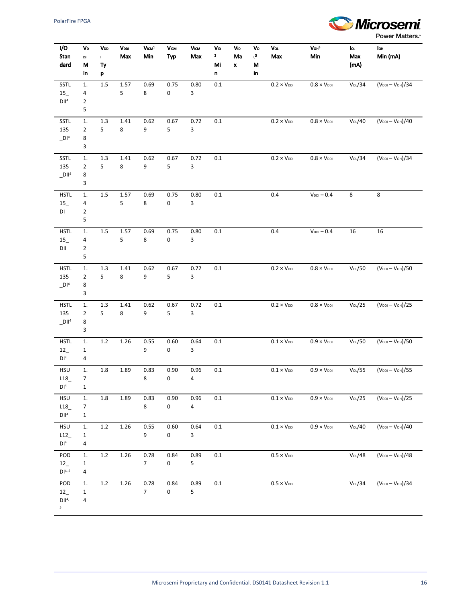

| I/O<br>Stan<br>dard     | VD<br>DI<br>М<br>in            | V <sub>DD</sub><br>I.<br>Ty<br>p | <b>V</b> <sub>DDI</sub><br>Max | $V$ ICM $1$<br>Min | V <sub>ICM</sub><br>Typ | <b>VICM</b><br>Max | VD<br>$\mathbf{2}$<br>Mi<br>n | <b>V</b> <sub>ID</sub><br>Ma<br>$\pmb{\mathsf{x}}$ | Vo<br>r3<br>M<br>in | Vol<br>Max                  | V <sub>OH</sub> <sup>3</sup><br>Min | lo.<br>Max<br>(mA) | lон<br>Min (mA)   |
|-------------------------|--------------------------------|----------------------------------|--------------------------------|--------------------|-------------------------|--------------------|-------------------------------|----------------------------------------------------|---------------------|-----------------------------|-------------------------------------|--------------------|-------------------|
| SSTL                    | ${\bf 1}.$                     | $1.5\,$                          | 1.57                           | 0.69               | 0.75                    | 0.80               | $0.1\,$                       |                                                    |                     | $0.2 \times V_{\text{DDI}}$ | $0.8 \times V_{\text{DDI}}$         | Votot/34           | $(VDDI - VOH)/34$ |
| $15_{-}$                | 4                              |                                  | 5                              | 8                  | 0                       | 3                  |                               |                                                    |                     |                             |                                     |                    |                   |
| DII <sup>4</sup>        | $\overline{2}$                 |                                  |                                |                    |                         |                    |                               |                                                    |                     |                             |                                     |                    |                   |
|                         | 5                              |                                  |                                |                    |                         |                    |                               |                                                    |                     |                             |                                     |                    |                   |
| SSTL                    | $1. \,$                        | $1.3\,$                          | $1.41\,$                       | 0.62               | 0.67                    | 0.72               | $0.1\,$                       |                                                    |                     | $0.2 \times V_{\text{DDI}}$ | $0.8 \times V_{\text{DDI}}$         | Vol/40             | $(VDDI - VOH)/40$ |
| 135                     | 2                              | 5                                | 8                              | 9                  | 5                       | 3                  |                               |                                                    |                     |                             |                                     |                    |                   |
| DI <sup>4</sup>         | 8<br>3                         |                                  |                                |                    |                         |                    |                               |                                                    |                     |                             |                                     |                    |                   |
|                         |                                |                                  |                                |                    |                         |                    |                               |                                                    |                     |                             |                                     |                    |                   |
| SSTL<br>135             | 1.<br>$\overline{2}$           | $1.3\,$<br>5                     | $1.41\,$<br>8                  | 0.62<br>9          | 0.67<br>5               | 0.72<br>3          | $0.1\,$                       |                                                    |                     | $0.2 \times V_{\text{DDI}}$ | $0.8 \times V_{\text{DDI}}$         | Vol/34             | $(VDDI - VOH)/34$ |
| $_D$ II <sup>4</sup>    | 8                              |                                  |                                |                    |                         |                    |                               |                                                    |                     |                             |                                     |                    |                   |
|                         | 3                              |                                  |                                |                    |                         |                    |                               |                                                    |                     |                             |                                     |                    |                   |
| <b>HSTL</b>             | $1. \,$                        | $1.5\,$                          | 1.57                           | 0.69               | 0.75                    | 0.80               | $0.1\,$                       |                                                    |                     | 0.4                         | $V_{DDI} - 0.4$                     | 8                  | 8                 |
| $15_{-}$                | 4                              |                                  | 5                              | 8                  | 0                       | 3                  |                               |                                                    |                     |                             |                                     |                    |                   |
| DI                      | $\overline{2}$                 |                                  |                                |                    |                         |                    |                               |                                                    |                     |                             |                                     |                    |                   |
|                         | 5                              |                                  |                                |                    |                         |                    |                               |                                                    |                     |                             |                                     |                    |                   |
| <b>HSTL</b>             | 1.                             | $1.5\,$                          | 1.57                           | 0.69               | 0.75                    | 0.80               | $0.1\,$                       |                                                    |                     | 0.4                         | $V_{DDI} - 0.4$                     | 16                 | 16                |
| $15_{-}$                | 4                              |                                  | 5                              | 8                  | 0                       | 3                  |                               |                                                    |                     |                             |                                     |                    |                   |
| DII                     | $\overline{\mathbf{c}}$        |                                  |                                |                    |                         |                    |                               |                                                    |                     |                             |                                     |                    |                   |
|                         | 5                              |                                  |                                |                    |                         |                    |                               |                                                    |                     |                             |                                     |                    |                   |
| <b>HSTL</b>             | $1.$                           | $1.3\,$                          | $1.41\,$                       | 0.62               | 0.67                    | 0.72               | $0.1\,$                       |                                                    |                     | $0.2 \times V_{\text{DDI}}$ | $0.8 \times V_{\text{DDI}}$         | $Votot$ /50        | $(VDDI - VOH)/50$ |
| 135<br>DI <sup>4</sup>  | $\overline{2}$<br>8            | 5                                | 8                              | 9                  | 5                       | 3                  |                               |                                                    |                     |                             |                                     |                    |                   |
|                         | 3                              |                                  |                                |                    |                         |                    |                               |                                                    |                     |                             |                                     |                    |                   |
| <b>HSTL</b>             | $1.$                           | $1.3\,$                          | 1.41                           | 0.62               | 0.67                    | 0.72               | $0.1\,$                       |                                                    |                     | $0.2 \times V_{\text{DDI}}$ | $0.8 \times V_{\text{DDI}}$         | Votot/25           | $(VDDI - VOH)/25$ |
| 135                     | $\overline{2}$                 | 5                                | 8                              | 9                  | 5                       | 3                  |                               |                                                    |                     |                             |                                     |                    |                   |
| $_D$ II <sup>4</sup>    | 8                              |                                  |                                |                    |                         |                    |                               |                                                    |                     |                             |                                     |                    |                   |
|                         | 3                              |                                  |                                |                    |                         |                    |                               |                                                    |                     |                             |                                     |                    |                   |
| <b>HSTL</b>             | $1.$                           | 1.2                              | 1.26                           | 0.55               | 0.60                    | 0.64               | 0.1                           |                                                    |                     | $0.1 \times V_{\text{DDI}}$ | $0.9 \times V_{DDI}$                | $Votot$ /50        | $(VDDI - VOH)/50$ |
| 12                      | $\mathbf{1}$                   |                                  |                                | 9                  | 0                       | 3                  |                               |                                                    |                     |                             |                                     |                    |                   |
| DI <sup>4</sup>         | 4                              |                                  |                                |                    |                         |                    |                               |                                                    |                     |                             |                                     |                    |                   |
| <b>HSU</b>              | $1.$                           | $1.8\,$                          | 1.89                           | 0.83               | 0.90                    | 0.96               | $0.1\,$                       |                                                    |                     | $0.1 \times V_{\text{DDI}}$ | $0.9 \times V_{DDI}$                | $Vot0L}/55$        | $(VDDI - VOH)/55$ |
| L18                     | 7                              |                                  |                                | 8                  | 0                       | 4                  |                               |                                                    |                     |                             |                                     |                    |                   |
| DI <sup>4</sup>         | $\mathbf{1}$                   |                                  |                                |                    |                         |                    |                               |                                                    |                     |                             |                                     |                    |                   |
| <b>HSU</b>              | $1.$                           | $1.8\,$                          | 1.89                           | 0.83               | 0.90                    | 0.96               | 0.1                           |                                                    |                     | $0.1 \times V_{\text{DDI}}$ | $0.9 \times V_{\text{DDI}}$         | $V_0L/25$          | $(VDDI - VOH)/25$ |
| L18<br>DII <sup>4</sup> | $\overline{7}$<br>$\mathbf{1}$ |                                  |                                | 8                  | 0                       | 4                  |                               |                                                    |                     |                             |                                     |                    |                   |
|                         |                                |                                  |                                |                    |                         |                    |                               |                                                    |                     |                             |                                     |                    |                   |
| HSU<br>L12              | $1.$<br>$\mathbf 1$            | $1.2\,$                          | 1.26                           | 0.55<br>9          | 0.60<br>0               | 0.64<br>3          | $0.1\,$                       |                                                    |                     | $0.1 \times V_{\text{DDI}}$ | $0.9 \times V_{\text{DDI}}$         | Votot/40           | $(VDDI - VOH)/40$ |
| DI <sup>4</sup>         | 4                              |                                  |                                |                    |                         |                    |                               |                                                    |                     |                             |                                     |                    |                   |
| POD                     | 1.                             | $1.2\,$                          | 1.26                           | 0.78               | 0.84                    | 0.89               | $0.1\,$                       |                                                    |                     | $0.5 \times V_{DDI}$        |                                     | Votot/48           | $(VDDI - VOH)/48$ |
| 12                      | $\mathbf{1}$                   |                                  |                                | $\overline{7}$     | $\mathbf 0$             | 5                  |                               |                                                    |                     |                             |                                     |                    |                   |
| DI <sup>4, 5</sup>      | 4                              |                                  |                                |                    |                         |                    |                               |                                                    |                     |                             |                                     |                    |                   |
| POD                     | 1.                             | $1.2\,$                          | 1.26                           | 0.78               | 0.84                    | 0.89               | $0.1\,$                       |                                                    |                     | $0.5 \times V_{DDI}$        |                                     | Votot/34           | $(VDDI - VOH)/34$ |
| 12                      | $\mathbf{1}$                   |                                  |                                | $\overline{7}$     | 0                       | 5                  |                               |                                                    |                     |                             |                                     |                    |                   |
| DII <sup>4</sup>        | 4                              |                                  |                                |                    |                         |                    |                               |                                                    |                     |                             |                                     |                    |                   |
| 5 <sub>1</sub>          |                                |                                  |                                |                    |                         |                    |                               |                                                    |                     |                             |                                     |                    |                   |
|                         |                                |                                  |                                |                    |                         |                    |                               |                                                    |                     |                             |                                     |                    |                   |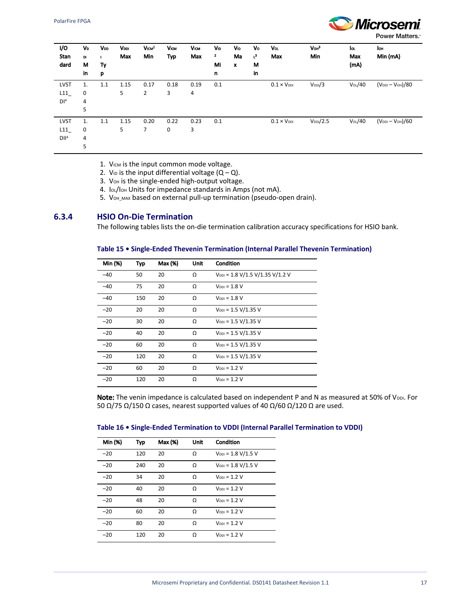

Power Matters.<sup>®</sup>

| I/O<br>Stan<br>dard                    | VD<br>DI<br>M<br>in | VDD<br>Ту<br>p | VDDI<br>Max | V <sub>ICM</sub> <sup>1</sup><br>Min | <b>VICM</b><br><b>Typ</b> | <b>VICM</b><br>Max | Vıp<br>$\mathbf{z}$<br>Mi<br>n | Vıp<br>Ma<br>$\pmb{\mathsf{x}}$ | Vo<br>$t^3$<br>M<br>in | Vol<br>Max           | V <sub>OH</sub> <sup>3</sup><br>Min | lor<br>Max<br>(mA) | lон<br>Min (mA)   |
|----------------------------------------|---------------------|----------------|-------------|--------------------------------------|---------------------------|--------------------|--------------------------------|---------------------------------|------------------------|----------------------|-------------------------------------|--------------------|-------------------|
| <b>LVST</b><br>L11<br>DI <sup>4</sup>  | 1.<br>0<br>4<br>5   | 1.1            | 1.15<br>5   | 0.17<br>2                            | 0.18<br>3                 | 0.19<br>4          | 0.1                            |                                 |                        | $0.1 \times V_{DDI}$ | $V_{DD}/3$                          | Vol/40             | $(VDDI - VOH)/80$ |
| <b>LVST</b><br>L11<br>DII <sup>4</sup> | 1.<br>0<br>4<br>5   | 1.1            | 1.15<br>5   | 0.20<br>7                            | 0.22<br>0                 | 0.23<br>3          | 0.1                            |                                 |                        | $0.1 \times V_{DDI}$ | $V_{DDI}/2.5$                       | Vol/40             | $(VDDI - VOH)/60$ |

1. VICM is the input common mode voltage.

- 2. V<sub>ID</sub> is the input differential voltage  $(Q Q)$ .
- 3. VoH is the single-ended high-output voltage.
- 4. IOL/IOH Units for impedance standards in Amps (not mA).
- 5. VOH\_MAX based on external pull-up termination (pseudo-open drain).

### <span id="page-20-0"></span>**6.3.4 HSIO On-Die Termination**

The following tables lists the on-die termination calibration accuracy specifications for HSIO bank.

#### **Table 15 • Single-Ended Thevenin Termination (Internal Parallel Thevenin Termination)**

| Min (%) | Typ | Max (%) | Unit | Condition                                                            |
|---------|-----|---------|------|----------------------------------------------------------------------|
| $-40$   | 50  | 20      | Ω    | $V_{DDI} = 1.8 \text{ V}/1.5 \text{ V}/1.35 \text{ V}/1.2 \text{ V}$ |
| $-40$   | 75  | 20      | Ω    | $V_{\text{DDI}} = 1.8 V$                                             |
| $-40$   | 150 | 20      | Ω    | $V_{\text{DDI}} = 1.8 V$                                             |
| $-20$   | 20  | 20      | Ω    | $V_{DDI} = 1.5 V/1.35 V$                                             |
| $-20$   | 30  | 20      | Ω    | $V_{DDI} = 1.5 V/1.35 V$                                             |
| $-20$   | 40  | 20      | Ω    | $V_{DDI} = 1.5 V/1.35 V$                                             |
| $-20$   | 60  | 20      | Ω    | $V_{DDI} = 1.5 V/1.35 V$                                             |
| $-20$   | 120 | 20      | Ω    | $V_{DDI} = 1.5 V/1.35 V$                                             |
| $-20$   | 60  | 20      | Ω    | $V_{\text{DDI}} = 1.2 V$                                             |
| $-20$   | 120 | 20      | Ω    | $V_{\text{DDI}} = 1.2 V$                                             |

Note: The venin impedance is calculated based on independent P and N as measured at 50% of VDDI. For 50 Ω/75 Ω/150 Ω cases, nearest supported values of 40 Ω/60 Ω/120 Ω are used.

| Table 16 . Single-Ended Termination to VDDI (Internal Parallel Termination to VDDI) |  |  |  |  |
|-------------------------------------------------------------------------------------|--|--|--|--|
|-------------------------------------------------------------------------------------|--|--|--|--|

| Min (%) | Typ | Max (%) | Unit | Condition                |
|---------|-----|---------|------|--------------------------|
| $-20$   | 120 | 20      | Ω    | $V_{DDI} = 1.8 V/1.5 V$  |
| $-20$   | 240 | 20      | Ω    | $V_{DDI} = 1.8 V/1.5 V$  |
| $-20$   | 34  | 20      | Ω    | $V_{\text{DDI}} = 1.2 V$ |
| $-20$   | 40  | 20      | Ω    | $V_{\text{DDI}} = 1.2 V$ |
| $-20$   | 48  | 20      | Ω    | $V_{\text{DDI}} = 1.2 V$ |
| $-20$   | 60  | 20      | Ω    | $V_{\text{DDI}} = 1.2 V$ |
| $-20$   | 80  | 20      | Ω    | $V_{\text{DDI}} = 1.2 V$ |
| $-20$   | 120 | 20      | Ω    | $V_{\text{DDI}} = 1.2 V$ |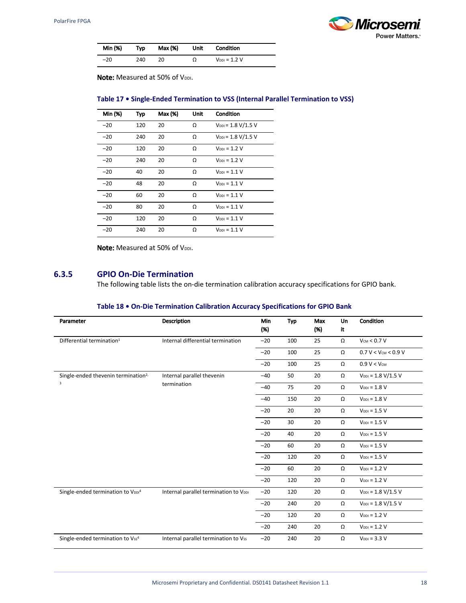

| Min (%) | Typ | Max (%) | Unit | <b>Condition</b>         |
|---------|-----|---------|------|--------------------------|
| $-20$   | 240 | 20      | Ω    | $V_{\text{DDI}} = 1.2 V$ |

Note: Measured at 50% of VDDI.

#### **Table 17 • Single-Ended Termination to VSS (Internal Parallel Termination to VSS)**

| Min (%) | Typ | Max (%) | Unit | Condition                |
|---------|-----|---------|------|--------------------------|
| $-20$   | 120 | 20      | Ω    | $V_{DDI} = 1.8 V/1.5 V$  |
| $-20$   | 240 | 20      | Ω    | $V_{DDI} = 1.8 V/1.5 V$  |
| $-20$   | 120 | 20      | Ω    | $V_{\text{DDI}} = 1.2 V$ |
| $-20$   | 240 | 20      | Ω    | $V_{\text{DDI}} = 1.2 V$ |
| $-20$   | 40  | 20      | Ω    | $V_{\text{DDI}} = 1.1 V$ |
| $-20$   | 48  | 20      | Ω    | $V_{\text{DDI}} = 1.1 V$ |
| $-20$   | 60  | 20      | Ω    | $V_{\text{DDI}} = 1.1 V$ |
| $-20$   | 80  | 20      | Ω    | $V_{\text{DDI}} = 1.1 V$ |
| $-20$   | 120 | 20      | Ω    | $V_{\text{DDI}} = 1.1 V$ |
| $-20$   | 240 | 20      | Ω    | $V_{\text{DDI}} = 1.1 V$ |

Note: Measured at 50% of VDDI.

### <span id="page-21-0"></span>**6.3.5 GPIO On-Die Termination**

The following table lists the on-die termination calibration accuracy specifications for GPIO bank.

#### **Table 18 • On-Die Termination Calibration Accuracy Specifications for GPIO Bank**

| Parameter                                       | <b>Description</b>                    | Min<br>(% )                                                                                                                     | Typ                      | Max<br>(%) | Un<br>it | Condition                       |
|-------------------------------------------------|---------------------------------------|---------------------------------------------------------------------------------------------------------------------------------|--------------------------|------------|----------|---------------------------------|
| Differential termination <sup>1</sup>           | Internal differential termination     | $-20$                                                                                                                           | 100                      | 25         | Ω        | $V_{CM}$ < 0.7 V                |
|                                                 |                                       | $-20$                                                                                                                           | 100                      | 25         | Ω        | $0.7 V < V_{\text{CM}} < 0.9 V$ |
|                                                 |                                       | $-20$                                                                                                                           | 100                      | 25         | Ω        | $0.9 V < V_{CM}$                |
| Single-ended thevenin termination <sup>2,</sup> | Internal parallel thevenin            | $-40$                                                                                                                           | 50                       | 20         | Ω        | $V_{DDI} = 1.8 V/1.5 V$         |
| 3                                               | termination                           | $-40$                                                                                                                           | 75                       | 20         | Ω        | $V_{\text{DDI}} = 1.8 V$        |
|                                                 |                                       | 20<br>$-40$<br>150<br>Ω<br>20<br>$-20$<br>20<br>Ω<br>$-20$<br>30<br>20<br>Ω<br>20<br>Ω<br>$-20$<br>40<br>$-20$<br>60<br>20<br>Ω | $V_{\text{DDI}} = 1.8 V$ |            |          |                                 |
|                                                 |                                       |                                                                                                                                 |                          |            |          | $V_{\text{DDI}} = 1.5 V$        |
|                                                 |                                       |                                                                                                                                 |                          |            |          | $V_{\text{DDI}} = 1.5 V$        |
|                                                 |                                       |                                                                                                                                 |                          |            |          | $V_{\text{DDI}} = 1.5 V$        |
|                                                 |                                       |                                                                                                                                 |                          |            |          | $V_{\text{DDI}} = 1.5 V$        |
|                                                 |                                       | $-20$                                                                                                                           | 120                      | 20         | Ω        | $V_{\text{DDI}} = 1.5 V$        |
|                                                 |                                       | $-20$                                                                                                                           | 60                       | 20         | Ω        | $V_{\text{DDI}} = 1.2 V$        |
|                                                 |                                       | $-20$                                                                                                                           | 120                      | 20         | Ω        | $V_{\text{DDI}} = 1.2 V$        |
| Single-ended termination to VDDI <sup>4</sup>   | Internal parallel termination to VDDI | $-20$                                                                                                                           | 120                      | 20         | Ω        | $V_{DDI} = 1.8 V/1.5 V$         |
|                                                 |                                       | $-20$                                                                                                                           | 240                      | 20         | Ω        | $V_{DDI} = 1.8 V/1.5 V$         |
|                                                 |                                       | $-20$                                                                                                                           | 120                      | 20         | Ω        | $V_{\text{DDI}} = 1.2 V$        |
|                                                 |                                       | $-20$                                                                                                                           | 240                      | 20         | Ω        | $V_{\text{DDI}} = 1.2 V$        |
| Single-ended termination to Vss <sup>4</sup>    | Internal parallel termination to Vss  | $-20$                                                                                                                           | 240                      | 20         | Ω        | $VDDI = 3.3 V$                  |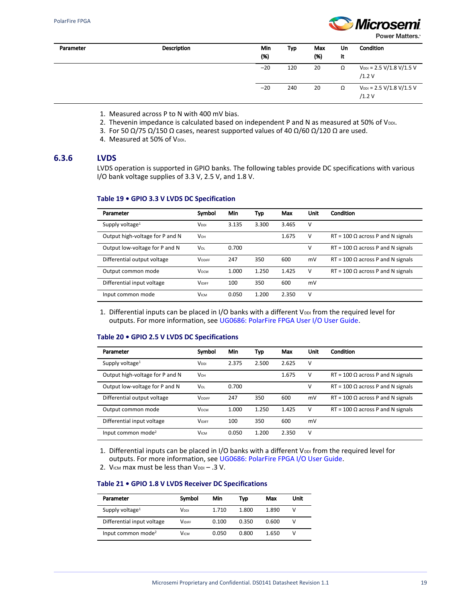

Power Matters.<sup>\*</sup>

| Parameter | Description | Min<br>(% ) | Typ | Max<br>(%) | Un<br>it | Condition                                                                 |
|-----------|-------------|-------------|-----|------------|----------|---------------------------------------------------------------------------|
|           |             | $-20$       | 120 | 20         | Ω        | $V_{\text{DDI}} = 2.5 \text{ V} / 1.8 \text{ V} / 1.5 \text{ V}$<br>/1.2V |
|           |             | $-20$       | 240 | 20         | Ω        | $V_{\text{DDI}} = 2.5 \text{ V} / 1.8 \text{ V} / 1.5 \text{ V}$<br>/1.2V |

- 1. Measured across P to N with 400 mV bias.
- 2. Thevenin impedance is calculated based on independent P and N as measured at 50% of V $_{\text{DDL}}$
- 3. For 50 Ω/75 Ω/150 Ω cases, nearest supported values of 40 Ω/60 Ω/120 Ω are used.
	- 4. Measured at 50% of VDDI.

### <span id="page-22-0"></span>**6.3.6 LVDS**

LVDS operation is supported in GPIO banks. The following tables provide DC specifications with various I/O bank voltage supplies of 3.3 V, 2.5 V, and 1.8 V.

#### **Table 19 • GPIO 3.3 V LVDS DC Specification**

| Parameter                       | Symbol                 | Min   | Typ   | Max   | Unit | Condition                                |
|---------------------------------|------------------------|-------|-------|-------|------|------------------------------------------|
| Supply voltage <sup>1</sup>     | V <sub>DDI</sub>       | 3.135 | 3.300 | 3.465 | v    |                                          |
| Output high-voltage for P and N | <b>V</b> <sub>OН</sub> |       |       | 1.675 | v    | $RT = 100 \Omega$ across P and N signals |
| Output low-voltage for P and N  | VOL                    | 0.700 |       |       | v    | $RT = 100 \Omega$ across P and N signals |
| Differential output voltage     | <b>VODIFF</b>          | 247   | 350   | 600   | mV   | $RT = 100 \Omega$ across P and N signals |
| Output common mode              | <b>V</b> осм           | 1.000 | 1.250 | 1.425 | v    | $RT = 100 \Omega$ across P and N signals |
| Differential input voltage      | <b>VIDIFF</b>          | 100   | 350   | 600   | mV   |                                          |
| Input common mode               | <b>VICM</b>            | 0.050 | 1.200 | 2.350 | ν    |                                          |

1. Differential inputs can be placed in I/O banks with a different V<sub>DDI</sub> from the required level for outputs. For more information, see [UG0686: PolarFire FPGA User I/O User Guide](http://www.microsemi.com/index.php?option=com_docman&task=doc_download&gid=136535).

#### **Table 20 • GPIO 2.5 V LVDS DC Specifications**

| Parameter                       | Symbol                 | Min   | Typ   | Max   | Unit | Condition                                |
|---------------------------------|------------------------|-------|-------|-------|------|------------------------------------------|
|                                 |                        |       |       |       |      |                                          |
| Supply voltage <sup>1</sup>     | V <sub>DDI</sub>       | 2.375 | 2.500 | 2.625 | v    |                                          |
| Output high-voltage for P and N | <b>V</b> <sub>OН</sub> |       |       | 1.675 | v    | $RT = 100 \Omega$ across P and N signals |
| Output low-voltage for P and N  | VOL                    | 0.700 |       |       | ν    | $RT = 100 \Omega$ across P and N signals |
| Differential output voltage     | <b>VODIFF</b>          | 247   | 350   | 600   | mV   | $RT = 100 \Omega$ across P and N signals |
| Output common mode              | <b>V</b> осм           | 1.000 | 1.250 | 1.425 | v    | $RT = 100 \Omega$ across P and N signals |
| Differential input voltage      | <b>VIDIFF</b>          | 100   | 350   | 600   | mV   |                                          |
| Input common mode <sup>2</sup>  | <b>VICM</b>            | 0.050 | 1.200 | 2.350 | v    |                                          |

1. Differential inputs can be placed in I/O banks with a different V<sub>DDI</sub> from the required level for outputs. For more information, see [UG0686: PolarFire FPGA I/O User Guide](http://www.microsemi.com/index.php?option=com_docman&task=doc_download&gid=136535).

2. VICM max must be less than  $V_{DDI} - .3$  V.

#### **Table 21 • GPIO 1.8 V LVDS Receiver DC Specifications**

| Parameter                      | Symbol        | Min   | Tvp   | Max   | Unit |
|--------------------------------|---------------|-------|-------|-------|------|
| Supply voltage <sup>1</sup>    | Vppi          | 1.710 | 1.800 | 1.890 |      |
| Differential input voltage     | <b>VIDIFF</b> | 0.100 | 0.350 | 0.600 |      |
| Input common mode <sup>2</sup> | Vісм          | 0.050 | 0.800 | 1.650 |      |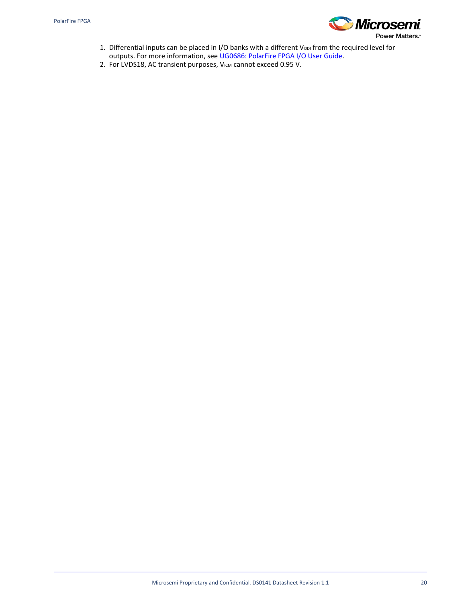

- 1. Differential inputs can be placed in I/O banks with a different V<sub>DDI</sub> from the required level for outputs. For more information, see [UG0686: PolarFire FPGA I/O User Guide](http://www.microsemi.com/index.php?option=com_docman&task=doc_download&gid=136535).
- 2. For LVDS18, AC transient purposes, VICM cannot exceed 0.95 V.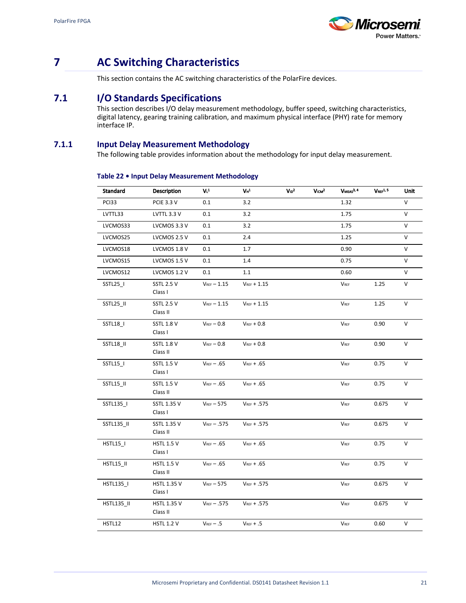

# <span id="page-24-0"></span>**7 AC Switching Characteristics**

This section contains the AC switching characteristics of the PolarFire devices.

## <span id="page-24-1"></span>**7.1 I/O Standards Specifications**

This section describes I/O delay measurement methodology, buffer speed, switching characteristics, digital latency, gearing training calibration, and maximum physical interface (PHY) rate for memory interface IP.

## <span id="page-24-2"></span>**7.1.1 Input Delay Measurement Methodology**

The following table provides information about the methodology for input delay measurement.

| Standard          | <b>Description</b>            | V <sup>1</sup>    | $V_{H}$ <sup>1</sup> | $V_{1D}^2$ | $V \text{cm}^2$ | $V$ MEAS $^{3, 4}$ | V <sub>REF</sub> 1, 3 | Unit   |
|-------------------|-------------------------------|-------------------|----------------------|------------|-----------------|--------------------|-----------------------|--------|
| PCI33             | PCIE 3.3 V                    | 0.1               | 3.2                  |            |                 | 1.32               |                       | $\vee$ |
| LVTTL33           | LVTTL 3.3 V                   | 0.1               | 3.2                  |            |                 | 1.75               |                       | V      |
| LVCMOS33          | LVCMOS 3.3 V                  | 0.1               | 3.2                  |            |                 | 1.75               |                       | V      |
| LVCMOS25          | LVCMOS 2.5 V                  | 0.1               | 2.4                  |            |                 | 1.25               |                       | V      |
| LVCMOS18          | LVCMOS 1.8 V                  | 0.1               | 1.7                  |            |                 | 0.90               |                       | V      |
| LVCMOS15          | LVCMOS 1.5 V                  | 0.1               | 1.4                  |            |                 | 0.75               |                       | V      |
| LVCMOS12          | LVCMOS 1.2 V                  | 0.1               | 1.1                  |            |                 | 0.60               |                       | $\vee$ |
| SSTL25_I          | <b>SSTL 2.5 V</b><br>Class I  | $V_{REF}$ - 1.15  | $V_{REF}$ + 1.15     |            |                 | $V_{REF}$          | 1.25                  | V      |
| SSTL25 II         | <b>SSTL 2.5 V</b><br>Class II | $V_{REF}$ - 1.15  | $V_{REF}$ + 1.15     |            |                 | <b>VREF</b>        | 1.25                  | $\vee$ |
| SSTL18_I          | <b>SSTL 1.8 V</b><br>Class I  | $V_{REF}$ $-$ 0.8 | $V_{REF} + 0.8$      |            |                 | $V_{REF}$          | 0.90                  | V      |
| SSTL18_II         | <b>SSTL 1.8 V</b><br>Class II | $V_{REF}-0.8$     | $V_{REF} + 0.8$      |            |                 | $V_{REF}$          | 0.90                  | V      |
| SSTL15_I          | <b>SSTL 1.5 V</b><br>Class I  | $V_{REF} - .65$   | $V_{REF} + .65$      |            |                 | $V_{REF}$          | 0.75                  | V      |
| SSTL15_II         | <b>SSTL 1.5 V</b><br>Class II | $V_{REF} - .65$   | $V_{REF} + .65$      |            |                 | VREF               | 0.75                  | $\vee$ |
| SSTL135_I         | SSTL 1.35 V<br>Class I        | $V_{REF}-575$     | $V_{REF} + .575$     |            |                 | VREF               | 0.675                 | V      |
| SSTL135_II        | SSTL 1.35 V<br>Class II       | $V_{REF}$ - .575  | $V_{REF} + .575$     |            |                 | <b>VREF</b>        | 0.675                 | V      |
| HSTL15_I          | <b>HSTL 1.5 V</b><br>Class I  | $V_{REF} - .65$   | $V_{REF} + .65$      |            |                 | VREF               | 0.75                  | V      |
| HSTL15_II         | <b>HSTL 1.5 V</b><br>Class II | $V_{REF} - .65$   | $V_{REF} + .65$      |            |                 | VREF               | 0.75                  | V      |
| HSTL135_I         | <b>HSTL 1.35 V</b><br>Class I | $V_{REF}$ $-$ 575 | $V_{REF} + .575$     |            |                 | VREF               | 0.675                 | V      |
| <b>HSTL135_II</b> | HSTL 1.35 V<br>Class II       | $V_{REF}$ - .575  | $V_{REF} + .575$     |            |                 | $V_{REF}$          | 0.675                 | V      |
| HSTL12            | HSTL 1.2 V                    | $V_{REF} - .5$    | $V_{REF} + .5$       |            |                 | <b>VREF</b>        | 0.60                  | V      |

#### **Table 22 • Input Delay Measurement Methodology**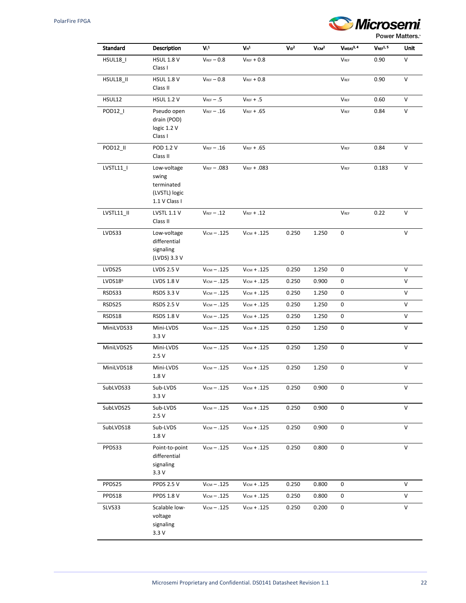

| Standard            | Description                                                          | V <sup>1</sup>   | $V_{H}^{1}$             | $V_{1D}^2$ | $V$ <sub>ICM</sub> $2$ | VMEAS <sup>3, 4</sup> | V <sub>REF</sub> 1.5 | Unit |
|---------------------|----------------------------------------------------------------------|------------------|-------------------------|------------|------------------------|-----------------------|----------------------|------|
| HSUL18_I            | <b>HSUL 1.8 V</b><br>Class I                                         | $V_{REF} - 0.8$  | $V_{REF} + 0.8$         |            |                        | $V_{REF}$             | 0.90                 | V    |
| HSUL18_II           | <b>HSUL 1.8 V</b><br>Class II                                        | $V_{REF} - 0.8$  | $V_{REF} + 0.8$         |            |                        | $V_{REF}$             | 0.90                 | V    |
| HSUL12              | <b>HSUL 1.2 V</b>                                                    | $V_{REF} - .5$   | $V_{REF} + .5$          |            |                        | $V_{REF}$             | 0.60                 | V    |
| POD12_I             | Pseudo open<br>drain (POD)<br>logic 1.2 V<br>Class I                 | $V_{REF} - .16$  | $V_{REF} + .65$         |            |                        | $V_{REF}$             | 0.84                 | V    |
| POD12_II            | POD 1.2 V<br>Class II                                                | $V_{REF} - .16$  | $V_{REF} + .65$         |            |                        | $V_{REF}$             | 0.84                 | V    |
| LVSTL11_I           | Low-voltage<br>swing<br>terminated<br>(LVSTL) logic<br>1.1 V Class I | $V_{REF}$ - .083 | $V_{REF} + .083$        |            |                        | $V_{REF}$             | 0.183                | V    |
| LVSTL11 II          | LVSTL 1.1 V<br>Class II                                              | $V_{REF} - .12$  | $V_{REF} + .12$         |            |                        | $V_{REF}$             | 0.22                 | V    |
| LVDS33              | Low-voltage<br>differential<br>signaling<br>(LVDS) 3.3 V             | $VICM - .125$    | $V_{ICM} + .125$        | 0.250      | 1.250                  | 0                     |                      | V    |
| LVDS25              | LVDS 2.5 V                                                           | $V_{ICM} - .125$ | $V_{ICM} + .125$        | 0.250      | 1.250                  | 0                     |                      | V    |
| LVDS18 <sup>6</sup> | LVDS 1.8 V                                                           | $V_{ICM} - .125$ | $V_{ICM} + .125$        | 0.250      | 0.900                  | 0                     |                      | V    |
| RSDS33              | <b>RSDS 3.3 V</b>                                                    | $V_{ICM} - .125$ | $VICM + .125$           | 0.250      | 1.250                  | 0                     |                      | V    |
| RSDS25              | <b>RSDS 2.5 V</b>                                                    | $V_{ICM} - .125$ | $V_{ICM} + .125$        | 0.250      | 1.250                  | 0                     |                      | V    |
| RSDS18              | <b>RSDS 1.8 V</b>                                                    | $V_{ICM} - .125$ | $V_{ICM} + .125$        | 0.250      | 1.250                  | 0                     |                      | V    |
| MiniLVDS33          | Mini-LVDS<br>3.3V                                                    | $V_{ICM} - .125$ | $VICM + .125$           | 0.250      | 1.250                  | 0                     |                      | V    |
| MiniLVDS25          | Mini-LVDS<br>2.5V                                                    | $V_{ICM} - .125$ | $V_{ICM} + .125$        | 0.250      | 1.250                  | 0                     |                      | V    |
| MiniLVDS18          | Mini-LVDS<br>1.8 V                                                   | $V_{ICM} - .125$ | $V_{ICM} + .125$        | 0.250      | 1.250                  | 0                     |                      | V    |
| SubLVDS33           | Sub-LVDS<br>3.3V                                                     | $V_{ICM} - .125$ | $V_{ICM} + .125$        | 0.250      | 0.900                  | 0                     |                      | V    |
| SubLVDS25           | Sub-LVDS<br>2.5V                                                     | $V_{ICM} - .125$ | $V_{ICM} + .125$        | 0.250      | 0.900                  | 0                     |                      | V    |
| SubLVDS18           | Sub-LVDS<br>1.8 V                                                    | $V_{ICM} - .125$ | $VICM + .125$           | 0.250      | 0.900                  | 0                     |                      | V    |
| PPDS33              | Point-to-point<br>differential<br>signaling<br>3.3V                  | $V_{ICM} - .125$ | $V_{ICM} + .125$        | 0.250      | 0.800                  | 0                     |                      | V    |
| PPDS25              | <b>PPDS 2.5 V</b>                                                    | $V_{ICM} - .125$ | $V_{ICM} + .125$        | 0.250      | 0.800                  | 0                     |                      | V    |
| PPDS18              | <b>PPDS 1.8 V</b>                                                    | $V_{ICM} - .125$ | $V_{\text{ICM}} + .125$ | 0.250      | 0.800                  | 0                     |                      | V    |
| SLVS33              | Scalable low-<br>voltage<br>signaling<br>3.3V                        | $V_{ICM} - .125$ | $V_{ICM} + .125$        | 0.250      | 0.200                  | 0                     |                      | V    |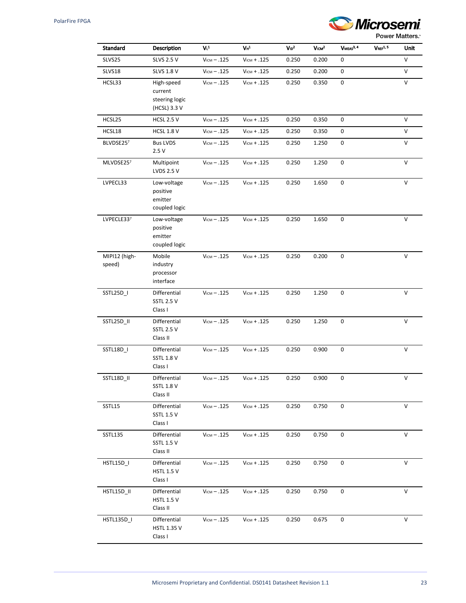

| Standard                | <b>Description</b>                                      | V <sub>L</sub> 1 | $V_{\rm H}^{\rm 1}$ | $V_{1D}^2$ | Vcm <sup>2</sup> | $V$ MEAS $^{3, 4}$ | V <sub>REF</sub> 1.5 | Unit   |
|-------------------------|---------------------------------------------------------|------------------|---------------------|------------|------------------|--------------------|----------------------|--------|
| SLVS25                  | <b>SLVS 2.5 V</b>                                       | $V_{ICM} - .125$ | $V_{ICM} + .125$    | 0.250      | 0.200            | 0                  |                      | V      |
| SLVS18                  | <b>SLVS 1.8 V</b>                                       | $V_{ICM} - .125$ | $V_{ICM} + .125$    | 0.250      | 0.200            | 0                  |                      | V      |
| HCSL33                  | High-speed<br>current<br>steering logic<br>(HCSL) 3.3 V | $V_{ICM} - .125$ | $VICM + .125$       | 0.250      | 0.350            | 0                  |                      | V      |
| HCSL25                  | <b>HCSL 2.5 V</b>                                       | $V_{ICM} - .125$ | $VICM + .125$       | 0.250      | 0.350            | 0                  |                      | V      |
| HCSL18                  | <b>HCSL 1.8 V</b>                                       | $V_{ICM} - .125$ | $VICM + .125$       | 0.250      | 0.350            | 0                  |                      | $\vee$ |
| BLVDSE257               | <b>Bus LVDS</b><br>2.5V                                 | $V_{ICM} - .125$ | $VICM + .125$       | 0.250      | 1.250            | 0                  |                      | V      |
| MLVDSE257               | Multipoint<br>LVDS 2.5 V                                | $V_{ICM} - .125$ | $VICM + .125$       | 0.250      | 1.250            | 0                  |                      | V      |
| LVPECL33                | Low-voltage<br>positive<br>emitter<br>coupled logic     | $V_{ICM} - .125$ | $VICM + .125$       | 0.250      | 1.650            | 0                  |                      | V      |
| LVPECLE337              | Low-voltage<br>positive<br>emitter<br>coupled logic     | $V_{ICM} - .125$ | $V_{ICM} + .125$    | 0.250      | 1.650            | 0                  |                      | V      |
| MIPI12 (high-<br>speed) | Mobile<br>industry<br>processor<br>interface            | $V_{ICM} - .125$ | $V_{ICM} + .125$    | 0.250      | 0.200            | 0                  |                      | $\vee$ |
| SSTL25D_I               | Differential<br><b>SSTL 2.5 V</b><br>Class I            | $V_{ICM} - .125$ | $V_{ICM} + .125$    | 0.250      | 1.250            | 0                  |                      | V      |
| SSTL25D_II              | Differential<br><b>SSTL 2.5 V</b><br>Class II           | $V_{ICM} - .125$ | $V_{ICM} + .125$    | 0.250      | 1.250            | $\pmb{0}$          |                      | V      |
| SSTL18D_I               | Differential<br><b>SSTL 1.8 V</b><br>Class I            | $V_{ICM} - .125$ | $V_{ICM} + .125$    | 0.250      | 0.900            | 0                  |                      | $\vee$ |
| SSTL18D_II              | Differential<br><b>SSTL 1.8 V</b><br>Class II           | $V_{ICM} - .125$ | $VICM + .125$       | 0.250      | 0.900            | 0                  |                      | V      |
| SSTL15                  | Differential<br><b>SSTL 1.5 V</b><br>Class I            | $V_{ICM} - .125$ | $VICM + .125$       | 0.250      | 0.750            | 0                  |                      | V      |
| <b>SSTL135</b>          | Differential<br><b>SSTL 1.5 V</b><br>Class II           | $V_{ICM} - .125$ | $V_{ICM} + .125$    | 0.250      | 0.750            | 0                  |                      | V      |
| HSTL15D_I               | Differential<br><b>HSTL 1.5 V</b><br>Class I            | $V_{ICM} - .125$ | $VICM + .125$       | 0.250      | 0.750            | 0                  |                      | V      |
| HSTL15D_II              | Differential<br><b>HSTL 1.5 V</b><br>Class II           | $V_{ICM} - .125$ | $V_{ICM} + .125$    | 0.250      | 0.750            | 0                  |                      | V      |
| HSTL135D_I              | Differential<br><b>HSTL 1.35 V</b><br>Class I           | $V_{ICM} - .125$ | $VICM + .125$       | 0.250      | 0.675            | 0                  |                      | V      |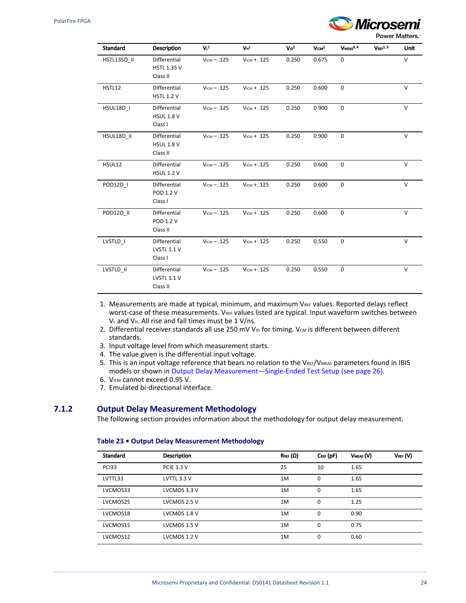

| <b>Standard</b> | <b>Description</b>                             | V <sub>L</sub>   | $V_{H}$ <sup>1</sup> | $V_{1D}^2$ | V <sub>ICM</sub> <sup>2</sup> | VMEAS <sup>3, 4</sup> | V <sub>RF</sub> 1.5 | Unit   |
|-----------------|------------------------------------------------|------------------|----------------------|------------|-------------------------------|-----------------------|---------------------|--------|
| HSTL135D II     | Differential<br><b>HSTL 1.35 V</b><br>Class II | $V_{ICM} - .125$ | $V_{ICM} + .125$     | 0.250      | 0.675                         | 0                     |                     | $\vee$ |
| HSTL12          | Differential<br><b>HSTL 1.2 V</b>              | $VICM - .125$    | $V_{ICM} + .125$     | 0.250      | 0.600                         | $\mathbf 0$           |                     | $\vee$ |
| HSUL18D I       | Differential<br><b>HSUL 1.8 V</b><br>Class I   | $V_{ICM} - .125$ | $V_{ICM} + .125$     | 0.250      | 0.900                         | $\mathbf 0$           |                     | $\vee$ |
| HSUL18D II      | Differential<br><b>HSUL 1.8 V</b><br>Class II  | $V_{ICM} - .125$ | $V_{ICM} + .125$     | 0.250      | 0.900                         | $\mathbf 0$           |                     | V      |
| HSUL12          | Differential<br><b>HSUL 1.2 V</b>              | $V_{ICM} - .125$ | $V_{ICM} + .125$     | 0.250      | 0.600                         | $\mathbf 0$           |                     | $\vee$ |
| POD12D I        | Differential<br>POD 1.2 V<br>Class I           | $V_{ICM} - .125$ | $V_{ICM} + .125$     | 0.250      | 0.600                         | $\mathbf 0$           |                     | $\vee$ |
| POD12D_II       | Differential<br>POD 1.2 V<br>Class II          | $V_{ICM} - .125$ | $V_{ICM} + .125$     | 0.250      | 0.600                         | $\mathbf 0$           |                     | $\vee$ |
| LVSTLD_I        | Differential<br>LVSTL 1.1 V<br>Class I         | $V_{ICM} - .125$ | $V_{ICM} + .125$     | 0.250      | 0.550                         | $\mathbf 0$           |                     | V      |
| LVSTLD_II       | Differential<br>LVSTL 1.1 V<br>Class II        | $V_{ICM} - .125$ | $V_{ICM} + .125$     | 0.250      | 0.550                         | $\mathbf 0$           |                     | $\vee$ |

1. Measurements are made at typical, minimum, and maximum VREF values. Reported delays reflect worst-case of these measurements. VREF values listed are typical. Input waveform switches between  $V<sub>L</sub>$  and  $V<sub>H</sub>$ . All rise and fall times must be 1 V/ns.

- 2. Differential receiver standards all use 250 mV VID for timing. Vcm is different between different standards.
- 3. Input voltage level from which measurement starts.
- 4. The value given is the differential input voltage.
- 5. This is an input voltage reference that bears no relation to the  $V_{\text{REF}}/V_{\text{MEAS}}$  parameters found in IBIS models or shown in [Output Delay Measurement—Single-Ended Test Setup \(see page 26\).](#page-29-2)
- 6. VICM cannot exceed 0.95 V.
- 7. Emulated bi-directional interface.

### <span id="page-27-0"></span>**7.1.2 Output Delay Measurement Methodology**

The following section provides information about the methodology for output delay measurement.

#### **Table 23 • Output Delay Measurement Methodology**

| <b>Standard</b> | <b>Description</b> | $R_{REF}(\Omega)$ | $C_{REF}$ (pF) | VMEAS (V) | $V_{REF}(V)$ |
|-----------------|--------------------|-------------------|----------------|-----------|--------------|
| <b>PCI33</b>    | <b>PCIE 3.3 V</b>  | 25                | 10             | 1.65      |              |
| LVTTL33         | LVTTL 3.3 V        | 1M                | 0              | 1.65      |              |
| LVCMOS33        | LVCMOS 3.3 V       | 1M                | 0              | 1.65      |              |
| LVCMOS25        | LVCMOS 2.5 V       | 1M                | 0              | 1.25      |              |
| LVCMOS18        | LVCMOS 1.8 V       | 1M                | 0              | 0.90      |              |
| LVCMOS15        | LVCMOS 1.5 V       | 1M                | 0              | 0.75      |              |
| LVCMOS12        | LVCMOS 1.2 V       | 1M                | 0              | 0.60      |              |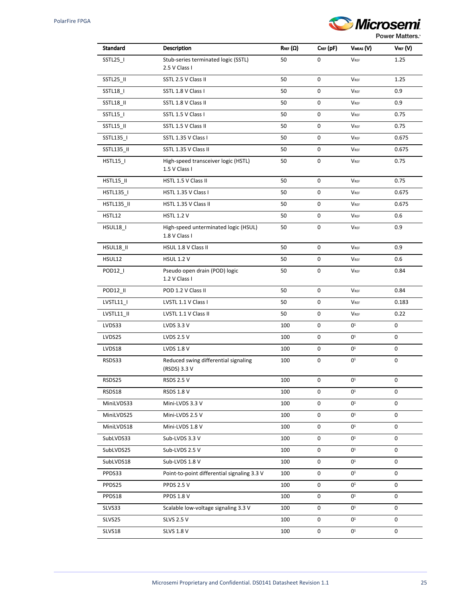

| Standard              | <b>Description</b>                                    | $R_{REF}(\Omega)$ | $C_{REF}$ (pF) | VMEAS (V)      | $V_{REF}(V)$ |
|-----------------------|-------------------------------------------------------|-------------------|----------------|----------------|--------------|
| SSTL25_I              | Stub-series terminated logic (SSTL)<br>2.5 V Class I  | 50                | 0              | <b>VREF</b>    | 1.25         |
| SSTL25_II             | SSTL 2.5 V Class II                                   | 50                | 0              | <b>VREF</b>    | 1.25         |
| SSTL18_I              | SSTL 1.8 V Class I                                    | 50                | 0              | <b>VREF</b>    | 0.9          |
| SSTL18_II             | SSTL 1.8 V Class II                                   | 50                | 0              | <b>VREF</b>    | 0.9          |
| SSTL15_I              | SSTL 1.5 V Class I                                    | 50                | 0              | <b>VREF</b>    | 0.75         |
| SSTL15_II             | SSTL 1.5 V Class II                                   | 50                | 0              | VREF           | 0.75         |
| SSTL135_I             | SSTL 1.35 V Class I                                   | 50                | 0              | <b>VREF</b>    | 0.675        |
| SSTL135_II            | SSTL 1.35 V Class II                                  | 50                | 0              | <b>VREF</b>    | 0.675        |
| <b>HSTL15_I</b>       | High-speed transceiver logic (HSTL)<br>1.5 V Class I  | 50                | 0              | VREF           | 0.75         |
| HSTL15_II             | HSTL 1.5 V Class II                                   | 50                | 0              | <b>VREF</b>    | 0.75         |
| HSTL135 I             | HSTL 1.35 V Class I                                   | 50                | 0              | VREF           | 0.675        |
| <b>HSTL135_II</b>     | HSTL 1.35 V Class II                                  | 50                | 0              | <b>VREF</b>    | 0.675        |
| HSTL12                | <b>HSTL 1.2 V</b>                                     | 50                | 0              | <b>VREF</b>    | 0.6          |
| HSUL18_I              | High-speed unterminated logic (HSUL)<br>1.8 V Class I | 50                | 0              | <b>VREF</b>    | 0.9          |
| HSUL18_II             | HSUL 1.8 V Class II                                   | 50                | 0              | <b>VREF</b>    | 0.9          |
| HSUL12                | <b>HSUL 1.2 V</b>                                     | 50                | 0              | <b>VREF</b>    | 0.6          |
| POD12_I               | Pseudo open drain (POD) logic<br>1.2 V Class I        | 50                | 0              | VREF           | 0.84         |
| POD <sub>12</sub> _II | POD 1.2 V Class II                                    | 50                | 0              | <b>VREF</b>    | 0.84         |
| LVSTL11_I             | LVSTL 1.1 V Class I                                   | 50                | 0              | <b>VREF</b>    | 0.183        |
| LVSTL11_II            | LVSTL 1.1 V Class II                                  | 50                | 0              | <b>VREF</b>    | 0.22         |
| LVDS33                | LVDS 3.3 V                                            | 100               | 0              | $0^1$          | 0            |
| LVDS25                | <b>LVDS 2.5 V</b>                                     | 100               | 0              | 0 <sup>1</sup> | 0            |
| LVDS18                | LVDS 1.8 V                                            | 100               | 0              | 0 <sup>1</sup> | 0            |
| RSDS33                | Reduced swing differential signaling<br>(RSDS) 3.3 V  | 100               | 0              | 0 <sup>1</sup> | 0            |
| RSDS25                | <b>RSDS 2.5 V</b>                                     | 100               | 0              | 0 <sup>1</sup> | 0            |
| RSDS18                | <b>RSDS 1.8 V</b>                                     | 100               | 0              | 0 <sup>1</sup> | 0            |
| MiniLVDS33            | Mini-LVDS 3.3 V                                       | 100               | 0              | 0 <sup>1</sup> | 0            |
| MiniLVDS25            | Mini-LVDS 2.5 V                                       | 100               | 0              | 0 <sup>1</sup> | 0            |
| MiniLVDS18            | Mini-LVDS 1.8 V                                       | 100               | 0              | $0^1$          | 0            |
| SubLVDS33             | Sub-LVDS 3.3 V                                        | 100               | 0              | $0^1$          | 0            |
| SubLVDS25             | Sub-LVDS 2.5 V                                        | 100               | 0              | $0^1$          | 0            |
| SubLVDS18             | Sub-LVDS 1.8 V                                        | 100               | 0              | 0 <sup>1</sup> | 0            |
| PPDS33                | Point-to-point differential signaling 3.3 V           | 100               | 0              | $0^1$          | 0            |
| PPDS25                | <b>PPDS 2.5 V</b>                                     | 100               | 0              | 0 <sup>1</sup> | 0            |
| PPDS18                | <b>PPDS 1.8 V</b>                                     | 100               | 0              | 0 <sup>1</sup> | 0            |
| SLVS33                | Scalable low-voltage signaling 3.3 V                  | 100               | 0              | 0 <sup>1</sup> | 0            |
| SLVS25                | <b>SLVS 2.5 V</b>                                     | 100               | 0              | 0 <sup>1</sup> | 0            |
| SLVS18                | <b>SLVS 1.8 V</b>                                     | 100               | 0              | $0^1$          | 0            |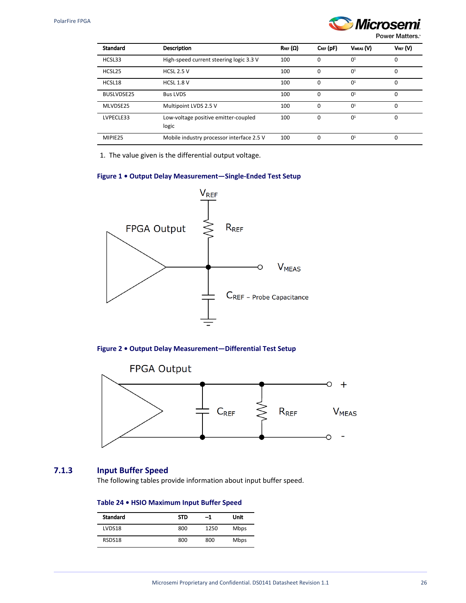

Power Matters.<sup>®</sup>

| <b>Standard</b> | <b>Description</b>                            | $R_{REF}(\Omega)$ | $C_{REF}$ (pF) | VMEAS (V)      | $V_{REF}(V)$ |
|-----------------|-----------------------------------------------|-------------------|----------------|----------------|--------------|
| HCSL33          | High-speed current steering logic 3.3 V       | 100               | $\Omega$       | 0 <sup>1</sup> | $\Omega$     |
| HCSL25          | <b>HCSL 2.5 V</b>                             | 100               | $\Omega$       | 0 <sup>1</sup> | $\Omega$     |
| HCSL18          | <b>HCSL 1.8 V</b>                             | 100               | $\Omega$       | 0 <sup>1</sup> | 0            |
| BUSLVDSE25      | <b>Bus LVDS</b>                               | 100               | $\Omega$       | 0 <sup>1</sup> | $\Omega$     |
| MLVDSE25        | Multipoint LVDS 2.5 V                         | 100               | $\Omega$       | 0 <sup>1</sup> | $\Omega$     |
| LVPECLE33       | Low-voltage positive emitter-coupled<br>logic | 100               | $\Omega$       | 0 <sup>1</sup> | 0            |
| MIPIE25         | Mobile industry processor interface 2.5 V     | 100               | 0              | 0 <sup>1</sup> | $\Omega$     |

1. The value given is the differential output voltage.

### <span id="page-29-2"></span>**Figure 1 • Output Delay Measurement—Single-Ended Test Setup**



**Figure 2 • Output Delay Measurement—Differential Test Setup**



## <span id="page-29-1"></span><span id="page-29-0"></span>**7.1.3 Input Buffer Speed**

The following tables provide information about input buffer speed.

## **Table 24 • HSIO Maximum Input Buffer Speed**

| <b>Standard</b> | <b>STD</b> | -1   | Unit        |
|-----------------|------------|------|-------------|
| LVDS18          | 800        | 1250 | <b>Mbps</b> |
| RSDS18          | 800        | 800  | <b>Mbps</b> |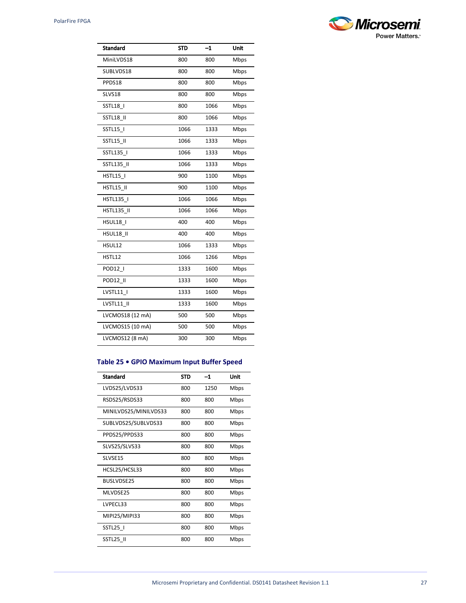| <b>&amp; Microsemi</b> |
|------------------------|
| <b>Power Matters.</b>  |

| <b>Standard</b>   | STD  | $-1$ | Unit |
|-------------------|------|------|------|
| MiniLVDS18        | 800  | 800  | Mbps |
| SUBLVDS18         | 800  | 800  | Mbps |
| PPDS18            | 800  | 800  | Mbps |
| SLVS18            | 800  | 800  | Mbps |
| SSTL18            | 800  | 1066 | Mbps |
| SSTL18 II         | 800  | 1066 | Mbps |
| SSTL15            | 1066 | 1333 | Mbps |
| SSTL15 II         | 1066 | 1333 | Mbps |
| SSTL135_I         | 1066 | 1333 | Mbps |
| SSTL135 II        | 1066 | 1333 | Mbps |
| <b>HSTL15  </b>   | 900  | 1100 | Mbps |
| HSTL15 II         | 900  | 1100 | Mbps |
| HSTL135 I         | 1066 | 1066 | Mbps |
| <b>HSTL135 II</b> | 1066 | 1066 | Mbps |
| HSUL18 I          | 400  | 400  | Mbps |
| HSUL18 II         | 400  | 400  | Mbps |
| HSUL12            | 1066 | 1333 | Mbps |
| HSTL12            | 1066 | 1266 | Mbps |
| POD12             | 1333 | 1600 | Mbps |
| POD12 II          | 1333 | 1600 | Mbps |
| LVSTL11           | 1333 | 1600 | Mbps |
| LVSTL11 II        | 1333 | 1600 | Mbps |
| LVCMOS18 (12 mA)  | 500  | 500  | Mbps |
| LVCMOS15 (10 mA)  | 500  | 500  | Mbps |
| LVCMOS12 (8 mA)   | 300  | 300  | Mbps |
|                   |      |      |      |

## **Table 25 • GPIO Maximum Input Buffer Speed**

| <b>Standard</b>       | <b>STD</b> | -1   | Unit |
|-----------------------|------------|------|------|
| LVDS25/LVDS33         | 800        | 1250 | Mbps |
| RSDS25/RSDS33         | 800        | 800  | Mbps |
| MINILVDS25/MINILVDS33 | 800        | 800  | Mbps |
| SUBLVDS25/SUBLVDS33   | 800        | 800  | Mbps |
| PPDS25/PPDS33         | 800        | 800  | Mbps |
| SLVS25/SLVS33         | 800        | 800  | Mbps |
| SLVSE15               | 800        | 800  | Mbps |
| HCSL25/HCSL33         | 800        | 800  | Mbps |
| <b>BUSLVDSE25</b>     | 800        | 800  | Mbps |
| MI VDSE25             | 800        | 800  | Mbps |
| LVPECL33              | 800        | 800  | Mbps |
| MIPI25/MIPI33         | 800        | 800  | Mbps |
| SSTL25 I              | 800        | 800  | Mbps |
| SSTL25 II             | 800        | 800  | Mbps |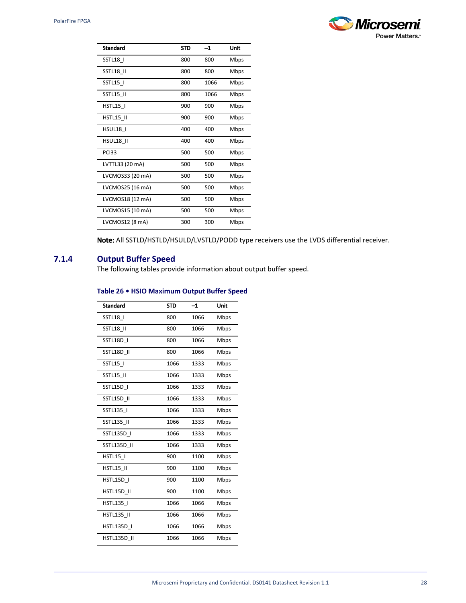

| <b>Standard</b>  | STD | $-1$ | Unit |
|------------------|-----|------|------|
| SSTL18 I         | 800 | 800  | Mbps |
| <b>SSTL18_II</b> | 800 | 800  | Mbps |
| SSTL15           | 800 | 1066 | Mbps |
| SSTL15 II        | 800 | 1066 | Mbps |
| HSTL15 I         | 900 | 900  | Mbps |
| HSTL15 II        | 900 | 900  | Mbps |
| HSUL18 I         | 400 | 400  | Mbps |
| HSUL18 II        | 400 | 400  | Mbps |
| <b>PCI33</b>     | 500 | 500  | Mbps |
| LVTTL33 (20 mA)  | 500 | 500  | Mbps |
| LVCMOS33 (20 mA) | 500 | 500  | Mbps |
| LVCMOS25 (16 mA) | 500 | 500  | Mbps |
| LVCMOS18 (12 mA) | 500 | 500  | Mbps |
| LVCMOS15 (10 mA) | 500 | 500  | Mbps |
| LVCMOS12 (8 mA)  | 300 | 300  | Mbps |

Note: All SSTLD/HSTLD/HSULD/LVSTLD/PODD type receivers use the LVDS differential receiver.

## <span id="page-31-1"></span><span id="page-31-0"></span>**7.1.4 Output Buffer Speed**

The following tables provide information about output buffer speed.

## **Table 26 • HSIO Maximum Output Buffer Speed**

| <b>Standard</b>    | <b>STD</b> | $-1$ | Unit |
|--------------------|------------|------|------|
| SSTL18             | 800        | 1066 | Mbps |
| <b>SSTL18 II</b>   | 800        | 1066 | Mbps |
| SSTL18D I          | 800        | 1066 | Mbps |
| SSTL18D II         | 800        | 1066 | Mbps |
| SSTL15             | 1066       | 1333 | Mbps |
| SSTL15 II          | 1066       | 1333 | Mbps |
| SSTL15D            | 1066       | 1333 | Mbps |
| SSTL15D II         | 1066       | 1333 | Mbps |
| SSTL135 I          | 1066       | 1333 | Mbps |
| SSTL135 II         | 1066       | 1333 | Mbps |
| SSTL135D           | 1066       | 1333 | Mbps |
| <b>SSTL135D II</b> | 1066       | 1333 | Mbps |
| <b>HSTL15  </b>    | 900        | 1100 | Mbps |
| HSTL15 II          | 900        | 1100 | Mbps |
| <b>HSTL15D I</b>   | 900        | 1100 | Mbps |
| HSTL15D II         | 900        | 1100 | Mbps |
| HSTL135 I          | 1066       | 1066 | Mbps |
| <b>HSTL135 II</b>  | 1066       | 1066 | Mbps |
| HSTL135D           | 1066       | 1066 | Mbps |
| <b>HSTL135D II</b> | 1066       | 1066 | Mbps |
|                    |            |      |      |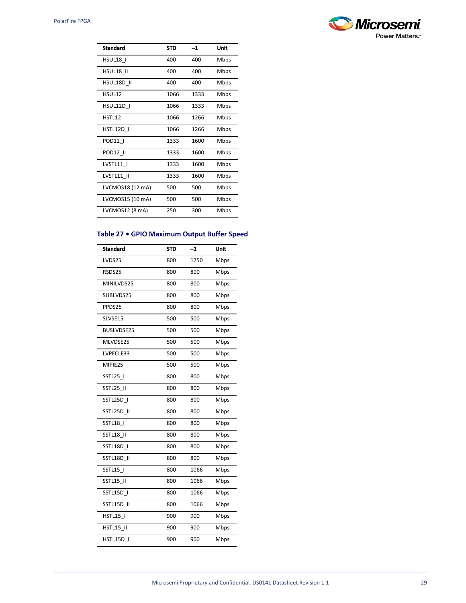

| <b>Standard</b>  | <b>STD</b> | $^{-1}$ | Unit        |
|------------------|------------|---------|-------------|
| HSUL18 I         | 400        | 400     | Mbps        |
| HSUL18 II        | 400        | 400     | Mbps        |
| HSUL18D II       | 400        | 400     | <b>Mbps</b> |
| HSUL12           | 1066       | 1333    | Mbps        |
| HSUL12D I        | 1066       | 1333    | Mbps        |
| HSTL12           | 1066       | 1266    | Mbps        |
| HSTL12D I        | 1066       | 1266    | Mbps        |
| POD12            | 1333       | 1600    | Mbps        |
| POD12 II         | 1333       | 1600    | Mbps        |
| LVSTL11 I        | 1333       | 1600    | Mbps        |
| LVSTL11 II       | 1333       | 1600    | Mbps        |
| LVCMOS18 (12 mA) | 500        | 500     | Mbps        |
| LVCMOS15 (10 mA) | 500        | 500     | Mbps        |
| LVCMOS12 (8 mA)  | 250        | 300     | Mbps        |

## **Table 27 • GPIO Maximum Output Buffer Speed**

| <b>Standard</b> | <b>STD</b> | $-1$ | Unit |
|-----------------|------------|------|------|
| LVDS25          | 800        | 1250 | Mbps |
| RSDS25          | 800        | 800  | Mbps |
| MINILVDS25      | 800        | 800  | Mbps |
| SUBLVDS25       | 800        | 800  | Mbps |
| PPDS25          | 800        | 800  | Mbps |
| SLVSE15         | 500        | 500  | Mbps |
| BUSLVDSE25      | 500        | 500  | Mbps |
| MLVDSE25        | 500        | 500  | Mbps |
| LVPECLE33       | 500        | 500  | Mbps |
| MIPIE25         | 500        | 500  | Mbps |
| SSTL25_I        | 800        | 800  | Mbps |
| SSTL25_II       | 800        | 800  | Mbps |
| SSTL25D I       | 800        | 800  | Mbps |
| SSTL25D II      | 800        | 800  | Mbps |
| SSTL18          | 800        | 800  | Mbps |
| SSTL18 II       | 800        | 800  | Mbps |
| SSTL18D I       | 800        | 800  | Mbps |
| SSTL18D_II      | 800        | 800  | Mbps |
| SSTL15          | 800        | 1066 | Mbps |
| SSTL15 II       | 800        | 1066 | Mbps |
| SSTL15D I       | 800        | 1066 | Mbps |
| SSTL15D II      | 800        | 1066 | Mbps |
| <b>HSTL15  </b> | 900        | 900  | Mbps |
| HSTL15 II       | 900        | 900  | Mbps |
| HSTL15D I       | 900        | 900  | Mbps |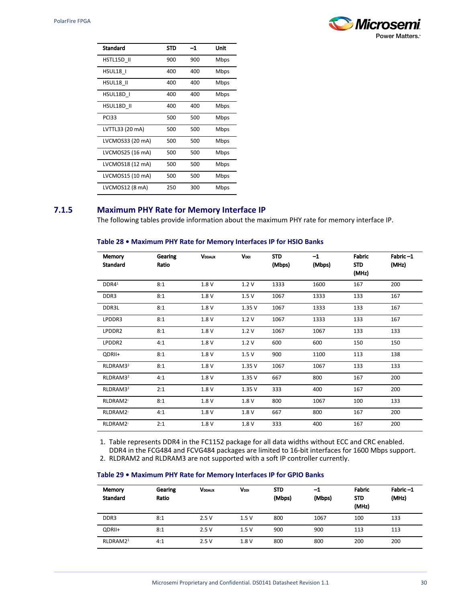

| Standard         | STD | -1  | Unit |
|------------------|-----|-----|------|
| HSTL15D II       | 900 | 900 | Mbps |
| HSUL18 I         | 400 | 400 | Mbps |
| HSUL18 II        | 400 | 400 | Mbps |
| HSUL18D I        | 400 | 400 | Mbps |
| HSUL18D II       | 400 | 400 | Mbps |
| <b>PCI33</b>     | 500 | 500 | Mbps |
| LVTTL33 (20 mA)  | 500 | 500 | Mbps |
| LVCMOS33 (20 mA) | 500 | 500 | Mbps |
| LVCMOS25 (16 mA) | 500 | 500 | Mbps |
| LVCMOS18 (12 mA) | 500 | 500 | Mbps |
| LVCMOS15 (10 mA) | 500 | 500 | Mbps |
| LVCMOS12 (8 mA)  | 250 | 300 | Mbps |

## <span id="page-33-0"></span>**7.1.5 Maximum PHY Rate for Memory Interface IP**

The following tables provide information about the maximum PHY rate for memory interface IP.

## **Table 28 • Maximum PHY Rate for Memory Interfaces IP for HSIO Banks**

| Memory<br><b>Standard</b> | Gearing<br>Ratio | <b>VDDAUX</b> | V <sub>DDI</sub> | <b>STD</b><br>(Mbps) | $-1$<br>(Mbps) | Fabric<br><b>STD</b><br>(MHz) | Fabric-1<br>(MHz) |
|---------------------------|------------------|---------------|------------------|----------------------|----------------|-------------------------------|-------------------|
| DDR4 <sup>1</sup>         | 8:1              | 1.8 V         | 1.2V             | 1333                 | 1600           | 167                           | 200               |
| DDR3                      | 8:1              | 1.8 V         | 1.5V             | 1067                 | 1333           | 133                           | 167               |
| DDR3L                     | 8:1              | 1.8 V         | 1.35V            | 1067                 | 1333           | 133                           | 167               |
| LPDDR3                    | 8:1              | 1.8V          | 1.2V             | 1067                 | 1333           | 133                           | 167               |
| LPDDR2                    | 8:1              | 1.8 V         | 1.2V             | 1067                 | 1067           | 133                           | 133               |
| LPDDR2                    | 4:1              | 1.8 V         | 1.2V             | 600                  | 600            | 150                           | 150               |
| QDRII+                    | 8:1              | 1.8 V         | 1.5V             | 900                  | 1100           | 113                           | 138               |
| RLDRAM3 <sup>2</sup>      | 8:1              | 1.8 V         | 1.35V            | 1067                 | 1067           | 133                           | 133               |
| RLDRAM3 <sup>2</sup>      | 4:1              | 1.8 V         | 1.35V            | 667                  | 800            | 167                           | 200               |
| RLDRAM3 <sup>2</sup>      | 2:1              | 1.8 V         | 1.35V            | 333                  | 400            | 167                           | 200               |
| RLDRAM2 <sup>2</sup>      | 8:1              | 1.8 V         | 1.8 V            | 800                  | 1067           | 100                           | 133               |
| RLDRAM2 <sup>2</sup>      | 4:1              | 1.8 V         | 1.8 V            | 667                  | 800            | 167                           | 200               |
| RLDRAM2 <sup>2</sup>      | 2:1              | 1.8 V         | 1.8 V            | 333                  | 400            | 167                           | 200               |

1. Table represents DDR4 in the FC1152 package for all data widths without ECC and CRC enabled. DDR4 in the FCG484 and FCVG484 packages are limited to 16-bit interfaces for 1600 Mbps support.

2. RLDRAM2 and RLDRAM3 are not supported with a soft IP controller currently.

#### **Table 29 • Maximum PHY Rate for Memory Interfaces IP for GPIO Banks**

| Memory<br><b>Standard</b> | Gearing<br>Ratio | <b>VDDAUX</b> | VDDI | <b>STD</b><br>(Mbps) | -1<br>(Mbps) | Fabric<br><b>STD</b><br>(MHz) | Fabric-1<br>(MHz) |
|---------------------------|------------------|---------------|------|----------------------|--------------|-------------------------------|-------------------|
| DDR3                      | 8:1              | 2.5V          | 1.5V | 800                  | 1067         | 100                           | 133               |
| QDRII+                    | 8:1              | 2.5V          | 1.5V | 900                  | 900          | 113                           | 113               |
| RLDRAM2 <sup>1</sup>      | 4:1              | 2.5V          | 1.8V | 800                  | 800          | 200                           | 200               |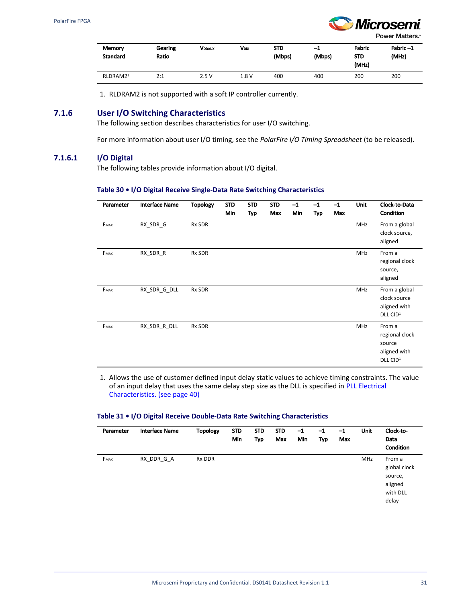

Power Matters.<sup>\*</sup>

| <b>Memory</b><br><b>Standard</b> | Gearing<br>Ratio | VDDAUX | Vooi | <b>STD</b><br>(Mbps) | -1<br>(Mbps) | Fabric<br><b>STD</b><br>(MHz) | Fabric-1<br>(MHz) |
|----------------------------------|------------------|--------|------|----------------------|--------------|-------------------------------|-------------------|
| RLDRAM2 <sup>1</sup>             | 2:1              | 2.5V   | 1.8V | 400                  | 400          | 200                           | 200               |

1. RLDRAM2 is not supported with a soft IP controller currently.

## <span id="page-34-0"></span>**7.1.6 User I/O Switching Characteristics**

The following section describes characteristics for user I/O switching.

For more information about user I/O timing, see the *PolarFire I/O Timing Spreadsheet* (to be released).

#### **7.1.6.1 I/O Digital**

The following tables provide information about I/O digital.

#### **Table 30 • I/O Digital Receive Single-Data Rate Switching Characteristics**

| Parameter | <b>Interface Name</b> | <b>Topology</b> | <b>STD</b><br>Min | <b>STD</b><br>Typ | <b>STD</b><br>Max | $-1$<br>Min | $-1$<br><b>Typ</b> | $-1$<br>Max | Unit | Clock-to-Data<br>Condition                                                 |
|-----------|-----------------------|-----------------|-------------------|-------------------|-------------------|-------------|--------------------|-------------|------|----------------------------------------------------------------------------|
| FMAX      | RX_SDR_G              | Rx SDR          |                   |                   |                   |             |                    |             | MHz  | From a global<br>clock source,<br>aligned                                  |
| FMAX      | RX_SDR_R              | Rx SDR          |                   |                   |                   |             |                    |             | MHz  | From a<br>regional clock<br>source,<br>aligned                             |
| FMAX      | RX SDR G DLL          | Rx SDR          |                   |                   |                   |             |                    |             | MHz  | From a global<br>clock source<br>aligned with<br>DLL CID <sup>1</sup>      |
| FMAX      | RX_SDR_R_DLL          | Rx SDR          |                   |                   |                   |             |                    |             | MHz  | From a<br>regional clock<br>source<br>aligned with<br>DLL CID <sup>1</sup> |

1. Allows the use of customer defined input delay static values to achieve timing constraints. The value of an input delay that uses the same delay step size as the DLL is specified in [PLL Electrical](#page-43-1)  [Characteristics. \(see page 40\)](#page-43-1)

#### **Table 31 • I/O Digital Receive Double-Data Rate Switching Characteristics**

| Parameter | <b>Interface Name</b> | <b>Topology</b> | <b>STD</b><br>Min | <b>STD</b><br><b>Typ</b> | <b>STD</b><br>Max | $-1$<br>Min | $-1$<br><b>Typ</b> | $-1$<br>Max | Unit       | Clock-to-<br>Data<br>Condition                                    |
|-----------|-----------------------|-----------------|-------------------|--------------------------|-------------------|-------------|--------------------|-------------|------------|-------------------------------------------------------------------|
| FMAX      | RX_DDR_G_A            | Rx DDR          |                   |                          |                   |             |                    |             | <b>MHz</b> | From a<br>global clock<br>source,<br>aligned<br>with DLL<br>delay |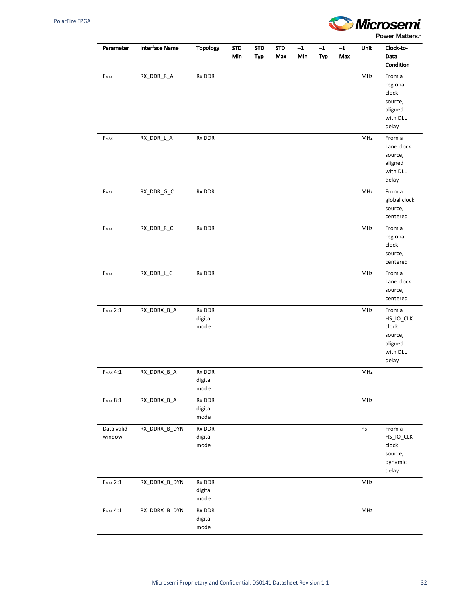

| Parameter            | <b>Interface Name</b> | Topology                  | <b>STD</b><br>Min | <b>STD</b><br><b>Typ</b> | <b>STD</b><br>Max | $-1$<br>Min | $-1$<br><b>Typ</b> | $-1$<br>Max | Unit | Clock-to-<br>Data<br>Condition                                          |
|----------------------|-----------------------|---------------------------|-------------------|--------------------------|-------------------|-------------|--------------------|-------------|------|-------------------------------------------------------------------------|
| FMAX                 | RX_DDR_R_A            | Rx DDR                    |                   |                          |                   |             |                    |             | MHz  | From a<br>regional<br>clock<br>source,<br>aligned<br>with DLL<br>delay  |
| FMAX                 | RX_DDR_L_A            | Rx DDR                    |                   |                          |                   |             |                    |             | MHz  | From a<br>Lane clock<br>source,<br>aligned<br>with DLL<br>delay         |
| FMAX                 | RX_DDR_G_C            | Rx DDR                    |                   |                          |                   |             |                    |             | MHz  | From a<br>global clock<br>source,<br>centered                           |
| $F_{MAX}$            | RX_DDR_R_C            | Rx DDR                    |                   |                          |                   |             |                    |             | MHz  | From a<br>regional<br>clock<br>source,<br>centered                      |
| FMAX                 | RX_DDR_L_C            | Rx DDR                    |                   |                          |                   |             |                    |             | MHz  | From a<br>Lane clock<br>source,<br>centered                             |
| <b>FMAX 2:1</b>      | RX_DDRX_B_A           | Rx DDR<br>digital<br>mode |                   |                          |                   |             |                    |             | MHz  | From a<br>HS_IO_CLK<br>clock<br>source,<br>aligned<br>with DLL<br>delay |
| <b>FMAX 4:1</b>      | RX_DDRX_B_A           | Rx DDR<br>digital<br>mode |                   |                          |                   |             |                    |             | MHz  |                                                                         |
| $F_{MAX}$ $8:1$      | RX_DDRX_B_A           | Rx DDR<br>digital<br>mode |                   |                          |                   |             |                    |             | MHz  |                                                                         |
| Data valid<br>window | RX_DDRX_B_DYN         | Rx DDR<br>digital<br>mode |                   |                          |                   |             |                    |             | ns   | From a<br>HS_IO_CLK<br>clock<br>source,<br>dynamic<br>delay             |
| <b>FMAX 2:1</b>      | RX_DDRX_B_DYN         | Rx DDR<br>digital<br>mode |                   |                          |                   |             |                    |             | MHz  |                                                                         |
| <b>FMAX 4:1</b>      | RX_DDRX_B_DYN         | Rx DDR<br>digital<br>mode |                   |                          |                   |             |                    |             | MHz  |                                                                         |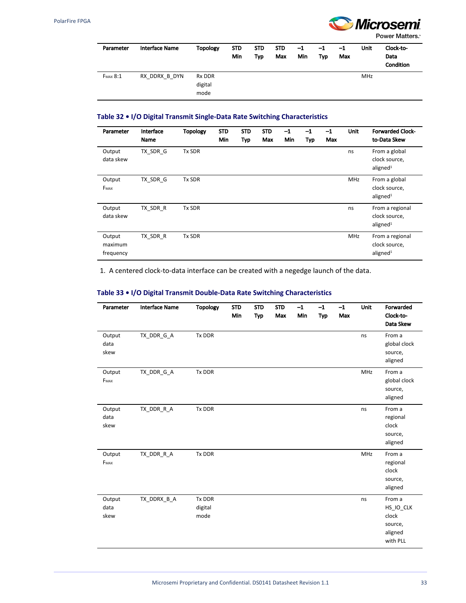

| Parameter       | <b>Interface Name</b> | <b>Topology</b>           | <b>STD</b><br>Min | <b>STD</b><br><b>Typ</b> | <b>STD</b><br>Max | $-1$<br>Min | $-1$<br>Typ | $-1$<br>Max | Unit | Clock-to-<br>Data<br><b>Condition</b> |
|-----------------|-----------------------|---------------------------|-------------------|--------------------------|-------------------|-------------|-------------|-------------|------|---------------------------------------|
| <b>FMAX 8:1</b> | RX DDRX B DYN         | Rx DDR<br>digital<br>mode |                   |                          |                   |             |             |             | MHz  |                                       |

#### **Table 32 • I/O Digital Transmit Single-Data Rate Switching Characteristics**

| Parameter                      | Interface<br><b>Name</b> | <b>Topology</b> | <b>STD</b><br>Min | <b>STD</b><br>Typ | <b>STD</b><br>Max | $-1$<br><b>Min</b> | $-1$<br><b>Typ</b> | $-1$<br>Max | <b>Unit</b> | <b>Forwarded Clock-</b><br>to-Data Skew                  |
|--------------------------------|--------------------------|-----------------|-------------------|-------------------|-------------------|--------------------|--------------------|-------------|-------------|----------------------------------------------------------|
| Output<br>data skew            | TX SDR G                 | Tx SDR          |                   |                   |                   |                    |                    |             | ns          | From a global<br>clock source,<br>aligned <sup>1</sup>   |
| Output<br>FMAX                 | TX SDR G                 | Tx SDR          |                   |                   |                   |                    |                    |             | <b>MHz</b>  | From a global<br>clock source,<br>aligned <sup>1</sup>   |
| Output<br>data skew            | TX SDR R                 | Tx SDR          |                   |                   |                   |                    |                    |             | ns          | From a regional<br>clock source,<br>aligned <sup>1</sup> |
| Output<br>maximum<br>frequency | TX SDR R                 | Tx SDR          |                   |                   |                   |                    |                    |             | <b>MHz</b>  | From a regional<br>clock source,<br>aligned <sup>1</sup> |

1. A centered clock-to-data interface can be created with a negedge launch of the data.

#### **Table 33 • I/O Digital Transmit Double-Data Rate Switching Characteristics**

| Parameter              | <b>Interface Name</b> | <b>Topology</b>           | <b>STD</b><br>Min | <b>STD</b><br>Typ | <b>STD</b><br>Max | $-1$<br>Min | $-1$<br>Typ | $-1$<br>Max | Unit | Forwarded<br>Clock-to-<br>Data Skew                            |
|------------------------|-----------------------|---------------------------|-------------------|-------------------|-------------------|-------------|-------------|-------------|------|----------------------------------------------------------------|
| Output<br>data<br>skew | TX_DDR_G_A            | Tx DDR                    |                   |                   |                   |             |             |             | ns   | From a<br>global clock<br>source,<br>aligned                   |
| Output<br>FMAX         | TX DDR G A            | Tx DDR                    |                   |                   |                   |             |             |             | MHz  | From a<br>global clock<br>source,<br>aligned                   |
| Output<br>data<br>skew | TX DDR R A            | Tx DDR                    |                   |                   |                   |             |             |             | ns   | From a<br>regional<br>clock<br>source,<br>aligned              |
| Output<br>FMAX         | TX_DDR_R_A            | Tx DDR                    |                   |                   |                   |             |             |             | MHz  | From a<br>regional<br>clock<br>source,<br>aligned              |
| Output<br>data<br>skew | TX_DDRX_B_A           | Tx DDR<br>digital<br>mode |                   |                   |                   |             |             |             | ns   | From a<br>HS IO CLK<br>clock<br>source,<br>aligned<br>with PLL |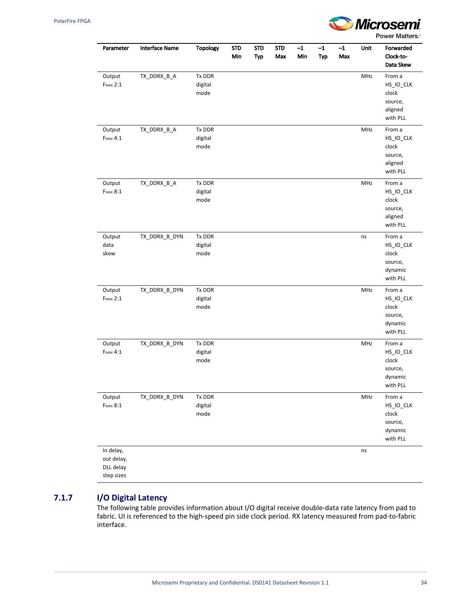

| Parameter                                          | <b>Interface Name</b> | Topology                  | <b>STD</b><br>Min | <b>STD</b><br><b>Typ</b> | <b>STD</b><br>Max | $-1$<br>Min | $-1$<br>Typ | $-1$<br>Max | Unit       | Forwarded<br>Clock-to-<br>Data Skew                            |
|----------------------------------------------------|-----------------------|---------------------------|-------------------|--------------------------|-------------------|-------------|-------------|-------------|------------|----------------------------------------------------------------|
| Output<br><b>FMAX 2:1</b>                          | TX_DDRX_B_A           | Tx DDR<br>digital<br>mode |                   |                          |                   |             |             |             | MHz        | From a<br>HS_IO_CLK<br>clock<br>source,<br>aligned<br>with PLL |
| Output<br><b>FMAX 4:1</b>                          | TX_DDRX_B_A           | Tx DDR<br>digital<br>mode |                   |                          |                   |             |             |             | MHz        | From a<br>HS_IO_CLK<br>clock<br>source,<br>aligned<br>with PLL |
| Output<br><b>FMAX 8:1</b>                          | TX_DDRX_B_A           | Tx DDR<br>digital<br>mode |                   |                          |                   |             |             |             | MHz        | From a<br>HS_IO_CLK<br>clock<br>source,<br>aligned<br>with PLL |
| Output<br>data<br>skew                             | TX_DDRX_B_DYN         | Tx DDR<br>digital<br>mode |                   |                          |                   |             |             |             | ns         | From a<br>HS_IO_CLK<br>clock<br>source,<br>dynamic<br>with PLL |
| Output<br><b>FMAX 2:1</b>                          | TX_DDRX_B_DYN         | Tx DDR<br>digital<br>mode |                   |                          |                   |             |             |             | MHz        | From a<br>HS_IO_CLK<br>clock<br>source,<br>dynamic<br>with PLL |
| Output<br><b>FMAX 4:1</b>                          | TX_DDRX_B_DYN         | Tx DDR<br>digital<br>mode |                   |                          |                   |             |             |             | <b>MHz</b> | From a<br>HS_IO_CLK<br>clock<br>source,<br>dynamic<br>with PLL |
| Output<br><b>FMAX 8:1</b>                          | TX_DDRX_B_DYN         | Tx DDR<br>digital<br>mode |                   |                          |                   |             |             |             | MHz        | From a<br>HS_IO_CLK<br>clock<br>source,<br>dynamic<br>with PLL |
| In delay,<br>out delay,<br>DLL delay<br>step sizes |                       |                           |                   |                          |                   |             |             |             | ns         |                                                                |

## **7.1.7 I/O Digital Latency**

The following table provides information about I/O digital receive double-data rate latency from pad to fabric. UI is referenced to the high-speed pin side clock period. RX latency measured from pad-to-fabric interface.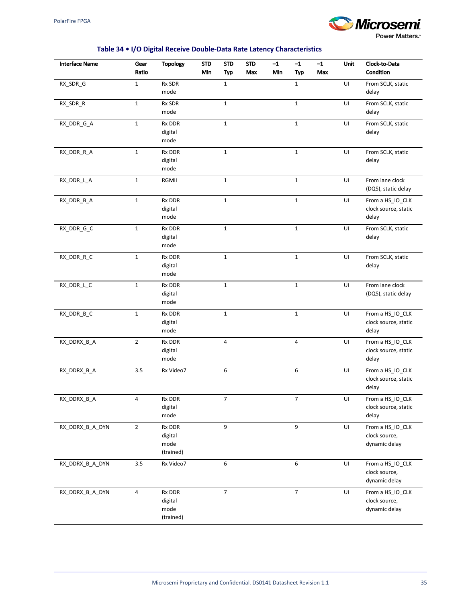

## **Table 34 • I/O Digital Receive Double-Data Rate Latency Characteristics**

| <b>Interface Name</b> | Gear<br>Ratio  | <b>Topology</b>                        | <b>STD</b><br>Min | <b>STD</b><br>Typ | <b>STD</b><br>Max | $-1$<br>Min | $-1$<br><b>Typ</b>      | $-1$<br>Max | Unit | Clock-to-Data<br>Condition                         |
|-----------------------|----------------|----------------------------------------|-------------------|-------------------|-------------------|-------------|-------------------------|-------------|------|----------------------------------------------------|
| RX_SDR_G              | $\mathbf{1}$   | Rx SDR<br>mode                         |                   | $\mathbf 1$       |                   |             | $\mathbf{1}$            |             | UI   | From SCLK, static<br>delay                         |
| RX_SDR_R              | $\mathbf 1$    | Rx SDR<br>mode                         |                   | $\mathbf 1$       |                   |             | $\mathbf 1$             |             | UI   | From SCLK, static<br>delay                         |
| RX_DDR_G_A            | $\mathbf 1$    | Rx DDR<br>digital<br>mode              |                   | $\mathbf{1}$      |                   |             | $\mathbf{1}$            |             | UI   | From SCLK, static<br>delay                         |
| RX_DDR_R_A            | $\mathbf 1$    | Rx DDR<br>digital<br>mode              |                   | $\mathbf 1$       |                   |             | $\mathbf{1}$            |             | UI   | From SCLK, static<br>delay                         |
| RX_DDR_L_A            | $\mathbf 1$    | RGMII                                  |                   | $\mathbf{1}$      |                   |             | $\mathbf{1}$            |             | UI   | From lane clock<br>(DQS), static delay             |
| RX_DDR_B_A            | $1\,$          | Rx DDR<br>digital<br>mode              |                   | $\mathbf{1}$      |                   |             | $\mathbf{1}$            |             | UI   | From a HS_IO_CLK<br>clock source, static<br>delay  |
| RX_DDR_G_C            | $\mathbf 1$    | Rx DDR<br>digital<br>mode              |                   | $\mathbf{1}$      |                   |             | $\mathbf 1$             |             | UI   | From SCLK, static<br>delay                         |
| RX_DDR_R_C            | $\mathbf 1$    | Rx DDR<br>digital<br>mode              |                   | $\mathbf 1$       |                   |             | $\mathbf 1$             |             | UI   | From SCLK, static<br>delay                         |
| RX_DDR_L_C            | $\mathbf 1$    | Rx DDR<br>digital<br>mode              |                   | $\mathbf{1}$      |                   |             | $\mathbf{1}$            |             | UI   | From lane clock<br>(DQS), static delay             |
| RX_DDR_B_C            | $\mathbf 1$    | Rx DDR<br>digital<br>mode              |                   | $\mathbf{1}$      |                   |             | $\mathbf 1$             |             | UI   | From a HS_IO_CLK<br>clock source, static<br>delay  |
| RX_DDRX_B_A           | $\mathbf{2}$   | Rx DDR<br>digital<br>mode              |                   | $\overline{4}$    |                   |             | 4                       |             | UI   | From a HS_IO_CLK<br>clock source, static<br>delay  |
| RX_DDRX_B_A           | 3.5            | Rx Video7                              |                   | 6                 |                   |             | 6                       |             | UI   | From a HS_IO_CLK<br>clock source, static<br>delay  |
| RX_DDRX_B_A           | 4              | RX DDR<br>digital<br>mode              |                   | 7                 |                   |             | 7                       |             | UI   | From a HS_IO_CLK<br>clock source, static<br>delay  |
| RX_DDRX_B_A_DYN       | $\overline{2}$ | Rx DDR<br>digital<br>mode<br>(trained) |                   | 9                 |                   |             | 9                       |             | UI   | From a HS_IO_CLK<br>clock source,<br>dynamic delay |
| RX_DDRX_B_A_DYN       | $3.5\,$        | Rx Video7                              |                   | 6                 |                   |             | 6                       |             | UI   | From a HS_IO_CLK<br>clock source,<br>dynamic delay |
| RX_DDRX_B_A_DYN       | 4              | Rx DDR<br>digital<br>mode<br>(trained) |                   | $\overline{7}$    |                   |             | $\overline{\mathbf{7}}$ |             | UI   | From a HS_IO_CLK<br>clock source,<br>dynamic delay |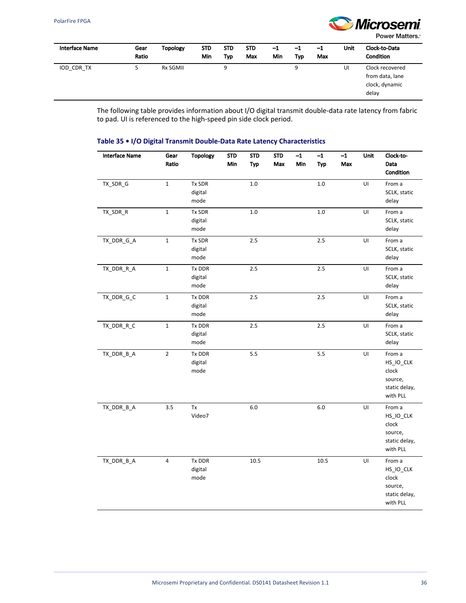

| Interface Name | Gear<br>Ratio | <b>Topology</b> | <b>STD</b><br>Min | <b>STD</b><br>Typ | <b>STD</b><br>Max | $-1$<br>Min | $^{-1}$<br>Typ | $-1$<br>Max | Unit | Clock-to-Data<br><b>Condition</b>                             |
|----------------|---------------|-----------------|-------------------|-------------------|-------------------|-------------|----------------|-------------|------|---------------------------------------------------------------|
| IOD CDR TX     | 5             | <b>Rx SGMII</b> |                   | 9                 |                   |             | 9              |             | UI   | Clock recovered<br>from data, lane<br>clock, dynamic<br>delay |

The following table provides information about I/O digital transmit double-data rate latency from fabric to pad. UI is referenced to the high-speed pin side clock period.

#### **Table 35 • I/O Digital Transmit Double-Data Rate Latency Characteristics**

| <b>Interface Name</b> | Gear<br>Ratio  | <b>Topology</b>           | <b>STD</b><br>Min | <b>STD</b><br>Typ | <b>STD</b><br>Max | $-1$<br>Min | $-1$<br>Typ | $-1$<br>Max | Unit | Clock-to-<br>Data<br>Condition                                       |
|-----------------------|----------------|---------------------------|-------------------|-------------------|-------------------|-------------|-------------|-------------|------|----------------------------------------------------------------------|
| TX_SDR_G              | $\mathbf 1$    | Tx SDR<br>digital<br>mode |                   | 1.0               |                   |             | $1.0\,$     |             | UI   | From a<br>SCLK, static<br>delay                                      |
| TX_SDR_R              | $\mathbf 1$    | Tx SDR<br>digital<br>mode |                   | 1.0               |                   |             | 1.0         |             | UI   | From a<br>SCLK, static<br>delay                                      |
| TX_DDR_G_A            | $\mathbf 1$    | Tx SDR<br>digital<br>mode |                   | 2.5               |                   |             | 2.5         |             | UI   | From a<br>SCLK, static<br>delay                                      |
| TX_DDR_R_A            | $\mathbf 1$    | Tx DDR<br>digital<br>mode |                   | 2.5               |                   |             | 2.5         |             | UI   | From a<br>SCLK, static<br>delay                                      |
| TX_DDR_G_C            | $\mathbf{1}$   | Tx DDR<br>digital<br>mode |                   | 2.5               |                   |             | 2.5         |             | UI   | From a<br>SCLK, static<br>delay                                      |
| TX_DDR_R_C            | $\mathbf 1$    | Tx DDR<br>digital<br>mode |                   | $2.5\,$           |                   |             | 2.5         |             | UI   | From a<br>SCLK, static<br>delay                                      |
| TX_DDR_B_A            | $\overline{2}$ | Tx DDR<br>digital<br>mode |                   | 5.5               |                   |             | 5.5         |             | UI   | From a<br>HS_IO_CLK<br>clock<br>source,<br>static delay,<br>with PLL |
| TX_DDR_B_A            | 3.5            | Tx<br>Video7              |                   | 6.0               |                   |             | $6.0\,$     |             | UI   | From a<br>HS_IO_CLK<br>clock<br>source,<br>static delay,<br>with PLL |
| TX_DDR_B_A            | 4              | Tx DDR<br>digital<br>mode |                   | 10.5              |                   |             | 10.5        |             | UI   | From a<br>HS_IO_CLK<br>clock<br>source,<br>static delay,<br>with PLL |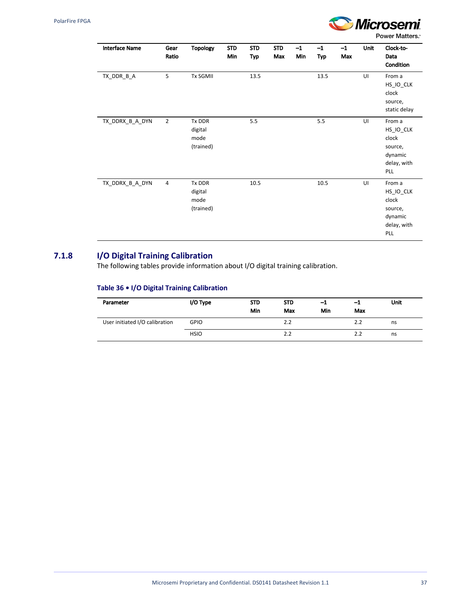

| <b>Interface Name</b> | Gear<br>Ratio  | <b>Topology</b>                        | <b>STD</b><br>Min | <b>STD</b><br>Typ | <b>STD</b><br>Max | $-1$<br>Min | $-1$<br>Typ | $-1$<br>Max | Unit | Clock-to-<br>Data<br>Condition                                               |
|-----------------------|----------------|----------------------------------------|-------------------|-------------------|-------------------|-------------|-------------|-------------|------|------------------------------------------------------------------------------|
| TX_DDR_B_A            | 5              | <b>Tx SGMII</b>                        |                   | 13.5              |                   |             | 13.5        |             | UI   | From a<br>HS_IO_CLK<br>clock<br>source,<br>static delay                      |
| TX_DDRX_B_A_DYN       | $\overline{2}$ | Tx DDR<br>digital<br>mode<br>(trained) |                   | 5.5               |                   |             | 5.5         |             | UI   | From a<br>$HS\_IO\_CLK$<br>clock<br>source,<br>dynamic<br>delay, with<br>PLL |
| TX_DDRX_B_A_DYN       | $\overline{4}$ | Tx DDR<br>digital<br>mode<br>(trained) |                   | 10.5              |                   |             | 10.5        |             | UI   | From a<br>HS_IO_CLK<br>clock<br>source,<br>dynamic<br>delay, with<br>PLL     |

## **7.1.8 I/O Digital Training Calibration**

The following tables provide information about I/O digital training calibration.

## **Table 36 • I/O Digital Training Calibration**

| Parameter                      | I/O Type    | <b>STD</b><br>Min | <b>STD</b><br>Max | $-1$<br>Min | -1<br>Max | <b>Unit</b> |
|--------------------------------|-------------|-------------------|-------------------|-------------|-----------|-------------|
| User initiated I/O calibration | <b>GPIO</b> |                   | 2.2               |             | 2.2       | ns          |
|                                | <b>HSIO</b> |                   | 2.2               |             | 2.2       | ns          |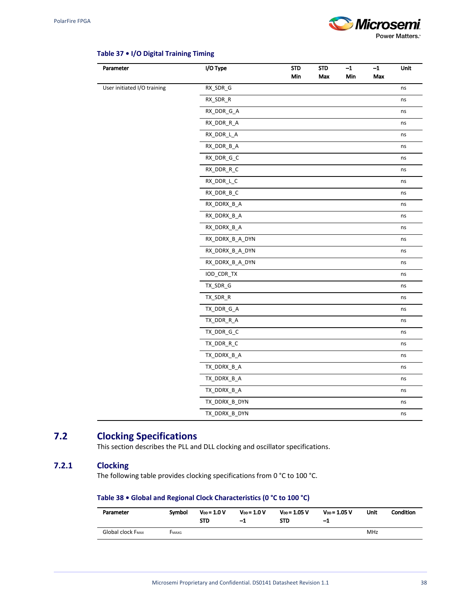

| Parameter                   | I/O Type        | <b>STD</b><br>Min | <b>STD</b><br>Max | $-1$<br>Min | $-1$<br>Max | Unit |
|-----------------------------|-----------------|-------------------|-------------------|-------------|-------------|------|
| User initiated I/O training | RX_SDR_G        |                   |                   |             |             |      |
|                             |                 |                   |                   |             |             | ns   |
|                             | RX_SDR_R        |                   |                   |             |             | ns   |
|                             | RX_DDR_G_A      |                   |                   |             |             | ns   |
|                             | RX_DDR_R_A      |                   |                   |             |             | ns   |
|                             | RX_DDR_L_A      |                   |                   |             |             | ns   |
|                             | RX_DDR_B_A      |                   |                   |             |             | ns   |
|                             | RX_DDR_G_C      |                   |                   |             |             | ns   |
|                             | RX_DDR_R_C      |                   |                   |             |             | ns   |
|                             | RX_DDR_L_C      |                   |                   |             |             | ns   |
|                             | RX_DDR_B_C      |                   |                   |             |             | ns   |
|                             | RX_DDRX_B_A     |                   |                   |             |             | ns   |
|                             | RX_DDRX_B_A     |                   |                   |             |             | ns   |
|                             | RX_DDRX_B_A     |                   |                   |             |             | ns   |
|                             | RX_DDRX_B_A_DYN |                   |                   |             |             | ns   |
|                             | RX_DDRX_B_A_DYN |                   |                   |             |             | ns   |
|                             | RX_DDRX_B_A_DYN |                   |                   |             |             | ns   |
|                             | IOD_CDR_TX      |                   |                   |             |             | ns   |
|                             | TX_SDR_G        |                   |                   |             |             | ns   |
|                             | TX_SDR_R        |                   |                   |             |             | ns   |
|                             | TX_DDR_G_A      |                   |                   |             |             | ns   |
|                             | TX_DDR_R_A      |                   |                   |             |             | ns   |
|                             | TX_DDR_G_C      |                   |                   |             |             | ns   |
|                             | TX_DDR_R_C      |                   |                   |             |             | ns   |
|                             | TX_DDRX_B_A     |                   |                   |             |             | ns   |
|                             | TX_DDRX_B_A     |                   |                   |             |             | ns   |
|                             | TX_DDRX_B_A     |                   |                   |             |             | ns   |
|                             | TX_DDRX_B_A     |                   |                   |             |             | ns   |
|                             | TX_DDRX_B_DYN   |                   |                   |             |             | ns   |
|                             | TX DDRX B DYN   |                   |                   |             |             | ns   |

#### **Table 37 • I/O Digital Training Timing**

# **7.2 Clocking Specifications**

This section describes the PLL and DLL clocking and oscillator specifications.

## **7.2.1 Clocking**

The following table provides clocking specifications from 0 °C to 100 °C.

## **Table 38 • Global and Regional Clock Characteristics (0 °C to 100 °C)**

| Parameter                | Symbol | $V_{DD} = 1.0 V$<br><b>STD</b> | $V_{DD} = 1.0 V$<br>-1 | $V_{DD} = 1.05 V$<br><b>STD</b> | $V_{DD} = 1.05 V$<br>-1 | Unit | <b>Condition</b> |
|--------------------------|--------|--------------------------------|------------------------|---------------------------------|-------------------------|------|------------------|
| <b>Global clock FMAX</b> | FMAXG  |                                |                        |                                 |                         | MHz  |                  |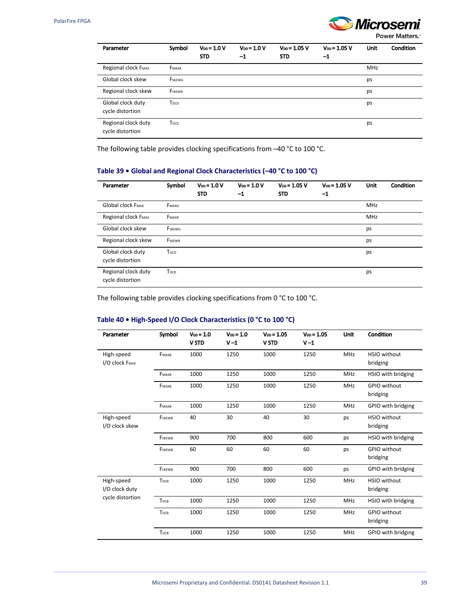

| Parameter                               | Symbol           | $V_{DD} = 1.0 V$<br><b>STD</b> | $V_{DD} = 1.0 V$<br>$^{-1}$ | $V_{DD} = 1.05 V$<br><b>STD</b> | $V_{DD} = 1.05 V$<br>$-1$ | <b>Unit</b> | Condition |
|-----------------------------------------|------------------|--------------------------------|-----------------------------|---------------------------------|---------------------------|-------------|-----------|
| Regional clock FMAX                     | FMAXR            |                                |                             |                                 |                           | MHz         |           |
| Global clock skew                       | FSKEWG           |                                |                             |                                 |                           | ps          |           |
| Regional clock skew                     | <b>FSKEWR</b>    |                                |                             |                                 |                           | ps          |           |
| Global clock duty<br>cycle distortion   | T <sub>DCD</sub> |                                |                             |                                 |                           | ps          |           |
| Regional clock duty<br>cycle distortion | T <sub>DCD</sub> |                                |                             |                                 |                           | ps          |           |

The following table provides clocking specifications from –40 °C to 100 °C.

## **Table 39 • Global and Regional Clock Characteristics (–40 °C to 100 °C)**

| Parameter                               | Symbol           | $V_{DD} = 1.0 V$<br><b>STD</b> | $V_{DD} = 1.0 V$<br>$-1$ | $V_{DD} = 1.05 V$<br><b>STD</b> | $V_{DD} = 1.05 V$<br>$-1$ | Unit       | Condition |
|-----------------------------------------|------------------|--------------------------------|--------------------------|---------------------------------|---------------------------|------------|-----------|
| <b>Global clock FMAX</b>                | FMAXG            |                                |                          |                                 |                           | MHz        |           |
| Regional clock FMAX                     | FMAXR            |                                |                          |                                 |                           | <b>MHz</b> |           |
| Global clock skew                       | FSKEWG           |                                |                          |                                 |                           | ps         |           |
| Regional clock skew                     | <b>FSKEWR</b>    |                                |                          |                                 |                           | ps         |           |
| Global clock duty<br>cycle distortion   | T <sub>DCD</sub> |                                |                          |                                 |                           | ps         |           |
| Regional clock duty<br>cycle distortion | T <sub>DCD</sub> |                                |                          |                                 |                           | ps         |           |

The following table provides clocking specifications from 0 °C to 100 °C.

## **Table 40 • High-Speed I/O Clock Characteristics (0 °C to 100 °C)**

| Parameter                    | Symbol           | $V_{DD} = 1.0$<br><b>V STD</b> | $V_{DD} = 1.0$<br>$V - 1$ | $V_{DD} = 1.05$<br><b>V STD</b> | $V_{DD} = 1.05$<br>$V-1$ | Unit       | Condition                       |
|------------------------------|------------------|--------------------------------|---------------------------|---------------------------------|--------------------------|------------|---------------------------------|
| High-speed<br>I/O clock FMAX | FMAXB            | 1000                           | 1250                      | 1000                            | 1250                     | <b>MHz</b> | HSIO without<br>bridging        |
|                              | FMAXB            | 1000                           | 1250                      | 1000                            | 1250                     | <b>MHz</b> | HSIO with bridging              |
|                              | FMAXB            | 1000                           | 1250                      | 1000                            | 1250                     | <b>MHz</b> | <b>GPIO</b> without<br>bridging |
|                              | FMAXB            | 1000                           | 1250                      | 1000                            | 1250                     | MHz        | GPIO with bridging              |
| High-speed<br>I/O clock skew | FSKEWB           | 40                             | 30                        | 40                              | 30                       | ps         | <b>HSIO</b> without<br>bridging |
|                              | FSKEWB           | 900                            | 700                       | 800                             | 600                      | ps         | HSIO with bridging              |
|                              | FSKEWB           | 60                             | 60                        | 60                              | 60                       | ps         | <b>GPIO without</b><br>bridging |
|                              | FSKEWB           | 900                            | 700                       | 800                             | 600                      | ps         | GPIO with bridging              |
| High-speed<br>I/O clock duty | T <sub>DCB</sub> | 1000                           | 1250                      | 1000                            | 1250                     | <b>MHz</b> | HSIO without<br>bridging        |
| cycle distortion             | T <sub>DCB</sub> | 1000                           | 1250                      | 1000                            | 1250                     | MHz        | HSIO with bridging              |
|                              | T <sub>DCB</sub> | 1000                           | 1250                      | 1000                            | 1250                     | <b>MHz</b> | <b>GPIO without</b><br>bridging |
|                              | T <sub>DCB</sub> | 1000                           | 1250                      | 1000                            | 1250                     | <b>MHz</b> | GPIO with bridging              |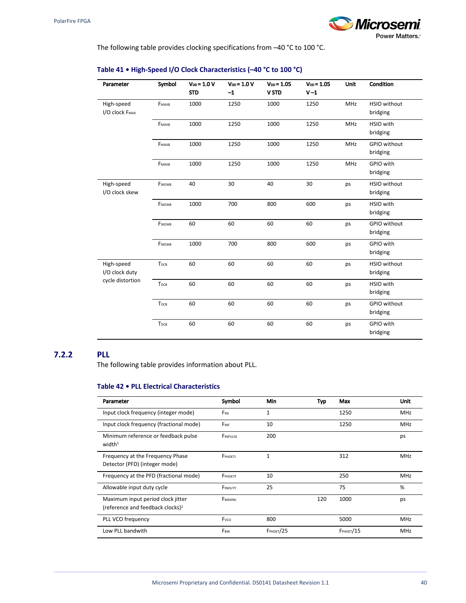

The following table provides clocking specifications from –40 °C to 100 °C.

| Parameter                    | Symbol           | $V_{DD} = 1.0 V$<br><b>STD</b> | $V_{DD} = 1.0 V$<br>$-1$ | $V_{DD} = 1.05$<br><b>V STD</b> | $V_{DD} = 1.05$<br>$V-1$ | <b>Unit</b> | Condition                       |
|------------------------------|------------------|--------------------------------|--------------------------|---------------------------------|--------------------------|-------------|---------------------------------|
| High-speed<br>I/O clock FMAX | FMAXB            | 1000                           | 1250                     | 1000                            | 1250                     | <b>MHz</b>  | <b>HSIO</b> without<br>bridging |
|                              | FMAXB            | 1000                           | 1250                     | 1000                            | 1250                     | <b>MHz</b>  | HSIO with<br>bridging           |
|                              | FMAXB            | 1000                           | 1250                     | 1000                            | 1250                     | <b>MHz</b>  | GPIO without<br>bridging        |
|                              | FMAXB            | 1000                           | 1250                     | 1000                            | 1250                     | MHz         | GPIO with<br>bridging           |
| High-speed<br>I/O clock skew | FSKEWB           | 40                             | 30                       | 40                              | 30                       | ps          | <b>HSIO</b> without<br>bridging |
|                              | FSKEWB           | 1000                           | 700                      | 800                             | 600                      | ps          | HSIO with<br>bridging           |
|                              | FSKEWB           | 60                             | 60                       | 60                              | 60                       | ps          | <b>GPIO without</b><br>bridging |
|                              | FSKEWB           | 1000                           | 700                      | 800                             | 600                      | ps          | GPIO with<br>bridging           |
| High-speed<br>I/O clock duty | T <sub>DCB</sub> | 60                             | 60                       | 60                              | 60                       | ps          | <b>HSIO</b> without<br>bridging |
| cycle distortion             | T <sub>DCB</sub> | 60                             | 60                       | 60                              | 60                       | ps          | HSIO with<br>bridging           |
|                              | T <sub>DCB</sub> | 60                             | 60                       | 60                              | 60                       | ps          | <b>GPIO without</b><br>bridging |
|                              | T <sub>DCB</sub> | 60                             | 60                       | 60                              | 60                       | ps          | GPIO with<br>bridging           |

## **Table 41 • High-Speed I/O Clock Characteristics (–40 °C to 100 °C)**

### **7.2.2 PLL**

The following table provides information about PLL.

#### **Table 42 • PLL Electrical Characteristics**

| Parameter                                                                         | Symbol          | Min              | Typ | Max              | Unit       |
|-----------------------------------------------------------------------------------|-----------------|------------------|-----|------------------|------------|
| Input clock frequency (integer mode)                                              | FINI            | $\mathbf{1}$     |     | 1250             | <b>MHz</b> |
| Input clock frequency (fractional mode)                                           | FINE            | 10               |     | 1250             | MHz        |
| Minimum reference or feedback pulse<br>width <sup>1</sup>                         | FINPULSE        | 200              |     |                  | ps         |
| Frequency at the Frequency Phase<br>Detector (PFD) (integer mode)                 | FPHDETI         | 1                |     | 312              | MHz        |
| Frequency at the PFD (fractional mode)                                            | FPHDETF         | 10               |     | 250              | <b>MHz</b> |
| Allowable input duty cycle                                                        | FINDUTY         | 25               |     | 75               | %          |
| Maximum input period clock jitter<br>(reference and feedback clocks) <sup>2</sup> | FMAXINJ         |                  | 120 | 1000             | ps         |
| PLL VCO frequency                                                                 | Fvco            | 800              |     | 5000             | MHz        |
| Low PLL bandwith                                                                  | F <sub>BW</sub> | <b>FPHDET/25</b> |     | <b>FPHDET/15</b> | MHz        |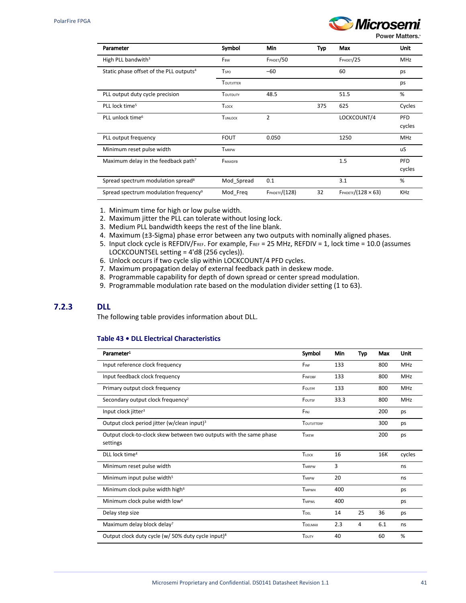

Power Matters.<sup>\*</sup>

| Parameter                                           | Symbol            | Min                  | Typ | Max                           | <b>Unit</b> |
|-----------------------------------------------------|-------------------|----------------------|-----|-------------------------------|-------------|
| High PLL bandwith <sup>3</sup>                      | F <sub>BW</sub>   | <b>FPHDET/50</b>     |     | FPHDET/25                     | <b>MHz</b>  |
| Static phase offset of the PLL outputs <sup>4</sup> | <b>T</b> spo      | $-60$                |     | 60                            | ps          |
|                                                     | <b>TOUTJITTER</b> |                      |     |                               | ps          |
| PLL output duty cycle precision                     | TOUTDUTY          | 48.5                 |     | 51.5                          | %           |
| PLL lock time <sup>5</sup>                          | TLOCK             |                      | 375 | 625                           | Cycles      |
| PLL unlock time <sup>6</sup>                        | TUNLOCK           | 2                    |     | LOCKCOUNT/4                   | <b>PFD</b>  |
|                                                     |                   |                      |     |                               | cycles      |
| PLL output frequency                                | <b>FOUT</b>       | 0.050                |     | 1250                          | MHz         |
| Minimum reset pulse width                           | <b>TMRPW</b>      |                      |     |                               | uS          |
| Maximum delay in the feedback path <sup>7</sup>     | FMAXDFB           |                      |     | 1.5                           | <b>PFD</b>  |
|                                                     |                   |                      |     |                               | cycles      |
| Spread spectrum modulation spread <sup>8</sup>      | Mod Spread        | 0.1                  |     | 3.1                           | %           |
| Spread spectrum modulation frequency <sup>9</sup>   | Mod Freq          | <b>FPHDETF/(128)</b> | 32  | $F$ PHDETF $/(128 \times 63)$ | <b>KHz</b>  |

1. Minimum time for high or low pulse width.

- 2. Maximum jitter the PLL can tolerate without losing lock.
- 3. Medium PLL bandwidth keeps the rest of the line blank.
- 4. Maximum (±3-Sigma) phase error between any two outputs with nominally aligned phases.
- 5. Input clock cycle is REFDIV/FREF. For example, FREF = 25 MHz, REFDIV = 1, lock time = 10.0 (assumes LOCKCOUNTSEL setting = 4'd8 (256 cycles)).
- 6. Unlock occurs if two cycle slip within LOCKCOUNT/4 PFD cycles.
- 7. Maximum propagation delay of external feedback path in deskew mode.
- 8. Programmable capability for depth of down spread or center spread modulation.
- 9. Programmable modulation rate based on the modulation divider setting (1 to 63).

## **7.2.3 DLL**

The following table provides information about DLL.

## **Table 43 • DLL Electrical Characteristics**

| Parameter <sup>1</sup>                                             | Symbol          | Min  | <b>Typ</b> | Max | Unit       |
|--------------------------------------------------------------------|-----------------|------|------------|-----|------------|
| Input reference clock frequency                                    | FINE            | 133  |            | 800 | <b>MHz</b> |
| Input feedback clock frequency                                     | FINFDBF         | 133  |            | 800 | <b>MHz</b> |
| Primary output clock frequency                                     | FOUTPF          | 133  |            | 800 | <b>MHz</b> |
| Secondary output clock frequency <sup>2</sup>                      | FOUTSF          | 33.3 |            | 800 | <b>MHz</b> |
| Input clock jitter <sup>3</sup>                                    | FINJ            |      |            | 200 | ps         |
| Output clock period jitter (w/clean input) <sup>3</sup>            | TOUTHTTERP      |      |            | 300 | ps         |
| Output clock-to-clock skew between two outputs with the same phase | <b>TSKEW</b>    |      |            | 200 | ps         |
| settings                                                           |                 |      |            |     |            |
| DLL lock time <sup>4</sup>                                         | TLOCK           | 16   |            | 16K | cycles     |
| Minimum reset pulse width                                          | <b>TMRPW</b>    | 3    |            |     | ns         |
| Minimum input pulse width <sup>5</sup>                             | <b>TMIPW</b>    | 20   |            |     | ns         |
| Minimum clock pulse width high <sup>6</sup>                        | <b>TMPWH</b>    | 400  |            |     | ps         |
| Minimum clock pulse width low <sup>6</sup>                         | TMPWI           | 400  |            |     | ps         |
| Delay step size                                                    | TDEL            | 14   | 25         | 36  | ps         |
| Maximum delay block delay?                                         | <b>T</b> DELMAX | 2.3  | 4          | 6.1 | ns         |
| Output clock duty cycle (w/ 50% duty cycle input) <sup>8</sup>     | TDUTY           | 40   |            | 60  | %          |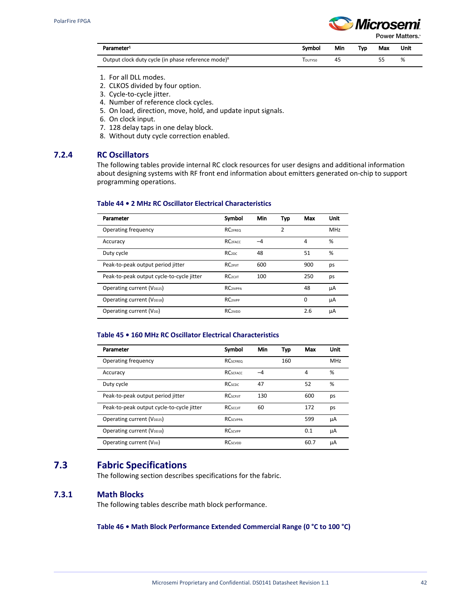

Power Matters.<sup>\*</sup>

| Parameter <sup>1</sup>                                         | Svmbol    | Min | Tvo | Max | Unit |
|----------------------------------------------------------------|-----------|-----|-----|-----|------|
| Output clock duty cycle (in phase reference mode) <sup>8</sup> | Edutyso i | 45  |     |     |      |

- 1. For all DLL modes.
- 2. CLKOS divided by four option.
- 3. Cycle-to-cycle jitter.
- 4. Number of reference clock cycles.
- 5. On load, direction, move, hold, and update input signals.
- 6. On clock input.
- 7. 128 delay taps in one delay block.
- 8. Without duty cycle correction enabled.

## **7.2.4 RC Oscillators**

The following tables provide internal RC clock resources for user designs and additional information about designing systems with RF front end information about emitters generated on-chip to support programming operations.

#### **Table 44 • 2 MHz RC Oscillator Electrical Characteristics**

| Parameter                                 | Symbol                     | Min | Typ | Max | Unit |
|-------------------------------------------|----------------------------|-----|-----|-----|------|
| Operating frequency                       | <b>RC2FREQ</b>             |     | 2   |     | MHz  |
| Accuracy                                  | <b>RC2FACC</b>             | -4  |     | 4   | %    |
| Duty cycle                                | RC <sub>2DC</sub>          | 48  |     | 51  | %    |
| Peak-to-peak output period jitter         | <b>RC<sub>2PIIT</sub></b>  | 600 |     | 900 | ps   |
| Peak-to-peak output cycle-to-cycle jitter | <b>RC</b> <sub>2CIIT</sub> | 100 |     | 250 | ps   |
| Operating current (V <sub>DD25</sub> )    | <b>RC2IVPPA</b>            |     |     | 48  | μA   |
| Operating current (V <sub>DD18</sub> )    | <b>RC2IVPP</b>             |     |     | 0   | μA   |
| Operating current (V <sub>DD</sub> )      | <b>RC2IVDD</b>             |     |     | 2.6 | μA   |

#### **Table 45 • 160 MHz RC Oscillator Electrical Characteristics**

| Parameter                                 | Symbol                      | Min | Typ | Max  | Unit       |
|-------------------------------------------|-----------------------------|-----|-----|------|------------|
| Operating frequency                       | <b>RC</b> SCEREO            |     | 160 |      | <b>MHz</b> |
| Accuracy                                  | <b>RC</b> scracc            | -4  |     | 4    | %          |
| Duty cycle                                | <b>RCscpc</b>               | 47  |     | 52   | %          |
| Peak-to-peak output period jitter         | <b>RCSCPJIT</b>             | 130 |     | 600  | ps         |
| Peak-to-peak output cycle-to-cycle jitter | <b>RC</b> sccurt            | 60  |     | 172  | ps         |
| Operating current (V <sub>DD25</sub> )    | <b>RC</b> scvPPA            |     |     | 599  | μA         |
| Operating current (V <sub>DD18</sub> )    | <b>RC</b> scv <sub>pp</sub> |     |     | 0.1  | μA         |
| Operating current (V <sub>DD</sub> )      | <b>RC</b> scypp             |     |     | 60.7 | μA         |

## **7.3 Fabric Specifications**

The following section describes specifications for the fabric.

### **7.3.1 Math Blocks**

The following tables describe math block performance.

**Table 46 • Math Block Performance Extended Commercial Range (0 °C to 100 °C)**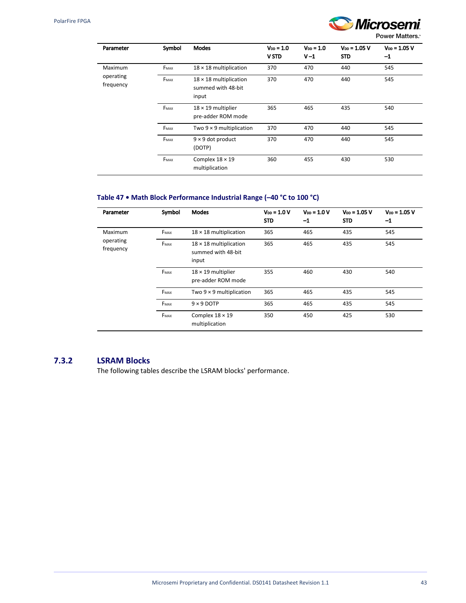$\overline{\phantom{a}}$ 

Ċ,



**Power Matters.** 

| Parameter              | Symbol | <b>Modes</b>                                                 | $V_{DD} = 1.0$<br><b>V STD</b> | $V_{DD} = 1.0$<br>$V-1$ | $V_{DD} = 1.05 V$<br>STD | $V_{DD} = 1.05 V$<br>$-1$ |
|------------------------|--------|--------------------------------------------------------------|--------------------------------|-------------------------|--------------------------|---------------------------|
| Maximum                | FMAX   | $18 \times 18$ multiplication                                | 370                            | 470                     | 440                      | 545                       |
| operating<br>frequency | FMAX   | $18 \times 18$ multiplication<br>summed with 48-bit<br>input | 370                            | 470                     | 440                      | 545                       |
|                        | FMAX   | $18 \times 19$ multiplier<br>pre-adder ROM mode              | 365                            | 465                     | 435                      | 540                       |
|                        | FMAX   | Two $9 \times 9$ multiplication                              | 370                            | 470                     | 440                      | 545                       |
|                        | FMAX   | $9 \times 9$ dot product<br>(DOTP)                           | 370                            | 470                     | 440                      | 545                       |
|                        | FMAX   | Complex $18 \times 19$<br>multiplication                     | 360                            | 455                     | 430                      | 530                       |

## **Table 47 • Math Block Performance Industrial Range (–40 °C to 100 °C)**

| Parameter                      | Symbol | <b>Modes</b>                                                        | $V_{DD} = 1.0 V$<br><b>STD</b> | $V_{DD} = 1.0 V$<br>$-1$ | $V_{DD} = 1.05 V$<br><b>STD</b> | $V_{DD} = 1.05 V$<br>$-1$ |
|--------------------------------|--------|---------------------------------------------------------------------|--------------------------------|--------------------------|---------------------------------|---------------------------|
| Maximum                        | FMAX   | $18 \times 18$ multiplication                                       | 365                            | 465                      | 435                             | 545                       |
| operating<br>FMAX<br>frequency |        | 365<br>$18 \times 18$ multiplication<br>summed with 48-bit<br>input |                                | 465                      | 435<br>545                      |                           |
|                                | FMAX   | $18 \times 19$ multiplier<br>pre-adder ROM mode                     | 355                            | 460                      | 430                             | 540                       |
|                                | FMAX   | Two $9 \times 9$ multiplication                                     | 365                            | 465                      | 435                             | 545                       |
|                                | FMAX   | $9 \times 9$ DOTP                                                   | 365                            | 465                      | 435                             | 545                       |
|                                | FMAX   | Complex $18 \times 19$<br>multiplication                            | 350                            | 450                      | 425                             | 530                       |

## **7.3.2 LSRAM Blocks**

The following tables describe the LSRAM blocks' performance.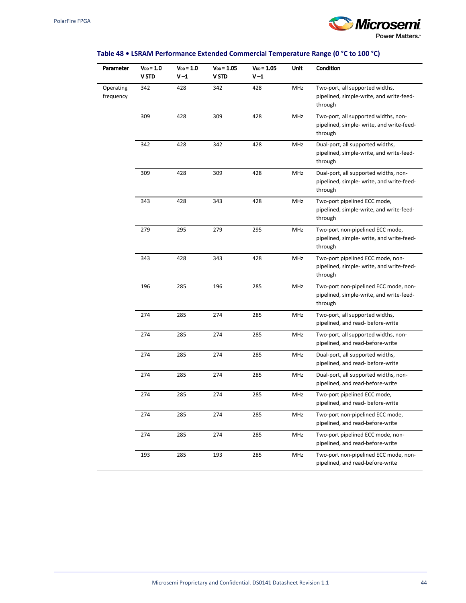

## **Table 48 • LSRAM Performance Extended Commercial Temperature Range (0 °C to 100 °C)**

| Parameter              | Voo = 1.0<br>V STD | $V_{DD} = 1.0$<br>V-1 | $V_{DD} = 1.05$<br>V STD | $V_{DD} = 1.05$<br>V-1 | Unit       | Condition                                                                                     |
|------------------------|--------------------|-----------------------|--------------------------|------------------------|------------|-----------------------------------------------------------------------------------------------|
| Operating<br>frequency | 342                | 428                   | 342                      | 428                    | MHz        | Two-port, all supported widths,<br>pipelined, simple-write, and write-feed-<br>through        |
|                        | 309                | 428                   | 309                      | 428                    | MHz        | Two-port, all supported widths, non-<br>pipelined, simple- write, and write-feed-<br>through  |
|                        | 342                | 428                   | 342                      | 428                    | MHz        | Dual-port, all supported widths,<br>pipelined, simple-write, and write-feed-<br>through       |
|                        | 309                | 428                   | 309                      | 428                    | MHz        | Dual-port, all supported widths, non-<br>pipelined, simple- write, and write-feed-<br>through |
|                        | 343                | 428                   | 343                      | 428                    | MHz        | Two-port pipelined ECC mode,<br>pipelined, simple-write, and write-feed-<br>through           |
|                        | 279                | 295                   | 279                      | 295                    | MHz        | Two-port non-pipelined ECC mode,<br>pipelined, simple- write, and write-feed-<br>through      |
|                        | 343                | 428                   | 343                      | 428                    | MHz        | Two-port pipelined ECC mode, non-<br>pipelined, simple- write, and write-feed-<br>through     |
|                        | 196                | 285                   | 196                      | 285                    | MHz        | Two-port non-pipelined ECC mode, non-<br>pipelined, simple-write, and write-feed-<br>through  |
|                        | 274                | 285                   | 274                      | 285                    | MHz        | Two-port, all supported widths,<br>pipelined, and read- before-write                          |
|                        | 274                | 285                   | 274                      | 285                    | MHz        | Two-port, all supported widths, non-<br>pipelined, and read-before-write                      |
|                        | 274                | 285                   | 274                      | 285                    | MHz        | Dual-port, all supported widths,<br>pipelined, and read- before-write                         |
|                        | 274                | 285                   | 274                      | 285                    | MHz        | Dual-port, all supported widths, non-<br>pipelined, and read-before-write                     |
|                        | 274                | 285                   | 274                      | 285                    | <b>MHz</b> | Two-port pipelined ECC mode,<br>pipelined, and read- before-write                             |
|                        | 274                | 285                   | 274                      | 285                    | MHz        | Two-port non-pipelined ECC mode,<br>pipelined, and read-before-write                          |
|                        | 274                | 285                   | 274                      | 285                    | MHz        | Two-port pipelined ECC mode, non-<br>pipelined, and read-before-write                         |
|                        | 193                | 285                   | 193                      | 285                    | MHz        | Two-port non-pipelined ECC mode, non-<br>pipelined, and read-before-write                     |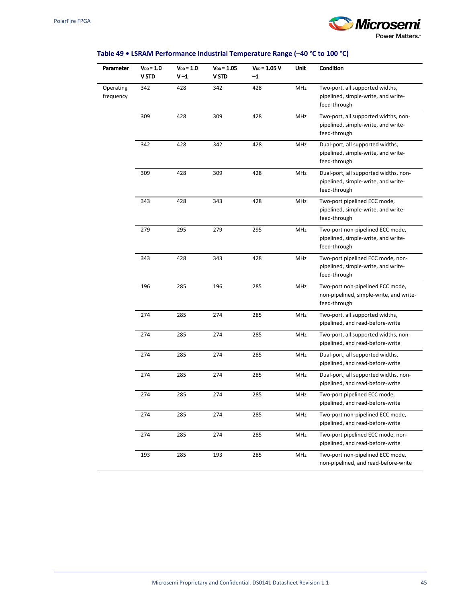

## **Table 49 • LSRAM Performance Industrial Temperature Range (–40 °C to 100 °C)**

| Parameter              | Voo = 1.0<br><b>V STD</b> | $V_{DD} = 1.0$<br>V-1 | $V_{DD} = 1.05$<br>V STD | $V_{DD} = 1.05 V$<br>$-1$ | Unit | Condition                                                                                    |
|------------------------|---------------------------|-----------------------|--------------------------|---------------------------|------|----------------------------------------------------------------------------------------------|
| Operating<br>frequency | 342                       | 428                   | 342                      | 428                       | MHz  | Two-port, all supported widths,<br>pipelined, simple-write, and write-<br>feed-through       |
|                        | 309                       | 428                   | 309                      | 428                       | MHz  | Two-port, all supported widths, non-<br>pipelined, simple-write, and write-<br>feed-through  |
|                        | 342                       | 428                   | 342                      | 428                       | MHz  | Dual-port, all supported widths,<br>pipelined, simple-write, and write-<br>feed-through      |
|                        | 309                       | 428                   | 309                      | 428                       | MHz  | Dual-port, all supported widths, non-<br>pipelined, simple-write, and write-<br>feed-through |
|                        | 343                       | 428                   | 343                      | 428                       | MHz  | Two-port pipelined ECC mode,<br>pipelined, simple-write, and write-<br>feed-through          |
|                        | 279                       | 295                   | 279                      | 295                       | MHz  | Two-port non-pipelined ECC mode,<br>pipelined, simple-write, and write-<br>feed-through      |
|                        | 343                       | 428                   | 343                      | 428                       | MHz  | Two-port pipelined ECC mode, non-<br>pipelined, simple-write, and write-<br>feed-through     |
|                        | 196                       | 285                   | 196                      | 285                       | MHz  | Two-port non-pipelined ECC mode,<br>non-pipelined, simple-write, and write-<br>feed-through  |
|                        | 274                       | 285                   | 274                      | 285                       | MHz  | Two-port, all supported widths,<br>pipelined, and read-before-write                          |
|                        | 274                       | 285                   | 274                      | 285                       | MHz  | Two-port, all supported widths, non-<br>pipelined, and read-before-write                     |
|                        | 274                       | 285                   | 274                      | 285                       | MHz  | Dual-port, all supported widths,<br>pipelined, and read-before-write                         |
|                        | 274                       | 285                   | 274                      | 285                       | MHz  | Dual-port, all supported widths, non-<br>pipelined, and read-before-write                    |
|                        | 274                       | 285                   | 274                      | 285                       | MHz  | Two-port pipelined ECC mode,<br>pipelined, and read-before-write                             |
|                        | 274                       | 285                   | 274                      | 285                       | MHz  | Two-port non-pipelined ECC mode,<br>pipelined, and read-before-write                         |
|                        | 274                       | 285                   | 274                      | 285                       | MHz  | Two-port pipelined ECC mode, non-<br>pipelined, and read-before-write                        |
|                        | 193                       | 285                   | 193                      | 285                       | MHz  | Two-port non-pipelined ECC mode,<br>non-pipelined, and read-before-write                     |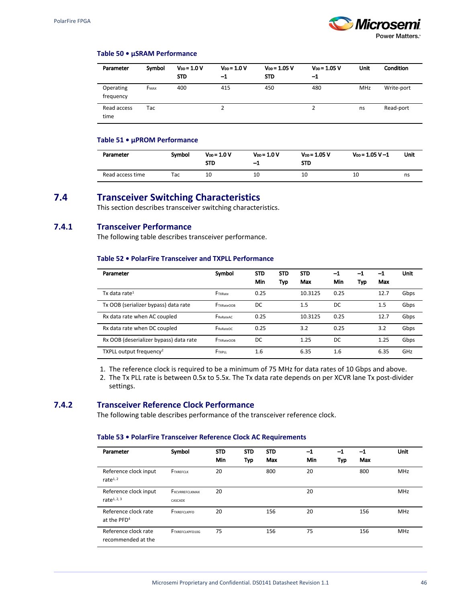

#### **Table 50 • µSRAM Performance**

| Parameter              | Symbol | $V_{DD} = 1.0 V$<br><b>STD</b> | $V_{DD} = 1.0 V$<br>$^{\rm -1}$ | $V_{DD} = 1.05 V$<br><b>STD</b> | $V_{DD} = 1.05 V$<br>$-1$ | Unit       | Condition  |
|------------------------|--------|--------------------------------|---------------------------------|---------------------------------|---------------------------|------------|------------|
| Operating<br>frequency | FMAX   | 400                            | 415                             | 450                             | 480                       | <b>MHz</b> | Write-port |
| Read access<br>time    | Tac    |                                |                                 |                                 |                           | ns         | Read-port  |

#### **Table 51 • µPROM Performance**

| Parameter        | Symbol | $V_{DD} = 1.0 V$<br><b>STD</b> | $V_{DD} = 1.0 V$<br>-1 | $V_{DD} = 1.05 V$<br><b>STD</b> | $V_{DD} = 1.05 V - 1$ | Unit |
|------------------|--------|--------------------------------|------------------------|---------------------------------|-----------------------|------|
| Read access time | Тас    | 10                             | 10                     | 10                              | 10                    | ns   |

# **7.4 Transceiver Switching Characteristics**

This section describes transceiver switching characteristics.

## **7.4.1 Transceiver Performance**

The following table describes transceiver performance.

#### **Table 52 • PolarFire Transceiver and TXPLL Performance**

| Parameter                              | Symbol            | <b>STD</b><br>Min | <b>STD</b><br>Typ | <b>STD</b><br>Max | -1<br>Min | $^{\rm -1}$<br>Тур | $-1$<br>Max | <b>Unit</b> |
|----------------------------------------|-------------------|-------------------|-------------------|-------------------|-----------|--------------------|-------------|-------------|
| Tx data rate <sup>1</sup>              | FTXRate           | 0.25              |                   | 10.3125           | 0.25      |                    | 12.7        | Gbps        |
| Tx OOB (serializer bypass) data rate   | <b>FTXRateOOB</b> | DC                |                   | 1.5               | DC        |                    | 1.5         | Gbps        |
| Rx data rate when AC coupled           | FRxRateAC         | 0.25              |                   | 10.3125           | 0.25      |                    | 12.7        | Gbps        |
| Rx data rate when DC coupled           | FRxRateDC         | 0.25              |                   | 3.2               | 0.25      |                    | 3.2         | Gbps        |
| Rx OOB (deserializer bypass) data rate | <b>FTXRateOOB</b> | DC                |                   | 1.25              | DC        |                    | 1.25        | Gbps        |
| TXPLL output frequency <sup>2</sup>    | <b>FTXPLL</b>     | 1.6               |                   | 6.35              | 1.6       |                    | 6.35        | GHz         |

1. The reference clock is required to be a minimum of 75 MHz for data rates of 10 Gbps and above.

2. The Tx PLL rate is between 0.5x to 5.5x. The Tx data rate depends on per XCVR lane Tx post-divider settings.

#### **7.4.2 Transceiver Reference Clock Performance**

The following table describes performance of the transceiver reference clock.

#### **Table 53 • PolarFire Transceiver Reference Clock AC Requirements**

| Parameter                                       | Symbol                    | <b>STD</b><br>Min | <b>STD</b><br>Typ | <b>STD</b><br>Max | $-1$<br>Min | $-1$<br><b>Typ</b> | $-1$<br>Max | Unit       |
|-------------------------------------------------|---------------------------|-------------------|-------------------|-------------------|-------------|--------------------|-------------|------------|
| Reference clock input<br>rate $1, 2$            | FTXREFCLK                 | 20                |                   | 800               | 20          |                    | 800         | <b>MHz</b> |
| Reference clock input<br>rate $1, 2, 3$         | FXCVRREFCLKMAX<br>CASCADE | 20                |                   |                   | 20          |                    |             | <b>MHz</b> |
| Reference clock rate<br>at the PFD <sup>4</sup> | <b>FTXREFCLKPFD</b>       | 20                |                   | 156               | 20          |                    | 156         | <b>MHz</b> |
| Reference clock rate<br>recommended at the      | FTXREFCLKPFD10G           | 75                |                   | 156               | 75          |                    | 156         | <b>MHz</b> |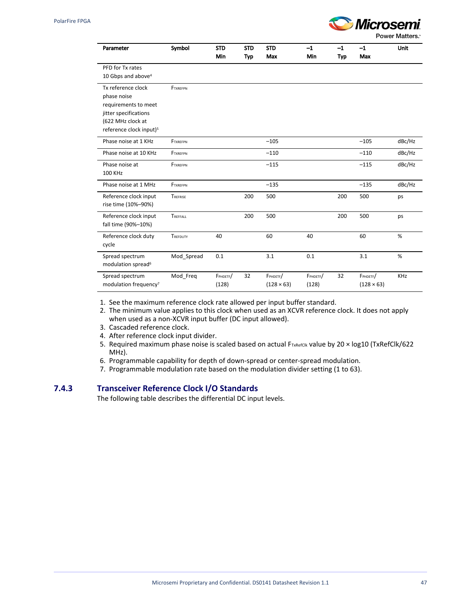

Power Matters.<sup>®</sup>

| Parameter                           | Symbol          | <b>STD</b> | <b>STD</b> | <b>STD</b>        | $-1$     | $-1$       | $-1$              | <b>Unit</b> |
|-------------------------------------|-----------------|------------|------------|-------------------|----------|------------|-------------------|-------------|
|                                     |                 | Min        | <b>Typ</b> | Max               | Min      | <b>Typ</b> | Max               |             |
| PFD for Tx rates                    |                 |            |            |                   |          |            |                   |             |
| 10 Gbps and above <sup>4</sup>      |                 |            |            |                   |          |            |                   |             |
| Tx reference clock                  | <b>FTXRFFPN</b> |            |            |                   |          |            |                   |             |
| phase noise                         |                 |            |            |                   |          |            |                   |             |
| requirements to meet                |                 |            |            |                   |          |            |                   |             |
| jitter specifications               |                 |            |            |                   |          |            |                   |             |
| (622 MHz clock at                   |                 |            |            |                   |          |            |                   |             |
| reference clock input) <sup>5</sup> |                 |            |            |                   |          |            |                   |             |
| Phase noise at 1 KHz                | <b>FTXREFPN</b> |            |            | $-105$            |          |            | $-105$            | dBc/Hz      |
| Phase noise at 10 KHz               | FTXREFPN        |            |            | $-110$            |          |            | $-110$            | dBc/Hz      |
| Phase noise at                      | <b>FTXREFPN</b> |            |            | $-115$            |          |            | $-115$            | dBc/Hz      |
| <b>100 KHz</b>                      |                 |            |            |                   |          |            |                   |             |
| Phase noise at 1 MHz                | <b>FTXREFPN</b> |            |            | $-135$            |          |            | $-135$            | dBc/Hz      |
| Reference clock input               | TREFRISE        |            | 200        | 500               |          | 200        | 500               | ps          |
| rise time (10%-90%)                 |                 |            |            |                   |          |            |                   |             |
| Reference clock input               | TREFFALL        |            | 200        | 500               |          | 200        | 500               | ps          |
| fall time (90%-10%)                 |                 |            |            |                   |          |            |                   |             |
| Reference clock duty                | TREFDUTY        | 40         |            | 60                | 40       |            | 60                | %           |
| cycle                               |                 |            |            |                   |          |            |                   |             |
| Spread spectrum                     | Mod Spread      | 0.1        |            | 3.1               | 0.1      |            | 3.1               | %           |
| modulation spread <sup>6</sup>      |                 |            |            |                   |          |            |                   |             |
| Spread spectrum                     | Mod_Freq        | FPHDETF/   | 32         | FPHDETF/          | FPHDETF/ | 32         | FPHDETF/          | <b>KHz</b>  |
| modulation frequency <sup>7</sup>   |                 | (128)      |            | $(128 \times 63)$ | (128)    |            | $(128 \times 63)$ |             |

1. See the maximum reference clock rate allowed per input buffer standard.

2. The minimum value applies to this clock when used as an XCVR reference clock. It does not apply when used as a non-XCVR input buffer (DC input allowed).

3. Cascaded reference clock.

- 4. After reference clock input divider.
- 5. Required maximum phase noise is scaled based on actual F<sub>TxRefClk</sub> value by 20 x log10 (TxRefClk/622 MHz).
- 6. Programmable capability for depth of down-spread or center-spread modulation.
- 7. Programmable modulation rate based on the modulation divider setting (1 to 63).

#### **7.4.3 Transceiver Reference Clock I/O Standards**

The following table describes the differential DC input levels.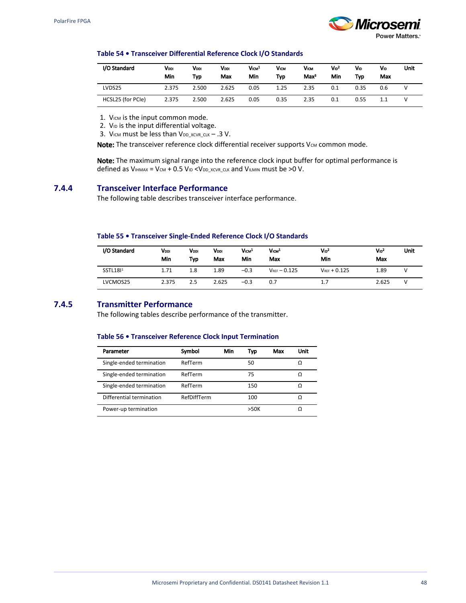

#### **Table 54 • Transceiver Differential Reference Clock I/O Standards**

| I/O Standard      | Vddi<br>Min | Vooi<br>Typ | <b>VDDI</b><br>Max | V <sub>ICM</sub> <sup>1</sup><br>Min | VICM<br>Typ | Vicm<br>Max <sup>3</sup> | $V_{1D}^2$<br>Min | Vю<br>Tvo | Vю<br>Max | Unit |
|-------------------|-------------|-------------|--------------------|--------------------------------------|-------------|--------------------------|-------------------|-----------|-----------|------|
| LVDS25            | 2.375       | 2.500       | 2.625              | 0.05                                 | 1.25        | 2.35                     | 0.1               | 0.35      | 0.6       |      |
| HCSL25 (for PCIe) | 2.375       | 2.500       | 2.625              | 0.05                                 | 0.35        | 2.35                     | 0.1               | 0.55      | 1.1       |      |

1. VICM is the input common mode.

2. V<sub>ID</sub> is the input differential voltage.

3. VICM must be less than  $V_{DD\_XCVR\_CLK}$  – .3 V.

Note: The transceiver reference clock differential receiver supports  $V_{\text{CM}}$  common mode.

Note: The maximum signal range into the reference clock input buffer for optimal performance is defined as  $V_{\text{IHMAX}} = V_{\text{CM}} + 0.5 V_{\text{ID}} < V_{\text{DD-XCVR}}$  cuk and  $V_{\text{ILMIN}}$  must be >0 V.

#### **7.4.4 Transceiver Interface Performance**

The following table describes transceiver interface performance.

#### **Table 55 • Transceiver Single-Ended Reference Clock I/O Standards**

| I/O Standard         | Vooi<br>Min | VDDI<br>Typ | Vooi<br>Max | V <sub>ICM</sub> <sup>1</sup><br>Min | V <sub>ICM</sub><br>Max | $V_{1D}^2$<br>Min | $V_{1D}^2$<br>Max | Unit |
|----------------------|-------------|-------------|-------------|--------------------------------------|-------------------------|-------------------|-------------------|------|
| SSTL181 <sup>1</sup> | 1.71        | 1.8         | 1.89        | $-0.3$                               | $V_{REF}$ - 0.125       | $V_{REF} + 0.125$ | 1.89              |      |
| LVCMOS25             | 2.375       | 2.5         | 2.625       | $-0.3$                               | 0.7                     | 1.7               | 2.625             |      |

## **7.4.5 Transmitter Performance**

The following tables describe performance of the transmitter.

#### **Table 56 • Transceiver Reference Clock Input Termination**

| Parameter                | Symbol      | Min | Typ  | Max | Unit |
|--------------------------|-------------|-----|------|-----|------|
| Single-ended termination | RefTerm     |     | 50   |     |      |
| Single-ended termination | RefTerm     |     | 75   |     | Ω    |
| Single-ended termination | RefTerm     |     | 150  |     |      |
| Differential termination | RefDiffTerm |     | 100  |     |      |
| Power-up termination     |             |     | >50K |     |      |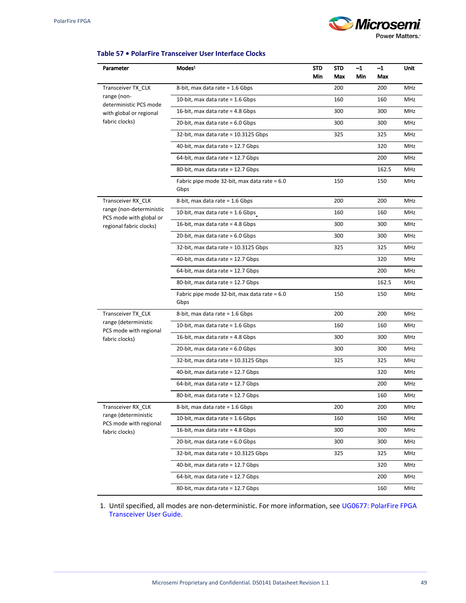# *Microsemi* **Power Matters.**

#### **Table 57 • PolarFire Transceiver User Interface Clocks**

| Parameter                                           | Modes <sup>1</sup>                                   | <b>STD</b><br>Min | STD<br>Max | $-1$<br>Min | $-1$<br>Max | Unit       |
|-----------------------------------------------------|------------------------------------------------------|-------------------|------------|-------------|-------------|------------|
| Transceiver TX_CLK                                  | 8-bit, max data rate = 1.6 Gbps                      |                   | 200        |             | 200         | MHz        |
| range (non-<br>deterministic PCS mode               | 10-bit, max data rate $= 1.6$ Gbps                   |                   | 160        |             | 160         | MHz        |
| with global or regional                             | 16-bit, max data rate $=$ 4.8 Gbps                   |                   | 300        |             | 300         | MHz        |
| fabric clocks)                                      | 20-bit, max data rate = $6.0$ Gbps                   |                   | 300        |             | 300         | MHz        |
|                                                     | 32-bit, max data rate = $10.3125$ Gbps               |                   | 325        |             | 325         | MHz        |
|                                                     | 40-bit, max data rate = 12.7 Gbps                    |                   |            |             | 320         | MHz        |
|                                                     | 64-bit, max data rate = 12.7 Gbps                    |                   |            |             | 200         | MHz        |
|                                                     | 80-bit, max data rate = 12.7 Gbps                    |                   |            |             | 162.5       | MHz        |
|                                                     | Fabric pipe mode 32-bit, max data rate = 6.0<br>Gbps |                   | 150        |             | 150         | MHz        |
| Transceiver RX_CLK                                  | 8-bit, max data rate = 1.6 Gbps                      |                   | 200        |             | 200         | MHz        |
| range (non-deterministic<br>PCS mode with global or | 10-bit, max data rate = $1.6$ Gbps                   |                   | 160        |             | 160         | MHz        |
| regional fabric clocks)                             | 16-bit, max data rate = $4.8$ Gbps                   |                   | 300        |             | 300         | MHz        |
|                                                     | 20-bit, max data rate $= 6.0$ Gbps                   |                   | 300        |             | 300         | MHz        |
|                                                     | 32-bit, max data rate = 10.3125 Gbps                 |                   | 325        |             | 325         | MHz        |
|                                                     | 40-bit, max data rate = 12.7 Gbps                    |                   |            |             | 320         | MHz        |
|                                                     | 64-bit, max data rate = 12.7 Gbps                    |                   |            |             | 200         | MHz        |
|                                                     | 80-bit, max data rate = 12.7 Gbps                    |                   |            |             | 162.5       | MHz        |
|                                                     | Fabric pipe mode 32-bit, max data rate = 6.0<br>Gbps |                   | 150        |             | 150         | MHz        |
| Transceiver TX_CLK                                  | 8-bit, max data rate = 1.6 Gbps                      |                   | 200        |             | 200         | MHz        |
| range (deterministic<br>PCS mode with regional      | 10-bit, max data rate = $1.6$ Gbps                   |                   | 160        |             | 160         | MHz        |
| fabric clocks)                                      | 16-bit, max data rate $=$ 4.8 Gbps                   |                   | 300        |             | 300         | MHz        |
|                                                     | 20-bit, max data rate $= 6.0$ Gbps                   |                   | 300        |             | 300         | MHz        |
|                                                     | 32-bit, max data rate = 10.3125 Gbps                 |                   | 325        |             | 325         | MHz        |
|                                                     | 40-bit, max data rate = 12.7 Gbps                    |                   |            |             | 320         | MHz        |
|                                                     | 64-bit, max data rate = 12.7 Gbps                    |                   |            |             | 200         | MHz        |
|                                                     | 80-bit, max data rate = 12.7 Gbps                    |                   |            |             | 160         | <b>MHz</b> |
| Transceiver RX_CLK                                  | 8-bit, max data rate = 1.6 Gbps                      |                   | 200        |             | 200         | MHz        |
| range (deterministic<br>PCS mode with regional      | 10-bit, max data rate = $1.6$ Gbps                   |                   | 160        |             | 160         | MHz        |
| fabric clocks)                                      | 16-bit, max data rate = $4.8$ Gbps                   |                   | 300        |             | 300         | MHz        |
|                                                     | 20-bit, max data rate = $6.0$ Gbps                   |                   | 300        |             | 300         | MHz        |
|                                                     | 32-bit, max data rate = 10.3125 Gbps                 |                   | 325        |             | 325         | MHz        |
|                                                     | 40-bit, max data rate = 12.7 Gbps                    |                   |            |             | 320         | MHz        |
|                                                     | 64-bit, max data rate = $12.7$ Gbps                  |                   |            |             | 200         | MHz        |
|                                                     | 80-bit, max data rate = 12.7 Gbps                    |                   |            |             | 160         | MHz        |

1. Until specified, all modes are non-deterministic. For more information, see [UG0677: PolarFire FPGA](http://www.microsemi.com/index.php?option=com_docman&task=doc_download&gid=136531)  [Transceiver User Guide.](http://www.microsemi.com/index.php?option=com_docman&task=doc_download&gid=136531)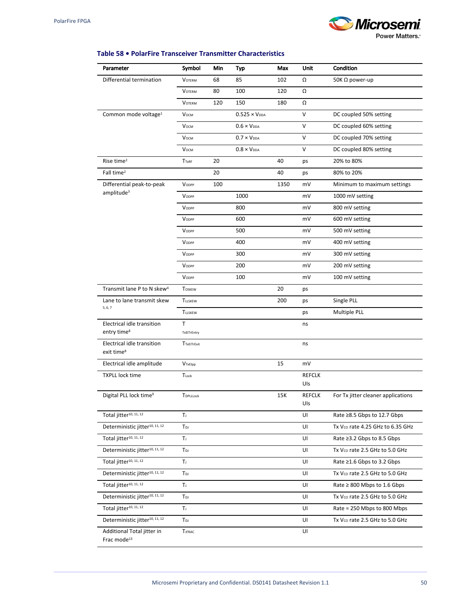# **Microsemi**

**Power Matters.** 

## **Table 58 • PolarFire Transceiver Transmitter Characteristics**

| Parameter                                                                | Symbol             | Min | Typ                    | Max  | Unit                 | Condition                          |
|--------------------------------------------------------------------------|--------------------|-----|------------------------|------|----------------------|------------------------------------|
| Differential termination                                                 | <b>VOTERM</b>      | 68  | 85                     | 102  | Ω                    | 50K $\Omega$ power-up              |
|                                                                          | <b>VOTERM</b>      | 80  | 100                    | 120  | Ω                    |                                    |
|                                                                          | <b>VOTERM</b>      | 120 | 150                    | 180  | Ω                    |                                    |
| Common mode voltage <sup>1</sup>                                         | <b>V</b> осм       |     | $0.525 \times V_{DDA}$ |      | $\vee$               | DC coupled 50% setting             |
|                                                                          | <b>V</b> осм       |     | $0.6 \times V_{DDA}$   |      | v                    | DC coupled 60% setting             |
|                                                                          | <b>V</b> осм       |     | $0.7 \times V_{DDA}$   |      | $\vee$               | DC coupled 70% setting             |
|                                                                          | <b>V</b> осм       |     | $0.8 \times V_{DDA}$   |      | V                    | DC coupled 80% setting             |
| Rise time <sup>2</sup>                                                   | <b>TTxRF</b>       | 20  |                        | 40   | ps                   | 20% to 80%                         |
| Fall time <sup>2</sup>                                                   |                    | 20  |                        | 40   | ps                   | 80% to 20%                         |
| Differential peak-to-peak                                                | VODPP              | 100 |                        | 1350 | mV                   | Minimum to maximum settings        |
| amplitude <sup>3</sup>                                                   | VODPP              |     | 1000                   |      | mV                   | 1000 mV setting                    |
|                                                                          | VODPP              |     | 800                    |      | mV                   | 800 mV setting                     |
|                                                                          | VODPP              |     | 600                    |      | mV                   | 600 mV setting                     |
|                                                                          | VODPP              |     | 500                    |      | mV                   | 500 mV setting                     |
|                                                                          | VODPP              |     | 400                    |      | mV                   | 400 mV setting                     |
|                                                                          | VODPP              |     | 300                    |      | mV                   | 300 mV setting                     |
|                                                                          | VODPP              |     | 200                    |      | mV                   | 200 mV setting                     |
|                                                                          | VODPP              |     | 100                    |      | mV                   | 100 mV setting                     |
| Transmit lane P to N skew <sup>4</sup>                                   | <b>TOSKEW</b>      |     |                        | 20   | ps                   |                                    |
| Lane to lane transmit skew                                               | <b>TLLSKEW</b>     |     |                        | 200  | ps                   | Single PLL                         |
| 5, 6, 7                                                                  | <b>TLLSKEW</b>     |     |                        |      | ps                   | Multiple PLL                       |
| Electrical idle transition                                               | T                  |     |                        |      | ns                   |                                    |
| entry time <sup>8</sup>                                                  | TxEITrEntry        |     |                        |      |                      |                                    |
| Electrical idle transition<br>exit time <sup>8</sup>                     | <b>TTxEITrExit</b> |     |                        |      | ns                   |                                    |
| Electrical idle amplitude                                                | VTxElpp            |     |                        | 15   | mV                   |                                    |
| <b>TXPLL lock time</b>                                                   | TLock              |     |                        |      | <b>REFCLK</b><br>Uls |                                    |
| Digital PLL lock time <sup>9</sup>                                       | TDPLLLock          |     |                        | 15K  | <b>REFCLK</b><br>Uls | For Tx jitter cleaner applications |
| Total jitter <sup>10, 11, 12</sup>                                       | Tı.                |     |                        |      | UI                   | Rate ≥8.5 Gbps to 12.7 Gbps        |
| Deterministic jitter <sup>10, 11, 12</sup>                               | TDJ                |     |                        |      | UI                   | Tx Vco rate 4.25 GHz to 6.35 GHz   |
| Total jitter <sup>10, 11, 12</sup>                                       | Tı.                |     |                        |      | UI                   | Rate ≥3.2 Gbps to 8.5 Gbps         |
| Deterministic jitter <sup>10, 11, 12</sup>                               | $T_{DJ}$           |     |                        |      | UI                   | Tx Vco rate 2.5 GHz to 5.0 GHz     |
| Total jitter <sup>10, 11, 12</sup>                                       | Tı                 |     |                        |      | UI                   | Rate ≥1.6 Gbps to 3.2 Gbps         |
| Deterministic jitter <sup>10, 11, 12</sup>                               | TDJ                |     |                        |      | UI                   | Tx Vco rate 2.5 GHz to 5.0 GHz     |
| Total jitter <sup>10, 11, 12</sup>                                       | Tı.                |     |                        |      | UI                   | Rate $\geq$ 800 Mbps to 1.6 Gbps   |
| Deterministic jitter <sup>10, 11, 12</sup>                               | TDJ                |     |                        |      | UI                   | Tx Vco rate 2.5 GHz to 5.0 GHz     |
| Total jitter <sup>10, 11, 12</sup>                                       | Tı.                |     |                        |      | UI                   | Rate = 250 Mbps to 800 Mbps        |
| Deterministic jitter <sup>10, 11, 12</sup>                               | TDJ                |     |                        |      | UI                   | Tx Vco rate 2.5 GHz to 5.0 GHz     |
| Additional Total jitter in<br>Frac $\text{mode}^{\scriptscriptstyle 13}$ | <b>TJFRAC</b>      |     |                        |      | UI                   |                                    |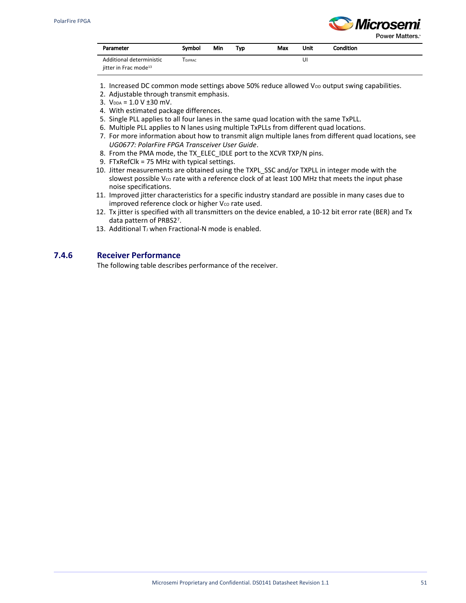

Power Matters.<sup>®</sup>

| Parameter                         | Symbol        | Min | Typ | Max | Unit | <b>Condition</b> |
|-----------------------------------|---------------|-----|-----|-----|------|------------------|
| Additional deterministic          | <b>DJFRAC</b> |     |     |     | UI   |                  |
| iitter in Frac mode <sup>13</sup> |               |     |     |     |      |                  |

- 1. Increased DC common mode settings above 50% reduce allowed Vop output swing capabilities.
- 2. Adjustable through transmit emphasis.
- 3.  $V_{DDA} = 1.0 V \pm 30$  mV.
- 4. With estimated package differences.
- 5. Single PLL applies to all four lanes in the same quad location with the same TxPLL.
- 6. Multiple PLL applies to N lanes using multiple TxPLLs from different quad locations.
- 7. For more information about how to transmit align multiple lanes from different quad locations, see *[UG0677: PolarFire FPGA Transceiver User Guide](http://www.microsemi.com/index.php?option=com_docman&task=doc_download&gid=136531)*.
- 8. From the PMA mode, the TX\_ELEC\_IDLE port to the XCVR TXP/N pins.
- 9. FTxRefClk = 75 MHz with typical settings.
- 10. Jitter measurements are obtained using the TXPL\_SSC and/or TXPLL in integer mode with the slowest possible V<sub>co</sub> rate with a reference clock of at least 100 MHz that meets the input phase noise specifications.
- 11. Improved jitter characteristics for a specific industry standard are possible in many cases due to improved reference clock or higher Vco rate used.
- 12. Tx jitter is specified with all transmitters on the device enabled, a 10-12 bit error rate (BER) and Tx data pattern of PRBS27.
- 13. Additional TJ when Fractional-N mode is enabled.

## **7.4.6 Receiver Performance**

The following table describes performance of the receiver.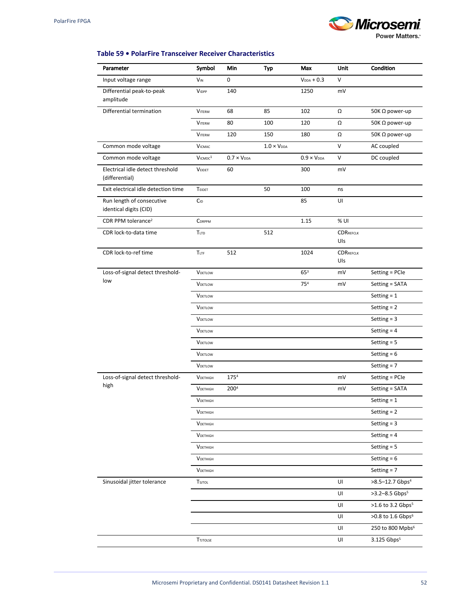# Microsemi

**Power Matters.** 

## **Table 59 • PolarFire Transceiver Receiver Characteristics**

| Parameter                                           | Symbol          | Min                  | Typ                  | Max                         | <b>Unit</b>             | Condition                      |
|-----------------------------------------------------|-----------------|----------------------|----------------------|-----------------------------|-------------------------|--------------------------------|
| Input voltage range                                 | $V_{IN}$        | 0                    |                      | $V_{DDA} + 0.3$             | $\vee$                  |                                |
| Differential peak-to-peak<br>amplitude              | <b>VIDPP</b>    | 140                  |                      | 1250                        | mV                      |                                |
| Differential termination                            | <b>VITERM</b>   | 68                   | 85                   | 102                         | Ω                       | 50K $\Omega$ power-up          |
|                                                     | <b>VITERM</b>   | 80                   | 100                  | 120                         | Ω                       | 50K Ω power-up                 |
|                                                     | <b>VITERM</b>   | 120                  | 150                  | 180                         | Ω                       | 50K $\Omega$ power-up          |
| Common mode voltage                                 | <b>VICMAC</b>   |                      | $1.0 \times V_{DDA}$ |                             | V                       | AC coupled                     |
| Common mode voltage                                 | $V$ ICMDC $1$   | $0.7 \times V_{DDA}$ |                      | $0.9 \times V_{\text{DDA}}$ | V                       | DC coupled                     |
| Electrical idle detect threshold<br>(differential)  | <b>VEIDET</b>   | 60                   |                      | 300                         | mV                      |                                |
| Exit electrical idle detection time                 | TEIDET          |                      | 50                   | 100                         | ns                      |                                |
| Run length of consecutive<br>identical digits (CID) | CID             |                      |                      | 85                          | UI                      |                                |
| CDR PPM tolerance <sup>2</sup>                      | CDRPPM          |                      |                      | 1.15                        | % UI                    |                                |
| CDR lock-to-data time                               | TLTD            |                      | 512                  |                             | <b>CDRREFCLK</b><br>Uls |                                |
| CDR lock-to-ref time                                | TLTF            | 512                  |                      | 1024                        | <b>CDRREFCLK</b><br>Uls |                                |
| Loss-of-signal detect threshold-                    | <b>VDETLOW</b>  |                      |                      | $65^{3}$                    | mV                      | Setting = PCIe                 |
| low                                                 | <b>VDETLOW</b>  |                      |                      | 75 <sup>4</sup>             | mV                      | Setting = SATA                 |
|                                                     | <b>VDETLOW</b>  |                      |                      |                             |                         | Setting $= 1$                  |
|                                                     | <b>VDETLOW</b>  |                      |                      |                             |                         | Setting $= 2$                  |
|                                                     | <b>VDETLOW</b>  |                      |                      |                             |                         | Setting $=$ 3                  |
|                                                     | <b>VDETLOW</b>  |                      |                      |                             |                         | Setting $=$ 4                  |
|                                                     | VDETLOW         |                      |                      |                             |                         | Setting $= 5$                  |
|                                                     | <b>VDETLOW</b>  |                      |                      |                             |                         | Setting $= 6$                  |
|                                                     | <b>VDETLOW</b>  |                      |                      |                             |                         | Setting $= 7$                  |
| Loss-of-signal detect threshold-                    | <b>VDETHIGH</b> | 1754                 |                      |                             | mV                      | Setting = PCIe                 |
| high                                                | <b>VDETHIGH</b> | 2004                 |                      |                             | mV                      | Setting = SATA                 |
|                                                     | <b>VDFTHIGH</b> |                      |                      |                             |                         | Setting $= 1$                  |
|                                                     | <b>VDETHIGH</b> |                      |                      |                             |                         | Setting $= 2$                  |
|                                                     | <b>VDETHIGH</b> |                      |                      |                             |                         | Setting $=$ 3                  |
|                                                     | VDETHIGH        |                      |                      |                             |                         | Setting $=$ 4                  |
|                                                     | <b>VDETHIGH</b> |                      |                      |                             |                         | Setting $= 5$                  |
|                                                     | <b>VDETHIGH</b> |                      |                      |                             |                         | Setting $= 6$                  |
|                                                     | <b>VDETHIGH</b> |                      |                      |                             |                         | Setting $= 7$                  |
| Sinusoidal jitter tolerance                         | TSJTOL          |                      |                      |                             | UI                      | >8.5-12.7 Gbps <sup>4</sup>    |
|                                                     |                 |                      |                      |                             | UI                      | $>3.2 - 8.5$ Gbps <sup>5</sup> |
|                                                     |                 |                      |                      |                             | UI                      | >1.6 to 3.2 Gbps <sup>5</sup>  |
|                                                     |                 |                      |                      |                             | UI                      | >0.8 to 1.6 Gbps <sup>6</sup>  |
|                                                     |                 |                      |                      |                             | UI                      | 250 to 800 Mpbs <sup>6</sup>   |
|                                                     | <b>TTJTOLSE</b> |                      |                      |                             | UI                      | 3.125 Gbps <sup>5</sup>        |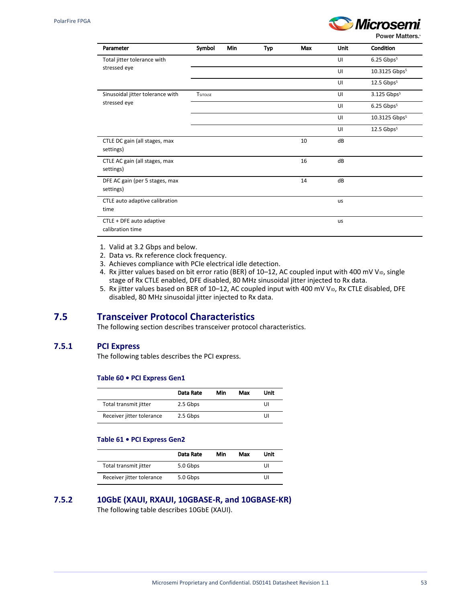

Power Matters.<sup>\*</sup>

| Parameter                                    | Symbol          | Min | Typ | Max | Unit | Condition                 |
|----------------------------------------------|-----------------|-----|-----|-----|------|---------------------------|
| Total jitter tolerance with                  |                 |     |     |     | UI   | $6.25$ Gbps <sup>5</sup>  |
| stressed eye                                 |                 |     |     |     | UI   | 10.3125 Gbps <sup>5</sup> |
|                                              |                 |     |     |     | UI   | $12.5$ Gbps <sup>5</sup>  |
| Sinusoidal jitter tolerance with             | <b>TSJTOLSE</b> |     |     |     | UI   | 3.125 Gbps <sup>5</sup>   |
| stressed eye                                 |                 |     |     |     | UI   | $6.25$ Gbps <sup>5</sup>  |
|                                              |                 |     |     |     | UI   | 10.3125 Gbps <sup>5</sup> |
|                                              |                 |     |     |     | UI   | $12.5$ Gbps <sup>5</sup>  |
| CTLE DC gain (all stages, max<br>settings)   |                 |     |     | 10  | dB   |                           |
| CTLE AC gain (all stages, max<br>settings)   |                 |     |     | 16  | dB   |                           |
| DFE AC gain (per 5 stages, max<br>settings)  |                 |     |     | 14  | dB   |                           |
| CTLE auto adaptive calibration<br>time       |                 |     |     |     | us   |                           |
| CTLE + DFE auto adaptive<br>calibration time |                 |     |     |     | us   |                           |

- 1. Valid at 3.2 Gbps and below.
- 2. Data vs. Rx reference clock frequency.
- 3. Achieves compliance with PCIe electrical idle detection.
- 4. Rx jitter values based on bit error ratio (BER) of 10–12, AC coupled input with 400 mV V<sub>ID</sub>, single stage of Rx CTLE enabled, DFE disabled, 80 MHz sinusoidal jitter injected to Rx data.
- 5. Rx jitter values based on BER of 10–12, AC coupled input with 400 mV V<sub>ID</sub>, Rx CTLE disabled, DFE disabled, 80 MHz sinusoidal jitter injected to Rx data.

## **7.5 Transceiver Protocol Characteristics**

The following section describes transceiver protocol characteristics.

### **7.5.1 PCI Express**

The following tables describes the PCI express.

#### **Table 60 • PCI Express Gen1**

|                           | Data Rate | Min | Max | Unit |
|---------------------------|-----------|-----|-----|------|
| Total transmit jitter     | 2.5 Gbps  |     |     | Ul   |
| Receiver jitter tolerance | 2.5 Gbps  |     |     | UI   |

#### **Table 61 • PCI Express Gen2**

|                           | Data Rate | Min | Max | Unit |
|---------------------------|-----------|-----|-----|------|
| Total transmit jitter     | 5.0 Gbps  |     |     | UI   |
| Receiver jitter tolerance | 5.0 Gbps  |     |     | UI   |

## **7.5.2 10GbE (XAUI, RXAUI, 10GBASE-R, and 10GBASE-KR)** The following table describes 10GbE (XAUI).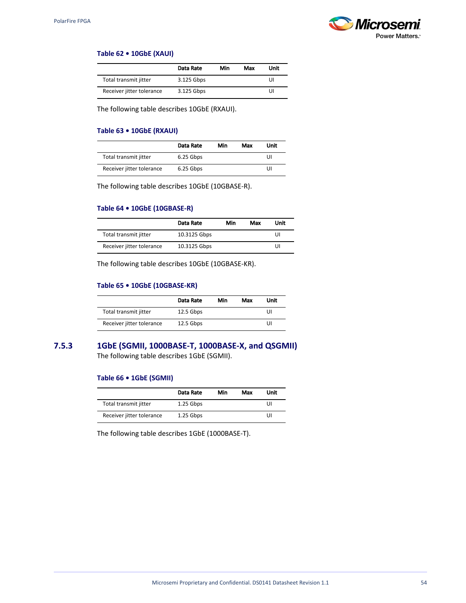

#### **Table 62 • 10GbE (XAUI)**

|                           | Data Rate  | Min | Max | Unit |
|---------------------------|------------|-----|-----|------|
| Total transmit jitter     | 3.125 Gbps |     |     | UI   |
| Receiver jitter tolerance | 3.125 Gbps |     |     | UI   |

The following table describes 10GbE (RXAUI).

#### **Table 63 • 10GbE (RXAUI)**

|                           | Data Rate | Min | Max | Unit |
|---------------------------|-----------|-----|-----|------|
| Total transmit jitter     | 6.25 Gbps |     |     | UI   |
| Receiver jitter tolerance | 6.25 Gbps |     |     | UI   |

The following table describes 10GbE (10GBASE-R).

#### **Table 64 • 10GbE (10GBASE-R)**

|                           | Data Rate    | Min | Max | Unit |
|---------------------------|--------------|-----|-----|------|
| Total transmit jitter     | 10.3125 Gbps |     |     | UI   |
| Receiver jitter tolerance | 10.3125 Gbps |     |     | UI   |

The following table describes 10GbE (10GBASE-KR).

#### **Table 65 • 10GbE (10GBASE-KR)**

|                           | Data Rate   | Min | Max | Unit |
|---------------------------|-------------|-----|-----|------|
| Total transmit jitter     | $12.5$ Gbps |     |     | Ul   |
| Receiver jitter tolerance | $12.5$ Gbps |     |     | Ul   |

**7.5.3 1GbE (SGMII, 1000BASE-T, 1000BASE-X, and QSGMII)** The following table describes 1GbE (SGMII).

#### **Table 66 • 1GbE (SGMII)**

|                           | Data Rate   | Min | Max | Unit |
|---------------------------|-------------|-----|-----|------|
| Total transmit jitter     | $1.25$ Gbps |     |     | UI   |
| Receiver jitter tolerance | $1.25$ Gbps |     |     | UI   |

The following table describes 1GbE (1000BASE-T).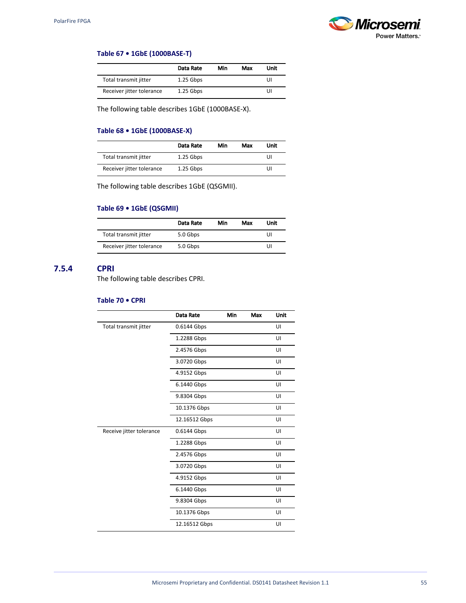

#### **Table 67 • 1GbE (1000BASE-T)**

|                           | Data Rate   | Min | Max | Unit |
|---------------------------|-------------|-----|-----|------|
| Total transmit jitter     | $1.25$ Gbps |     |     | UI   |
| Receiver jitter tolerance | $1.25$ Gbps |     |     | UI   |

The following table describes 1GbE (1000BASE-X).

## **Table 68 • 1GbE (1000BASE-X)**

|                           | Data Rate   | Min | Max | Unit |
|---------------------------|-------------|-----|-----|------|
| Total transmit jitter     | $1.25$ Gbps |     |     | UI   |
| Receiver jitter tolerance | $1.25$ Gbps |     |     | UI   |

The following table describes 1GbE (QSGMII).

#### **Table 69 • 1GbE (QSGMII)**

|                           | Data Rate | Min | Max | Unit |
|---------------------------|-----------|-----|-----|------|
| Total transmit jitter     | 5.0 Gbps  |     |     | UI   |
| Receiver jitter tolerance | 5.0 Gbps  |     |     | UI   |

## **7.5.4 CPRI**

The following table describes CPRI.

#### **Table 70 • CPRI**

|                          | Data Rate     | Min | Max | Unit |
|--------------------------|---------------|-----|-----|------|
| Total transmit jitter    | 0.6144 Gbps   |     |     | UI   |
|                          | 1.2288 Gbps   |     |     | UI   |
|                          | 2.4576 Gbps   |     |     | UI   |
|                          | 3.0720 Gbps   |     |     | UI   |
|                          | 4.9152 Gbps   |     |     | UI   |
|                          | 6.1440 Gbps   |     |     | UI   |
|                          | 9.8304 Gbps   |     |     | UI   |
|                          | 10.1376 Gbps  |     |     | UI   |
|                          | 12.16512 Gbps |     |     | UI   |
| Receive jitter tolerance | 0.6144 Gbps   |     |     | UI   |
|                          | 1.2288 Gbps   |     |     | UI   |
|                          | 2.4576 Gbps   |     |     | UI   |
|                          | 3.0720 Gbps   |     |     | UI   |
|                          | 4.9152 Gbps   |     |     | UI   |
|                          | 6.1440 Gbps   |     |     | UI   |
|                          | 9.8304 Gbps   |     |     | UI   |
|                          | 10.1376 Gbps  |     |     | UI   |
|                          | 12.16512 Gbps |     |     | UI   |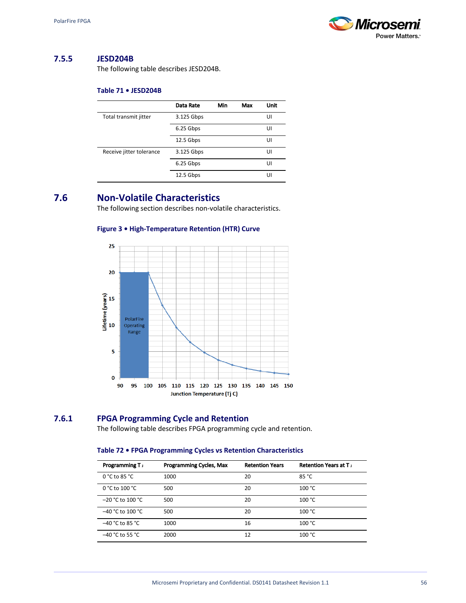

## **7.5.5 JESD204B**

The following table describes JESD204B.

#### **Table 71 • JESD204B**

|                          | Data Rate  | Min | Max | <b>Unit</b> |
|--------------------------|------------|-----|-----|-------------|
| Total transmit jitter    | 3.125 Gbps |     |     | UI          |
|                          | 6.25 Gbps  |     |     | UI          |
|                          | 12.5 Gbps  |     |     | UI          |
| Receive jitter tolerance | 3.125 Gbps |     |     | UI          |
|                          | 6.25 Gbps  |     |     | UI          |
|                          | 12.5 Gbps  |     |     | UI          |

# **7.6 Non-Volatile Characteristics**

The following section describes non-volatile characteristics.

#### **Figure 3 • High-Temperature Retention (HTR) Curve**



## **7.6.1 FPGA Programming Cycle and Retention**

The following table describes FPGA programming cycle and retention.

#### **Table 72 • FPGA Programming Cycles vs Retention Characteristics**

| Programming T <sub>J</sub> | <b>Programming Cycles, Max</b> | <b>Retention Years</b> | <b>Retention Years at T</b> |
|----------------------------|--------------------------------|------------------------|-----------------------------|
| $0 °C$ to 85 $°C$          | 1000                           | 20                     | 85 °C                       |
| $0 °C$ to $100 °C$         | 500                            | 20                     | 100 °C                      |
| $-20$ °C to 100 °C         | 500                            | 20                     | 100 °C                      |
| $-40$ °C to 100 °C         | 500                            | 20                     | 100 °C                      |
| $-40$ °C to 85 °C          | 1000                           | 16                     | 100 °C                      |
| $-40$ °C to 55 °C          | 2000                           | 12                     | 100 °C                      |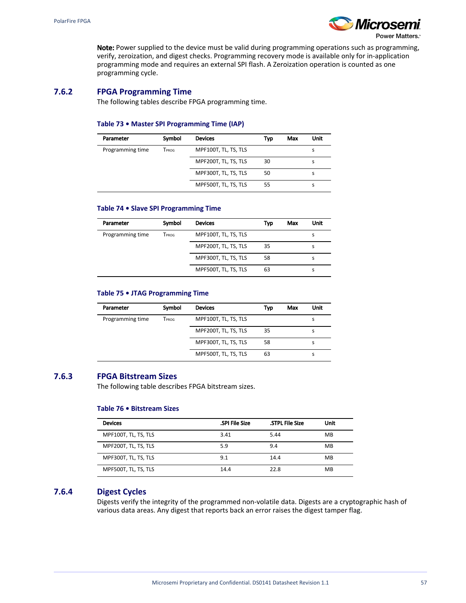

Power Matters.<sup>®</sup>

Note: Power supplied to the device must be valid during programming operations such as programming, verify, zeroization, and digest checks. Programming recovery mode is available only for in-application programming mode and requires an external SPI flash. A Zeroization operation is counted as one programming cycle.

## <span id="page-60-0"></span>**7.6.2 FPGA Programming Time**

The following tables describe FPGA programming time.

#### **Table 73 • Master SPI Programming Time (IAP)**

| Parameter        | Symbol | <b>Devices</b>       | Typ | Max | Unit |
|------------------|--------|----------------------|-----|-----|------|
| Programming time | Tprog  | MPF100T, TL, TS, TLS |     |     |      |
|                  |        | MPF200T, TL, TS, TLS | 30  |     |      |
|                  |        | MPF300T, TL, TS, TLS | 50  |     |      |
|                  |        | MPF500T, TL, TS, TLS | 55  |     |      |

#### **Table 74 • Slave SPI Programming Time**

| Parameter        | Symbol | <b>Devices</b>       | Typ | Max | Unit |
|------------------|--------|----------------------|-----|-----|------|
| Programming time | TPROG  | MPF100T, TL, TS, TLS |     |     |      |
|                  |        | MPF200T, TL, TS, TLS | 35  |     |      |
|                  |        | MPF300T, TL, TS, TLS | 58  |     |      |
|                  |        | MPF500T, TL, TS, TLS | 63  |     | s    |

#### **Table 75 • JTAG Programming Time**

| Parameter        | Symbol | <b>Devices</b>       | Typ | Max | Unit |  |
|------------------|--------|----------------------|-----|-----|------|--|
|                  |        |                      |     |     |      |  |
| Programming time | TPROG  | MPF100T, TL, TS, TLS |     |     |      |  |
|                  |        | MPF200T, TL, TS, TLS | 35  |     | s    |  |
|                  |        | MPF300T, TL, TS, TLS | 58  |     |      |  |
|                  |        | MPF500T, TL, TS, TLS | 63  |     |      |  |

#### **7.6.3 FPGA Bitstream Sizes**

The following table describes FPGA bitstream sizes.

#### **Table 76 • Bitstream Sizes**

| <b>Devices</b>       | <b>SPI File Size</b> | <b>STPL File Size</b> | Unit |
|----------------------|----------------------|-----------------------|------|
| MPF100T, TL, TS, TLS | 3.41                 | 5.44                  | MB   |
| MPF200T, TL, TS, TLS | 5.9                  | 9.4                   | MB   |
| MPF300T, TL, TS, TLS | 9.1                  | 14.4                  | MB   |
| MPF500T, TL, TS, TLS | 14.4                 | 22.8                  | MB   |

## **7.6.4 Digest Cycles**

Digests verify the integrity of the programmed non-volatile data. Digests are a cryptographic hash of various data areas. Any digest that reports back an error raises the digest tamper flag.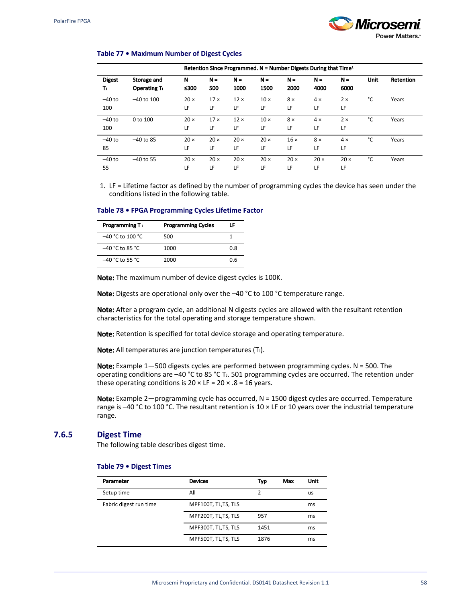

#### **Table 77 • Maximum Number of Digest Cycles**

|                      | Retention Since Programmed. $N =$ Number Digests During that Time <sup>1</sup> |                   |                   |                   |                   |                   |                   |                   |      |           |
|----------------------|--------------------------------------------------------------------------------|-------------------|-------------------|-------------------|-------------------|-------------------|-------------------|-------------------|------|-----------|
| <b>Digest</b><br>Tı. | Storage and<br><b>Operating T.</b>                                             | N<br>≤300         | $N =$<br>500      | $N =$<br>1000     | $N =$<br>1500     | $N =$<br>2000     | $N =$<br>4000     | $N =$<br>6000     | Unit | Retention |
| $-40$ to<br>100      | $-40$ to $100$                                                                 | $20 \times$<br>LF | $17 \times$<br>LF | $12 \times$<br>LF | $10 \times$<br>LF | $8 \times$<br>LF  | $4 \times$<br>LF  | $2 \times$<br>LF  | °C   | Years     |
| $-40$ to<br>100      | 0 to 100                                                                       | $20 \times$<br>LF | $17 \times$<br>LF | $12 \times$<br>LF | $10 \times$<br>LF | $8 \times$<br>LF  | $4 \times$<br>LF  | $2 \times$<br>LF  | °C   | Years     |
| $-40$ to<br>85       | $-40$ to 85                                                                    | $20 \times$<br>LF | $20 \times$<br>LF | $20 \times$<br>LF | $20 \times$<br>LF | $16 \times$<br>LF | $8 \times$<br>LF  | $4 \times$<br>LF  | °C   | Years     |
| $-40$ to<br>55       | $-40$ to 55                                                                    | $20 \times$<br>LF | $20 \times$<br>LF | $20 \times$<br>LF | $20 \times$<br>LF | $20 \times$<br>LF | $20 \times$<br>LF | $20 \times$<br>LF | °c   | Years     |

1. LF = Lifetime factor as defined by the number of programming cycles the device has seen under the conditions listed in the following table.

#### **Table 78 • FPGA Programming Cycles Lifetime Factor**

| Programming T <sub>J</sub> | <b>Programming Cycles</b> | LF  |
|----------------------------|---------------------------|-----|
| $-40$ °C to 100 °C         | 500                       |     |
| $-40$ °C to 85 °C          | 1000                      | 0.8 |
| –40 °C to 55 °C            | 2000                      | 0.6 |

Note: The maximum number of device digest cycles is 100K.

Note: Digests are operational only over the -40 °C to 100 °C temperature range.

Note: After a program cycle, an additional N digests cycles are allowed with the resultant retention characteristics for the total operating and storage temperature shown.

Note: Retention is specified for total device storage and operating temperature.

Note: All temperatures are junction temperatures (T.).

Note: Example  $1-500$  digests cycles are performed between programming cycles. N = 500. The operating conditions are -40 °C to 85 °C T<sub>J</sub>. 501 programming cycles are occurred. The retention under these operating conditions is  $20 \times LF = 20 \times .8 = 16$  years.

Note: Example 2—programming cycle has occurred,  $N = 1500$  digest cycles are occurred. Temperature range is  $-40$  °C to 100 °C. The resultant retention is 10  $\times$  LF or 10 years over the industrial temperature range.

#### <span id="page-61-0"></span>**7.6.5 Digest Time**

The following table describes digest time.

#### **Table 79 • Digest Times**

| Parameter              | <b>Devices</b>      | Typ  | Max | Unit |
|------------------------|---------------------|------|-----|------|
| Setup time             | All                 | 2    |     | us   |
| Fabric digest run time | MPF100T, TL,TS, TLS |      |     | ms   |
|                        | MPF200T, TL,TS, TLS | 957  |     | ms   |
|                        | MPF300T, TL,TS, TLS | 1451 |     | ms   |
|                        | MPF500T, TL,TS, TLS | 1876 |     | ms   |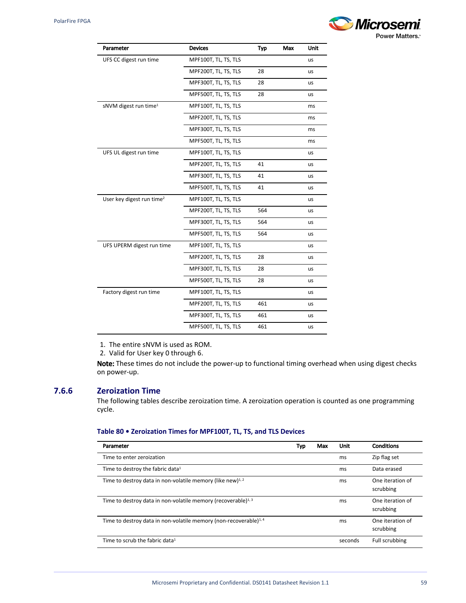

| Parameter                             | <b>Devices</b>       | Typ | Max | Unit      |
|---------------------------------------|----------------------|-----|-----|-----------|
| UFS CC digest run time                | MPF100T, TL, TS, TLS |     |     | us        |
|                                       | MPF200T, TL, TS, TLS | 28  |     | us        |
|                                       | MPF300T, TL, TS, TLS | 28  |     | us        |
|                                       | MPF500T, TL, TS, TLS | 28  |     | us        |
| sNVM digest run time <sup>1</sup>     | MPF100T, TL, TS, TLS |     |     | ms        |
|                                       | MPF200T, TL, TS, TLS |     |     | ms        |
|                                       | MPF300T, TL, TS, TLS |     |     | ms        |
|                                       | MPF500T, TL, TS, TLS |     |     | ms        |
| UFS UL digest run time                | MPF100T, TL, TS, TLS |     |     | us        |
|                                       | MPF200T, TL, TS, TLS | 41  |     | us        |
|                                       | MPF300T, TL, TS, TLS | 41  |     | us        |
|                                       | MPF500T, TL, TS, TLS | 41  |     | us        |
| User key digest run time <sup>2</sup> | MPF100T, TL, TS, TLS |     |     | us        |
|                                       | MPF200T, TL, TS, TLS | 564 |     | us        |
|                                       | MPF300T, TL, TS, TLS | 564 |     | us        |
|                                       | MPF500T, TL, TS, TLS | 564 |     | us        |
| UFS UPERM digest run time             | MPF100T, TL, TS, TLS |     |     | us        |
|                                       | MPF200T, TL, TS, TLS | 28  |     | <b>us</b> |
|                                       | MPF300T, TL, TS, TLS | 28  |     | us        |
|                                       | MPF500T, TL, TS, TLS | 28  |     | us        |
| Factory digest run time               | MPF100T, TL, TS, TLS |     |     | us        |
|                                       | MPF200T, TL, TS, TLS | 461 |     | us        |
|                                       | MPF300T, TL, TS, TLS | 461 |     | us        |
|                                       | MPF500T, TL, TS, TLS | 461 |     | us        |

1. The entire sNVM is used as ROM.

2. Valid for User key 0 through 6.

Note: These times do not include the power-up to functional timing overhead when using digest checks on power-up.

## **7.6.6 Zeroization Time**

The following tables describe zeroization time. A zeroization operation is counted as one programming cycle.

## **Table 80 • Zeroization Times for MPF100T, TL, TS, and TLS Devices**

| Parameter                                                                     | Typ | Max | Unit    | <b>Conditions</b>             |
|-------------------------------------------------------------------------------|-----|-----|---------|-------------------------------|
| Time to enter zeroization                                                     |     |     | ms      | Zip flag set                  |
| Time to destroy the fabric data <sup>1</sup>                                  |     |     | ms      | Data erased                   |
| Time to destroy data in non-volatile memory (like new) $^{1,2}$               |     |     | ms      | One iteration of<br>scrubbing |
| Time to destroy data in non-volatile memory (recoverable) <sup>1, 3</sup>     |     |     | ms      | One iteration of<br>scrubbing |
| Time to destroy data in non-volatile memory (non-recoverable) <sup>1, 4</sup> |     |     | ms      | One iteration of<br>scrubbing |
| Time to scrub the fabric data <sup>1</sup>                                    |     |     | seconds | Full scrubbing                |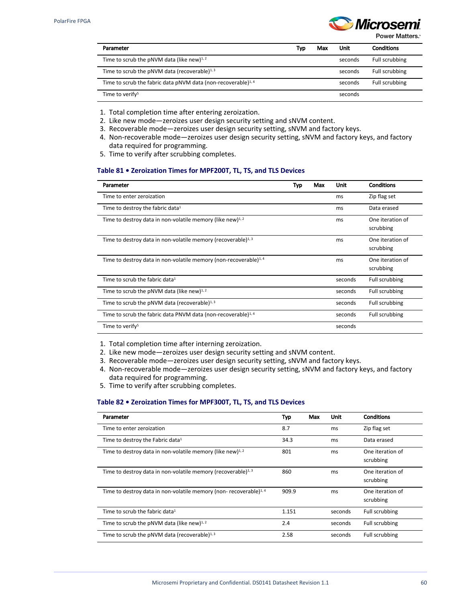

Power Matters.<sup>\*</sup>

| Parameter                                                                 | Typ | Max | Unit    | <b>Conditions</b> |
|---------------------------------------------------------------------------|-----|-----|---------|-------------------|
| Time to scrub the pNVM data (like new) $^{1,2}$                           |     |     | seconds | Full scrubbing    |
| Time to scrub the pNVM data (recoverable) <sup>1, 3</sup>                 |     |     | seconds | Full scrubbing    |
| Time to scrub the fabric data pNVM data (non-recoverable) <sup>1, 4</sup> |     |     | seconds | Full scrubbing    |
| Time to verify <sup>5</sup>                                               |     |     | seconds |                   |

- 1. Total completion time after entering zeroization.
- 2. Like new mode—zeroizes user design security setting and sNVM content.
- 3. Recoverable mode—zeroizes user design security setting, sNVM and factory keys.
- 4. Non-recoverable mode—zeroizes user design security setting, sNVM and factory keys, and factory data required for programming.
- 5. Time to verify after scrubbing completes.

#### **Table 81 • Zeroization Times for MPF200T, TL, TS, and TLS Devices**

| Parameter                                                                     | Typ | Max | Unit    | <b>Conditions</b>             |
|-------------------------------------------------------------------------------|-----|-----|---------|-------------------------------|
| Time to enter zeroization                                                     |     |     | ms      | Zip flag set                  |
| Time to destroy the fabric data <sup>1</sup>                                  |     |     | ms      | Data erased                   |
| Time to destroy data in non-volatile memory (like new) $^{1,2}$               |     |     | ms      | One iteration of<br>scrubbing |
| Time to destroy data in non-volatile memory (recoverable) $^{1,3}$            |     |     | ms      | One iteration of<br>scrubbing |
| Time to destroy data in non-volatile memory (non-recoverable) <sup>1, 4</sup> |     |     | ms      | One iteration of<br>scrubbing |
| Time to scrub the fabric data <sup>1</sup>                                    |     |     | seconds | Full scrubbing                |
| Time to scrub the pNVM data (like new) $^{1,2}$                               |     |     | seconds | Full scrubbing                |
| Time to scrub the pNVM data (recoverable) $^{1,3}$                            |     |     | seconds | Full scrubbing                |
| Time to scrub the fabric data PNVM data (non-recoverable) <sup>1, 4</sup>     |     |     | seconds | Full scrubbing                |
| Time to verify <sup>5</sup>                                                   |     |     | seconds |                               |

1. Total completion time after interning zeroization.

2. Like new mode—zeroizes user design security setting and sNVM content.

3. Recoverable mode—zeroizes user design security setting, sNVM and factory keys.

- 4. Non-recoverable mode—zeroizes user design security setting, sNVM and factory keys, and factory data required for programming.
- 5. Time to verify after scrubbing completes.

#### **Table 82 • Zeroization Times for MPF300T, TL, TS, and TLS Devices**

| Parameter                                                                    | Typ   | Max | Unit    | <b>Conditions</b>             |
|------------------------------------------------------------------------------|-------|-----|---------|-------------------------------|
| Time to enter zeroization                                                    | 8.7   |     | ms      | Zip flag set                  |
| Time to destroy the Fabric data <sup>1</sup>                                 | 34.3  |     | ms      | Data erased                   |
| Time to destroy data in non-volatile memory (like new) <sup>1, 2</sup>       | 801   |     | ms      | One iteration of<br>scrubbing |
| Time to destroy data in non-volatile memory (recoverable) <sup>1,3</sup>     | 860   |     | ms      | One iteration of<br>scrubbing |
| Time to destroy data in non-volatile memory (non-recoverable) <sup>1,4</sup> | 909.9 |     | ms      | One iteration of<br>scrubbing |
| Time to scrub the fabric data <sup>1</sup>                                   | 1.151 |     | seconds | <b>Full scrubbing</b>         |
| Time to scrub the pNVM data (like new) $1,2$                                 | 2.4   |     | seconds | Full scrubbing                |
| Time to scrub the pNVM data (recoverable) $1,3$                              | 2.58  |     | seconds | <b>Full scrubbing</b>         |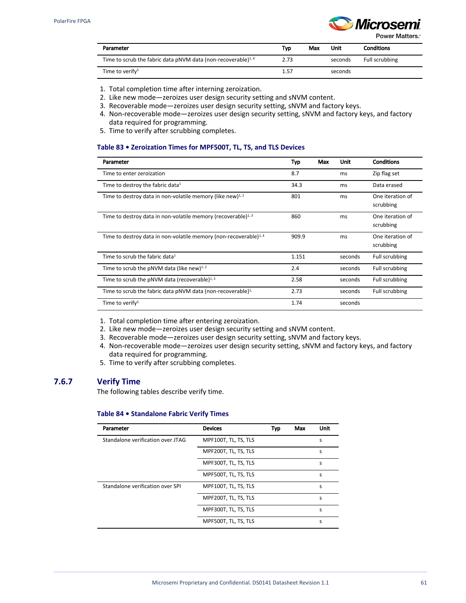

Power Matters.<sup>\*</sup>

| Parameter                                                                | Typ. | Max | Unit    | <b>Conditions</b> |
|--------------------------------------------------------------------------|------|-----|---------|-------------------|
| Time to scrub the fabric data pNVM data (non-recoverable) <sup>1,4</sup> | 2.73 |     | seconds | Full scrubbing    |
| Time to verify <sup>5</sup>                                              | 1.57 |     | seconds |                   |

- 1. Total completion time after interning zeroization.
- 2. Like new mode—zeroizes user design security setting and sNVM content.
- 3. Recoverable mode—zeroizes user design security setting, sNVM and factory keys.
- 4. Non-recoverable mode—zeroizes user design security setting, sNVM and factory keys, and factory data required for programming.
- 5. Time to verify after scrubbing completes.

#### **Table 83 • Zeroization Times for MPF500T, TL, TS, and TLS Devices**

| Parameter                                                                     | Typ   | Max | Unit    | <b>Conditions</b>             |
|-------------------------------------------------------------------------------|-------|-----|---------|-------------------------------|
| Time to enter zeroization                                                     | 8.7   |     | ms      | Zip flag set                  |
| Time to destroy the fabric data <sup>1</sup>                                  | 34.3  |     | ms      | Data erased                   |
| Time to destroy data in non-volatile memory (like new) <sup>1, 2</sup>        | 801   |     | ms      | One iteration of<br>scrubbing |
| Time to destroy data in non-volatile memory (recoverable) $^{1,3}$            | 860   |     | ms      | One iteration of<br>scrubbing |
| Time to destroy data in non-volatile memory (non-recoverable) <sup>1, 4</sup> | 909.9 |     | ms      | One iteration of<br>scrubbing |
| Time to scrub the fabric data $1$                                             | 1.151 |     | seconds | Full scrubbing                |
| Time to scrub the pNVM data (like new) $^{1,2}$                               | 2.4   |     | seconds | Full scrubbing                |
| Time to scrub the pNVM data (recoverable) $1,3$                               | 2.58  |     | seconds | Full scrubbing                |
| Time to scrub the fabric data pNVM data (non-recoverable) <sup>1,</sup>       | 2.73  |     | seconds | Full scrubbing                |
| Time to verify <sup>5</sup>                                                   | 1.74  |     | seconds |                               |

- 1. Total completion time after entering zeroization.
- 2. Like new mode—zeroizes user design security setting and sNVM content.
- 3. Recoverable mode—zeroizes user design security setting, sNVM and factory keys.
- 4. Non-recoverable mode—zeroizes user design security setting, sNVM and factory keys, and factory data required for programming.
- 5. Time to verify after scrubbing completes.

## **7.6.7 Verify Time**

The following tables describe verify time.

#### **Table 84 • Standalone Fabric Verify Times**

| Parameter                         | <b>Devices</b>       | Typ | Max | Unit |
|-----------------------------------|----------------------|-----|-----|------|
| Standalone verification over JTAG | MPF100T, TL, TS, TLS |     |     | S    |
|                                   | MPF200T, TL, TS, TLS |     |     | S    |
|                                   | MPF300T, TL, TS, TLS |     |     | S    |
|                                   | MPF500T, TL, TS, TLS |     |     | S    |
| Standalone verification over SPL  | MPF100T, TL, TS, TLS |     |     | S    |
|                                   | MPF200T, TL, TS, TLS |     |     | S    |
|                                   | MPF300T, TL, TS, TLS |     |     | S    |
|                                   | MPF500T, TL, TS, TLS |     |     | S    |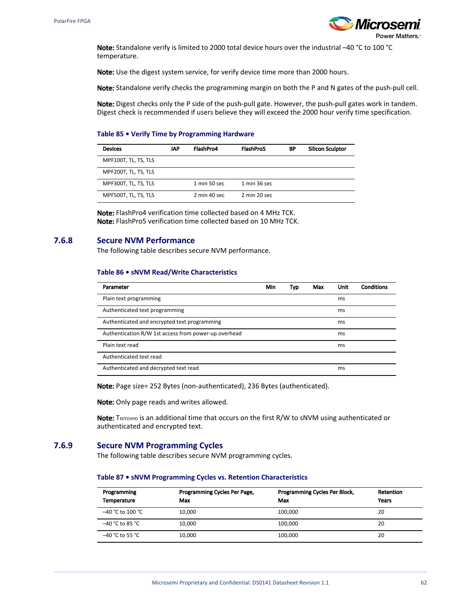

Note: Standalone verify is limited to 2000 total device hours over the industrial –40 °C to 100 °C temperature.

Note: Use the digest system service, for verify device time more than 2000 hours.

Note: Standalone verify checks the programming margin on both the P and N gates of the push-pull cell.

Note: Digest checks only the P side of the push-pull gate. However, the push-pull gates work in tandem. Digest check is recommended if users believe they will exceed the 2000 hour verify time specification.

#### **Table 85 • Verify Time by Programming Hardware**

| <b>Devices</b>       | <b>IAP</b> | FlashPro4                      | FlashPro5                       | ΒP | <b>Silicon Sculptor</b> |
|----------------------|------------|--------------------------------|---------------------------------|----|-------------------------|
| MPF100T, TL, TS, TLS |            |                                |                                 |    |                         |
| MPF200T, TL, TS, TLS |            |                                |                                 |    |                         |
| MPF300T, TL, TS, TLS |            | $1 \text{ min} 50 \text{ sec}$ | $1 \text{ min } 36 \text{ sec}$ |    |                         |
| MPF500T, TL, TS, TLS |            | 2 min 40 sec                   | 2 min 20 sec                    |    |                         |

Note: FlashPro4 verification time collected based on 4 MHz TCK. Note: FlashPro5 verification time collected based on 10 MHz TCK.

## <span id="page-65-0"></span>**7.6.8 Secure NVM Performance**

The following table describes secure NVM performance.

#### **Table 86 • sNVM Read/Write Characteristics**

| Parameter                                            | Min | Typ | Max | <b>Unit</b> | <b>Conditions</b> |
|------------------------------------------------------|-----|-----|-----|-------------|-------------------|
| Plain text programming                               |     |     |     | ms          |                   |
| Authenticated text programming                       |     |     |     | ms          |                   |
| Authenticated and encrypted text programming         |     |     |     | ms          |                   |
| Authentication R/W 1st access from power-up overhead |     |     |     | ms          |                   |
| Plain text read                                      |     |     |     | ms          |                   |
| Authenticated text read                              |     |     |     |             |                   |
| Authenticated and decrypted text read                |     |     |     | ms          |                   |

Note: Page size= 252 Bytes (non-authenticated), 236 Bytes (authenticated).

Note: Only page reads and writes allowed.

Note: TKEYOVHD IS an additional time that occurs on the first R/W to sNVM using authenticated or authenticated and encrypted text.

#### **7.6.9 Secure NVM Programming Cycles**

The following table describes secure NVM programming cycles.

#### **Table 87 • sNVM Programming Cycles vs. Retention Characteristics**

| Programming<br><b>Temperature</b> | Programming Cycles Per Page,<br>Max | Programming Cycles Per Block,<br>Max | Retention<br>Years |
|-----------------------------------|-------------------------------------|--------------------------------------|--------------------|
| $-40 °C$ to 100 $°C$              | 10.000                              | 100.000                              | 20                 |
| –40 °C to 85 °C                   | 10.000                              | 100.000                              | 20                 |
| $-40$ °C to 55 °C                 | 10.000                              | 100.000                              | 20                 |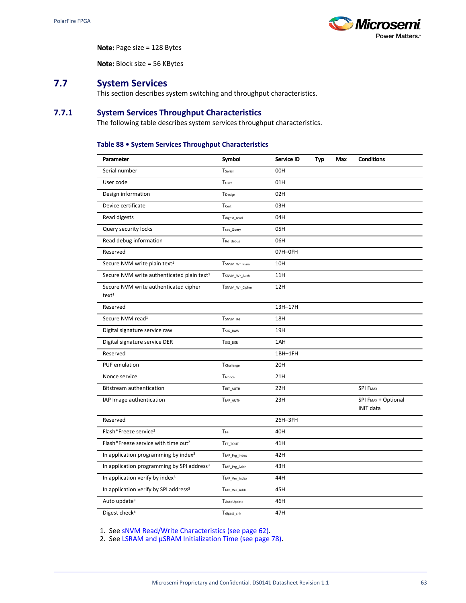

Note: Page size = 128 Bytes

Note: Block size = 56 KBytes

## **7.7 System Services**

This section describes system switching and throughput characteristics.

## **7.7.1 System Services Throughput Characteristics**

The following table describes system services throughput characteristics.

#### **Table 88 • System Services Throughput Characteristics**

| Parameter                                               | Symbol                    | Service ID | Typ | Max | <b>Conditions</b>                                   |
|---------------------------------------------------------|---------------------------|------------|-----|-----|-----------------------------------------------------|
| Serial number                                           | Tserial                   | 00H        |     |     |                                                     |
| User code                                               | Tuser                     | 01H        |     |     |                                                     |
| Design information                                      | TDesign                   | 02H        |     |     |                                                     |
| Device certificate                                      | Tcert                     | 03H        |     |     |                                                     |
| Read digests                                            | $T_{\text{digest\_read}}$ | 04H        |     |     |                                                     |
| Query security locks                                    | Tsec_Query                | 05H        |     |     |                                                     |
| Read debug information                                  | TRd_debug                 | 06H        |     |     |                                                     |
| Reserved                                                |                           | 07H-OFH    |     |     |                                                     |
| Secure NVM write plain text <sup>1</sup>                | TSNVM_Wr_Plain            | 10H        |     |     |                                                     |
| Secure NVM write authenticated plain text <sup>1</sup>  | TSNVM_Wr_Auth             | 11H        |     |     |                                                     |
| Secure NVM write authenticated cipher<br>$text{text}^1$ | TSNVM_Wr_Cipher           | 12H        |     |     |                                                     |
| Reserved                                                |                           | 13H-17H    |     |     |                                                     |
| Secure NVM read <sup>1</sup>                            | TSNVM Rd                  | 18H        |     |     |                                                     |
| Digital signature service raw                           | TSIG RAW                  | 19H        |     |     |                                                     |
| Digital signature service DER                           | TSIG_DER                  | 1AH        |     |     |                                                     |
| Reserved                                                |                           | 1BH-1FH    |     |     |                                                     |
| <b>PUF</b> emulation                                    | Tchallenge                | 20H        |     |     |                                                     |
| Nonce service                                           | TNonce                    | 21H        |     |     |                                                     |
| Bitstream authentication                                | TBIT_AUTH                 | 22H        |     |     | <b>SPI FMAX</b>                                     |
| IAP Image authentication                                | TIAP_AUTH                 | 23H        |     |     | SPI F <sub>MAX</sub> + Optional<br><b>INIT data</b> |
| Reserved                                                |                           | 26H-3FH    |     |     |                                                     |
| Flash*Freeze service <sup>2</sup>                       | TFF                       | 40H        |     |     |                                                     |
| Flash*Freeze service with time out <sup>2</sup>         | TFF_TOUT                  | 41H        |     |     |                                                     |
| In application programming by index <sup>3</sup>        | TIAP_Prg_Index            | 42H        |     |     |                                                     |
| In application programming by SPI address <sup>3</sup>  | TIAP_Prg_Addr             | 43H        |     |     |                                                     |
| In application verify by index <sup>3</sup>             | TIAP_Ver_Index            | 44H        |     |     |                                                     |
| In application verify by SPI address <sup>3</sup>       | TIAP_Ver_Addr             | 45H        |     |     |                                                     |
| Auto update <sup>3</sup>                                | <b>TAutoUpdate</b>        | 46H        |     |     |                                                     |
| Digest check <sup>4</sup>                               | Tdigest_chk               | 47H        |     |     |                                                     |

1. See [sNVM Read/Write Characteristics \(see page 62\)](#page-65-0).

2. See [LSRAM and µSRAM Initialization Time \(see page 78\).](#page-81-0)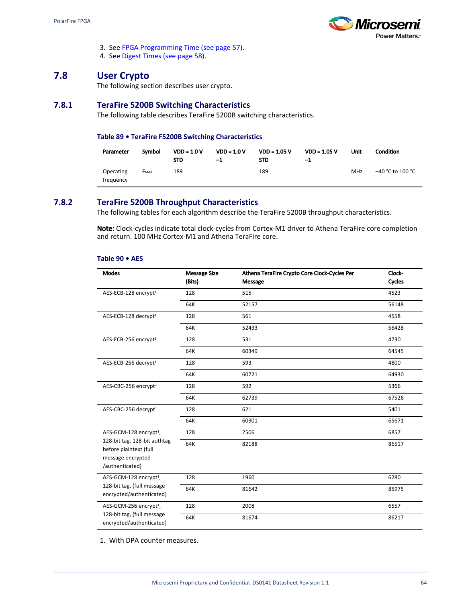

- 3. See [FPGA Programming Time \(see page 57\).](#page-60-0)
- 4. See [Digest Times \(see page 58\).](#page-61-0)

## **7.8 User Crypto**

The following section describes user crypto.

## **7.8.1 TeraFire 5200B Switching Characteristics**

The following table describes TeraFire 5200B switching characteristics.

#### **Table 89 • TeraFire F5200B Switching Characteristics**

| Parameter              | Symbol      | $VDD = 1.0 V$<br><b>STD</b> | $VDD = 1.0 V$<br>-1 | $VDD = 1.05 V$<br><b>STD</b> | $VDD = 1.05 V$<br>-1 | Unit       | <b>Condition</b> |
|------------------------|-------------|-----------------------------|---------------------|------------------------------|----------------------|------------|------------------|
| Operating<br>trequency | <b>FMAX</b> | 189                         |                     | 189                          |                      | <b>MHz</b> | –40 °C to 100 °C |

## **7.8.2 TeraFire 5200B Throughput Characteristics**

The following tables for each algorithm describe the TeraFire 5200B throughput characteristics.

Note: Clock-cycles indicate total clock-cycles from Cortex-M1 driver to Athena TeraFire core completion and return. 100 MHz Cortex-M1 and Athena TeraFire core.

#### **Table 90 • AES**

| <b>Modes</b>                                           | <b>Message Size</b> | Athena TeraFire Crypto Core Clock-Cycles Per | Clock- |
|--------------------------------------------------------|---------------------|----------------------------------------------|--------|
|                                                        | (Bits)              | Message                                      | Cycles |
| AES-ECB-128 encrypt <sup>1</sup>                       | 128                 | 515                                          | 4523   |
|                                                        | 64K                 | 52157                                        | 56148  |
| AES-ECB-128 decrypt <sup>1</sup>                       | 128                 | 561                                          | 4558   |
|                                                        | 64K                 | 52433                                        | 56428  |
| AES-ECB-256 encrypt <sup>1</sup>                       | 128                 | 531                                          | 4730   |
|                                                        | 64K                 | 60349                                        | 64545  |
| AES-ECB-256 decrypt <sup>1</sup>                       | 128                 | 593                                          | 4800   |
|                                                        | 64K                 | 60721                                        | 64930  |
| AES-CBC-256 encrypt <sup>1</sup>                       | 128                 | 592                                          | 5366   |
|                                                        | 64K                 | 62739                                        | 67526  |
| AES-CBC-256 decrypt <sup>1</sup>                       | 128                 | 621                                          | 5401   |
|                                                        | 64K                 | 60901                                        | 65671  |
| AES-GCM-128 encrypt <sup>1</sup> ,                     | 128                 | 2506                                         | 6857   |
| 128-bit tag, 128-bit authtag<br>before plaintext (full | 64K                 | 82188                                        | 86517  |
| message encrypted<br>/authenticated)                   |                     |                                              |        |
| AES-GCM-128 encrypt <sup>1</sup> ,                     | 128                 | 1960                                         | 6280   |
| 128-bit tag, (full message<br>encrypted/authenticated) | 64K                 | 81642                                        | 85975  |
| AES-GCM-256 encrypt <sup>1</sup> ,                     | 128                 | 2008                                         | 6557   |
| 128-bit tag, (full message<br>encrypted/authenticated) | 64K                 | 81674                                        | 86217  |

1. With DPA counter measures.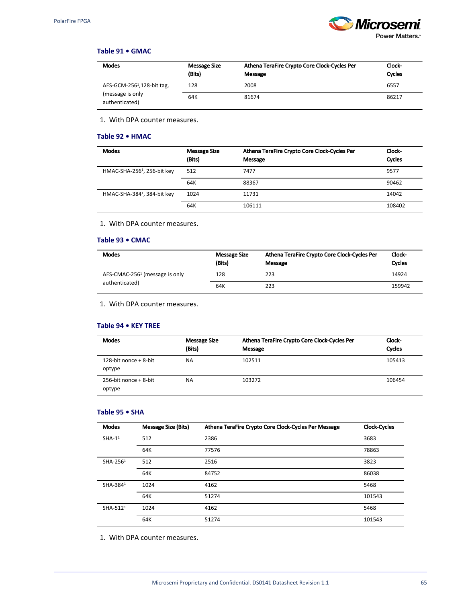

## **Table 91 • GMAC**

| <b>Modes</b>                           | Message Size<br>(Bits) | Athena TeraFire Crypto Core Clock-Cycles Per<br>Message | Clock-<br>Cycles |
|----------------------------------------|------------------------|---------------------------------------------------------|------------------|
| AES-GCM-256 <sup>1</sup> ,128-bit tag, | 128                    | 2008                                                    | 6557             |
| (message is only<br>authenticated)     | 64K                    | 81674                                                   | 86217            |

1. With DPA counter measures.

#### **Table 92 • HMAC**

| <b>Modes</b>                            | <b>Message Size</b><br>(Bits) | Athena TeraFire Crypto Core Clock-Cycles Per<br>Message | Clock-<br>Cycles |
|-----------------------------------------|-------------------------------|---------------------------------------------------------|------------------|
| HMAC-SHA-256 <sup>1</sup> , 256-bit key | 512                           | 7477                                                    | 9577             |
|                                         | 64K                           | 88367                                                   | 90462            |
| HMAC-SHA-384 <sup>1</sup> , 384-bit key | 1024                          | 11731                                                   | 14042            |
|                                         | 64K                           | 106111                                                  | 108402           |

1. With DPA counter measures.

## **Table 93 • CMAC**

| <b>Modes</b>                               | <b>Message Size</b><br>(Bits) | Athena TeraFire Crypto Core Clock-Cycles Per<br>Message | Clock-<br>Cycles |
|--------------------------------------------|-------------------------------|---------------------------------------------------------|------------------|
| AES-CMAC-256 <sup>1</sup> (message is only | 128                           | 223                                                     | 14924            |
| authenticated)                             | 64K                           | 223                                                     | 159942           |

1. With DPA counter measures.

#### **Table 94 • KEY TREE**

| <b>Modes</b>                       | <b>Message Size</b><br>(Bits) | Athena TeraFire Crypto Core Clock-Cycles Per<br>Message | Clock-<br>Cycles |
|------------------------------------|-------------------------------|---------------------------------------------------------|------------------|
| 128-bit nonce $+$ 8-bit<br>optype  | <b>NA</b>                     | 102511                                                  | 105413           |
| $256$ -bit nonce + 8-bit<br>optype | <b>NA</b>                     | 103272                                                  | 106454           |

#### **Table 95 • SHA**

| <b>Modes</b>         | <b>Message Size (Bits)</b> | Athena TeraFire Crypto Core Clock-Cycles Per Message | <b>Clock-Cycles</b> |
|----------------------|----------------------------|------------------------------------------------------|---------------------|
| $SHA-11$             | 512                        | 2386                                                 | 3683                |
|                      | 64K                        | 77576                                                | 78863               |
| SHA-2561             | 512                        | 2516                                                 | 3823                |
|                      | 64K                        | 84752                                                | 86038               |
| SHA-3841             | 1024                       | 4162                                                 | 5468                |
|                      | 64K                        | 51274                                                | 101543              |
| SHA-512 <sup>1</sup> | 1024                       | 4162                                                 | 5468                |
|                      | 64K                        | 51274                                                | 101543              |

1. With DPA counter measures.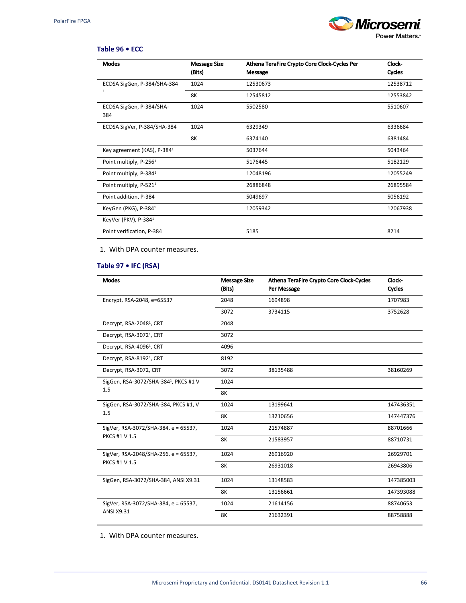

#### **Table 96 • ECC**

| <b>Modes</b>                            | <b>Message Size</b><br>(Bits) | Athena TeraFire Crypto Core Clock-Cycles Per<br>Message | Clock-<br><b>Cycles</b> |
|-----------------------------------------|-------------------------------|---------------------------------------------------------|-------------------------|
| ECDSA SigGen, P-384/SHA-384             | 1024                          | 12530673                                                | 12538712                |
| $\mathbf{1}$                            | 8K                            | 12545812                                                | 12553842                |
| ECDSA SigGen, P-384/SHA-<br>384         | 1024                          | 5502580                                                 | 5510607                 |
| ECDSA SigVer, P-384/SHA-384             | 1024                          | 6329349                                                 | 6336684                 |
|                                         | 8K                            | 6374140                                                 | 6381484                 |
| Key agreement (KAS), P-384 <sup>1</sup> |                               | 5037644                                                 | 5043464                 |
| Point multiply, P-256 <sup>1</sup>      |                               | 5176445                                                 | 5182129                 |
| Point multiply, P-384 <sup>1</sup>      |                               | 12048196                                                | 12055249                |
| Point multiply, P-521 <sup>1</sup>      |                               | 26886848                                                | 26895584                |
| Point addition, P-384                   |                               | 5049697                                                 | 5056192                 |
| KeyGen (PKG), P-384 <sup>1</sup>        |                               | 12059342                                                | 12067938                |
| KeyVer (PKV), P-384 <sup>1</sup>        |                               |                                                         |                         |
| Point verification, P-384               |                               | 5185                                                    | 8214                    |

1. With DPA counter measures.

## **Table 97 • IFC (RSA)**

| <b>Modes</b>                         | <b>Message Size</b><br>(Bits) | Athena TeraFire Crypto Core Clock-Cycles<br>Per Message | Clock-<br>Cycles |
|--------------------------------------|-------------------------------|---------------------------------------------------------|------------------|
| Encrypt, RSA-2048, e=65537           | 2048                          | 1694898                                                 | 1707983          |
|                                      | 3072                          | 3734115                                                 | 3752628          |
| Decrypt, RSA-2048 <sup>1</sup> , CRT | 2048                          |                                                         |                  |
| Decrypt, RSA-3072 <sup>1</sup> , CRT | 3072                          |                                                         |                  |
| Decrypt, RSA-4096 <sup>1</sup> , CRT | 4096                          |                                                         |                  |
| Decrypt, RSA-8192 <sup>1</sup> , CRT | 8192                          |                                                         |                  |
| Decrypt, RSA-3072, CRT               | 3072                          | 38135488                                                | 38160269         |
| SigGen, RSA-3072/SHA-3841, PKCS #1 V | 1024                          |                                                         |                  |
| 1.5                                  | <b>8K</b>                     |                                                         |                  |
| SigGen, RSA-3072/SHA-384, PKCS #1, V | 1024                          | 13199641                                                | 147436351        |
| 1.5                                  | 8K                            | 13210656                                                | 147447376        |
| SigVer, RSA-3072/SHA-384, e = 65537, | 1024                          | 21574887                                                | 88701666         |
| PKCS #1 V 1.5                        | 8K                            | 21583957                                                | 88710731         |
| SigVer, RSA-2048/SHA-256, e = 65537, | 1024                          | 26916920                                                | 26929701         |
| <b>PKCS #1 V 1.5</b>                 | 8K                            | 26931018                                                | 26943806         |
| SigGen, RSA-3072/SHA-384, ANSI X9.31 | 1024                          | 13148583                                                | 147385003        |
|                                      | 8K                            | 13156661                                                | 147393088        |
| SigVer, RSA-3072/SHA-384, e = 65537, | 1024                          | 21614156                                                | 88740653         |
| ANSI X9.31                           | <b>8K</b>                     | 21632391                                                | 88758888         |

1. With DPA counter measures.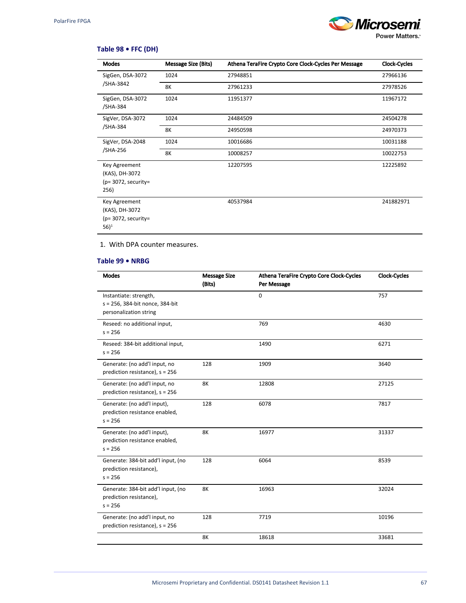

## **Table 98 • FFC (DH)**

| Modes<br><b>Message Size (Bits)</b>                                          |      | Athena TeraFire Crypto Core Clock-Cycles Per Message | Clock-Cycles |
|------------------------------------------------------------------------------|------|------------------------------------------------------|--------------|
| SigGen, DSA-3072                                                             | 1024 | 27948851                                             | 27966136     |
| /SHA-3842<br>8K                                                              |      | 27961233                                             | 27978526     |
| SigGen, DSA-3072<br>/SHA-384                                                 | 1024 | 11951377                                             | 11967172     |
| SigVer, DSA-3072                                                             | 1024 | 24484509                                             | 24504278     |
| /SHA-384                                                                     | 8K   | 24950598                                             | 24970373     |
| SigVer, DSA-2048                                                             | 1024 | 10016686                                             | 10031188     |
| /SHA-256                                                                     | 8K   | 10008257                                             | 10022753     |
| Key Agreement<br>(KAS), DH-3072<br>$(p=3072,$ security=<br>256)              |      | 12207595                                             | 12225892     |
| Key Agreement<br>(KAS), DH-3072<br>$(p=3072,$ security=<br>$56$ <sup>1</sup> |      | 40537984                                             | 241882971    |

#### 1. With DPA counter measures.

#### **Table 99 • NRBG**

| Modes                                                                               | <b>Message Size</b><br>(Bits) | Athena TeraFire Crypto Core Clock-Cycles<br>Per Message | <b>Clock-Cycles</b> |
|-------------------------------------------------------------------------------------|-------------------------------|---------------------------------------------------------|---------------------|
| Instantiate: strength,<br>s = 256, 384-bit nonce, 384-bit<br>personalization string |                               | $\Omega$                                                | 757                 |
| Reseed: no additional input,<br>$s = 256$                                           |                               | 769                                                     | 4630                |
| Reseed: 384-bit additional input,<br>$s = 256$                                      |                               | 1490                                                    | 6271                |
| Generate: (no add'l input, no<br>prediction resistance), $s = 256$                  | 128                           | 1909                                                    | 3640                |
| Generate: (no add'l input, no<br>prediction resistance), $s = 256$                  | 8K                            | 12808                                                   | 27125               |
| Generate: (no add'l input),<br>prediction resistance enabled,<br>$s = 256$          | 128                           | 6078                                                    | 7817                |
| Generate: (no add'l input),<br>prediction resistance enabled,<br>$s = 256$          | <b>8K</b>                     | 16977                                                   | 31337               |
| Generate: 384-bit add'l input, (no<br>prediction resistance),<br>$s = 256$          | 128                           | 6064                                                    | 8539                |
| Generate: 384-bit add'l input, (no<br>prediction resistance),<br>$s = 256$          | <b>8K</b>                     | 16963                                                   | 32024               |
| Generate: (no add'l input, no<br>prediction resistance), $s = 256$                  | 128                           | 7719                                                    | 10196               |
|                                                                                     | <b>8K</b>                     | 18618                                                   | 33681               |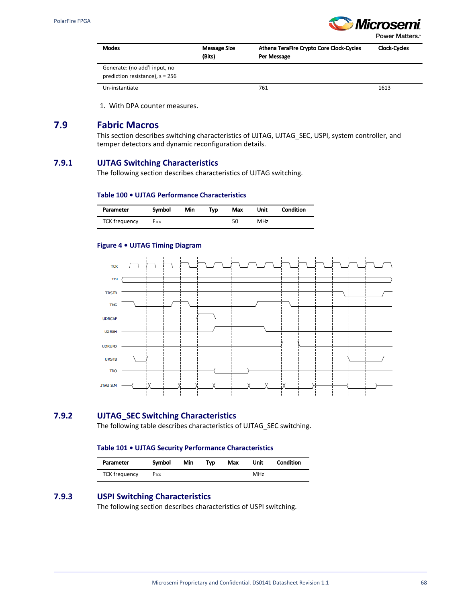

Power Matters.<sup>®</sup>

| <b>Modes</b>                                                       | <b>Message Size</b><br>(Bits) | Athena TeraFire Crypto Core Clock-Cycles<br>Per Message | <b>Clock-Cycles</b> |
|--------------------------------------------------------------------|-------------------------------|---------------------------------------------------------|---------------------|
| Generate: (no add'l input, no<br>prediction resistance), $s = 256$ |                               |                                                         |                     |
| Un-instantiate                                                     |                               | 761                                                     | 1613                |

1. With DPA counter measures.

## **7.9 Fabric Macros**

This section describes switching characteristics of UJTAG, UJTAG\_SEC, USPI, system controller, and temper detectors and dynamic reconfiguration details.

## **7.9.1 UJTAG Switching Characteristics**

The following section describes characteristics of UJTAG switching.

#### **Table 100 • UJTAG Performance Characteristics**

| Parameter            | Symbol | Min | Typ | Max | Unit | Condition |
|----------------------|--------|-----|-----|-----|------|-----------|
| <b>TCK frequency</b> | FTCK   |     |     | 50  | MHz  |           |

#### **Figure 4 • UJTAG Timing Diagram**



## **7.9.2 UJTAG\_SEC Switching Characteristics**

The following table describes characteristics of UJTAG\_SEC switching.

#### **Table 101 • UJTAG Security Performance Characteristics**

| Parameter            | Symbol | Min | Typ | Max | Unit | Condition |
|----------------------|--------|-----|-----|-----|------|-----------|
| <b>TCK frequency</b> | FTCK   |     |     |     | MHz  |           |

## **7.9.3 USPI Switching Characteristics**

The following section describes characteristics of USPI switching.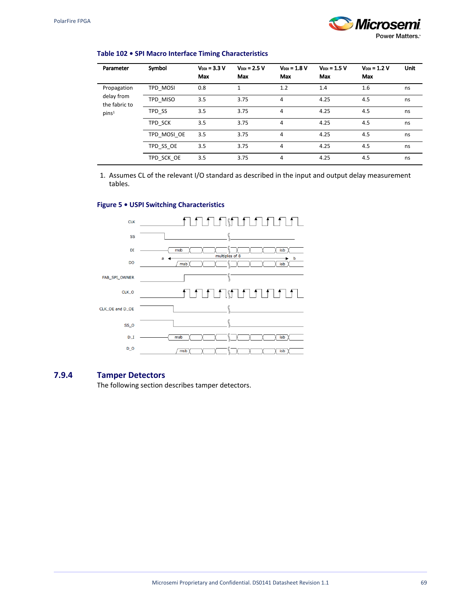i.

 $\overline{a}$ 

# *Micros* Power Matters.

### **Table 102 • SPI Macro Interface Timing Characteristics**

| Parameter                   | Symbol      | $V_{DD} = 3.3 V$<br>Max | $V_{DD} = 2.5 V$<br>Max | $V_{DD} = 1.8 V$<br>Max | $V_{DD} = 1.5 V$<br>Max | $V_{DDI} = 1.2 V$<br>Max | <b>Unit</b> |
|-----------------------------|-------------|-------------------------|-------------------------|-------------------------|-------------------------|--------------------------|-------------|
| Propagation                 | TPD MOSI    | 0.8                     | 1                       | 1.2                     | 1.4                     | 1.6                      | ns          |
| delay from<br>the fabric to | TPD MISO    | 3.5                     | 3.75                    | 4                       | 4.25                    | 4.5                      | ns          |
| pins <sup>1</sup>           | TPD SS      | 3.5                     | 3.75                    | 4                       | 4.25                    | 4.5                      | ns          |
|                             | TPD SCK     | 3.5                     | 3.75                    | 4                       | 4.25                    | 4.5                      | ns          |
|                             | TPD MOSI OE | 3.5                     | 3.75                    | 4                       | 4.25                    | 4.5                      | ns          |
|                             | TPD SS OE   | 3.5                     | 3.75                    | 4                       | 4.25                    | 4.5                      | ns          |
|                             | TPD SCK OE  | 3.5                     | 3.75                    | 4                       | 4.25                    | 4.5                      | ns          |

1. Assumes CL of the relevant I/O standard as described in the input and output delay measurement tables.

#### **Figure 5 • USPI Switching Characteristics**



### **7.9.4 Tamper Detectors**

The following section describes tamper detectors.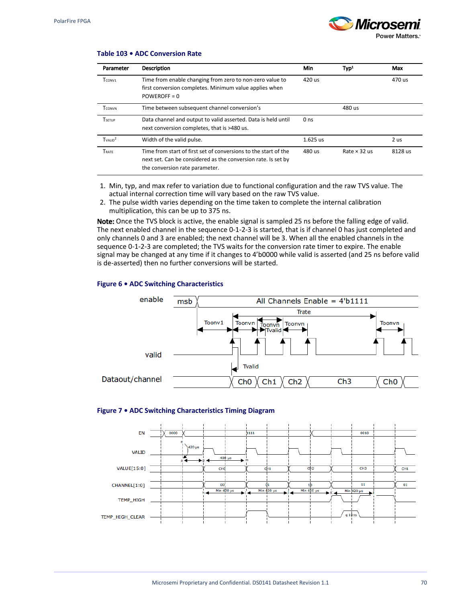

#### **Table 103 • ADC Conversion Rate**

| Parameter                       | <b>Description</b>                                                                                                                                                 | Min             | Typ <sup>1</sup>    | Max     |
|---------------------------------|--------------------------------------------------------------------------------------------------------------------------------------------------------------------|-----------------|---------------------|---------|
| T <sub>CONV1</sub>              | Time from enable changing from zero to non-zero value to<br>first conversion completes. Minimum value applies when<br>$POWEROFF = 0$                               | 420 us          |                     | 470 us  |
| <b>TCONVN</b>                   | Time between subsequent channel conversion's                                                                                                                       |                 | 480 us              |         |
| <b>TSETUP</b>                   | Data channel and output to valid asserted. Data is held until<br>next conversion completes, that is >480 us.                                                       | 0 <sub>ns</sub> |                     |         |
| T <sub>VAIID</sub> <sup>2</sup> | Width of the valid pulse.                                                                                                                                          | $1.625$ us      |                     | 2 us    |
| <b>TRATE</b>                    | Time from start of first set of conversions to the start of the<br>next set. Can be considered as the conversion rate. Is set by<br>the conversion rate parameter. | 480 us          | Rate $\times$ 32 us | 8128 us |

- 1. Min, typ, and max refer to variation due to functional configuration and the raw TVS value. The actual internal correction time will vary based on the raw TVS value.
- 2. The pulse width varies depending on the time taken to complete the internal calibration multiplication, this can be up to 375 ns.

Note: Once the TVS block is active, the enable signal is sampled 25 ns before the falling edge of valid. The next enabled channel in the sequence 0-1-2-3 is started, that is if channel 0 has just completed and only channels 0 and 3 are enabled; the next channel will be 3. When all the enabled channels in the sequence 0-1-2-3 are completed; the TVS waits for the conversion rate timer to expire. The enable signal may be changed at any time if it changes to 4'b0000 while valid is asserted (and 25 ns before valid is de-asserted) then no further conversions will be started.

#### **Figure 6 • ADC Switching Characteristics**



#### **Figure 7 • ADC Switching Characteristics Timing Diagram**

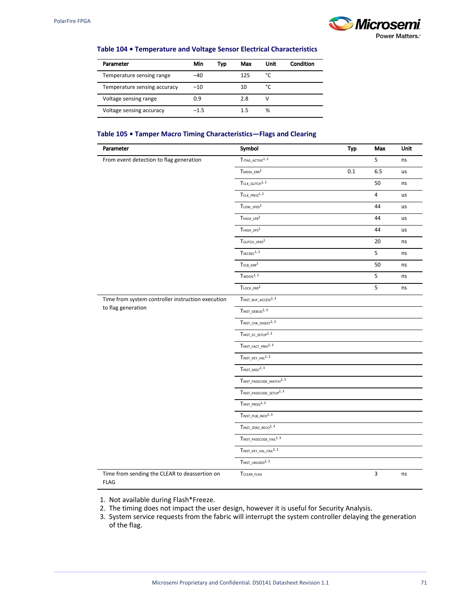

#### **Table 104 • Temperature and Voltage Sensor Electrical Characteristics**

| Parameter                    | Min    | Typ | Max | Unit | Condition |
|------------------------------|--------|-----|-----|------|-----------|
| Temperature sensing range    | -40    |     | 125 | °C   |           |
| Temperature sensing accuracy | $-10$  |     | 10  | °C   |           |
| Voltage sensing range        | 0.9    |     | 2.8 | v    |           |
| Voltage sensing accuracy     | $-1.5$ |     | 1.5 | %    |           |

### **Table 105 • Tamper Macro Timing Characteristics—Flags and Clearing**

| Parameter                                                    | Symbol                                           | <b>Typ</b> | Max            | Unit |
|--------------------------------------------------------------|--------------------------------------------------|------------|----------------|------|
| From event detection to flag generation                      | $T_{\footnotesize{\text{JTAG\_ACTIVE}}^{1,\,2}}$ |            | 5              | ns   |
|                                                              | $T$ MESH_ERR $^2$<br>0.1                         |            | 6.5            | us   |
|                                                              | $T_{CLK\_GLITCH}^{1,2}$                          |            | 50             | ns   |
|                                                              | $T_{CLK FREG}^{1, 2}$                            |            | $\overline{4}$ | us   |
|                                                              | $T_{\text{LOW}\_1\text{PO5}}{}^2$                |            | 44             | us   |
|                                                              | $THIGH_1PB2$                                     |            | 44             | us   |
|                                                              | $THIGH_2PS2$                                     |            | 44             | us   |
|                                                              | TGLITCH_1P05 <sup>2</sup>                        |            | 20             | ns   |
|                                                              | $TSECDEC$ <sup>1, 2</sup>                        |            | 5              | ns   |
|                                                              | $T_{SCB\_ERR}^2$                                 |            | 50             | ns   |
|                                                              | $Tw\text{pos}^{1,2}$                             |            | 5              | ns   |
|                                                              | $T_{LOCK\_ERR}^2$                                |            | 5              | ns   |
| Time from system controller instruction execution            | $T_{\text{INST\_BUF}\_\text{ACCESS}^2,3}$        |            |                |      |
| to flag generation                                           | $T$ INST_DEBUG <sup>2, 3</sup>                   |            |                |      |
|                                                              | $T_{\text{INST\_CHK\_DIGEST}^{2,3}}$             |            |                |      |
|                                                              | TINST_EC_SETUP <sup>2, 3</sup>                   |            |                |      |
|                                                              | $T_{\text{INST\_FACT\_PRIV}^{2,3}}$              |            |                |      |
|                                                              | $T_{\text{INST\_KEY\_VAL}}^{2, 3}$               |            |                |      |
|                                                              | $T_{INST\_MISC}^{2,3}$                           |            |                |      |
|                                                              | TINST_PASSCODE_MATCH <sup>2, 3</sup>             |            |                |      |
|                                                              | $T_{\text{INST\_PASSCODE\_SETUP}^{2,3}}$         |            |                |      |
|                                                              | $T_{INST\_PROG}^{2,3}$                           |            |                |      |
|                                                              | TINST_PUB_INFO <sup>2, 3</sup>                   |            |                |      |
|                                                              | $T$ INST_ZERO_RECO <sup>2, 3</sup>               |            |                |      |
|                                                              | TINST_PASSCODE_FAIL <sup>2, 3</sup>              |            |                |      |
|                                                              | $T_{\text{INST\_KEY\_VAL\_FAIL}^{2,3}}$          |            |                |      |
|                                                              | TINST_UNUSED <sup>2, 3</sup>                     |            |                |      |
| Time from sending the CLEAR to deassertion on<br><b>FLAG</b> | TCLEAR_FLAG                                      |            | $\overline{3}$ | ns   |

1. Not available during Flash\*Freeze.

2. The timing does not impact the user design, however it is useful for Security Analysis.

<sup>3.</sup>  System service requests from the fabric will interrupt the system controller delaying the generation of the flag.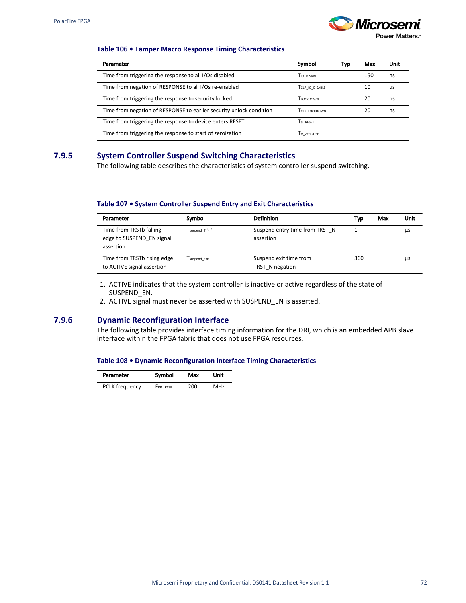$\overline{a}$  $\overline{a}$  $\overline{a}$ 



Power Matters.<sup>\*</sup>

#### **Table 106 • Tamper Macro Response Timing Characteristics**

| Parameter                                                           | Symbol                   | Typ | Max | Unit |
|---------------------------------------------------------------------|--------------------------|-----|-----|------|
| Time from triggering the response to all I/Os disabled              | TIO DISABLE              |     | 150 | ns   |
| Time from negation of RESPONSE to all I/Os re-enabled               | TCLR IO DISABLE          |     | 10  | us   |
| Time from triggering the response to security locked                | Tiockdown                |     | 20  | ns   |
| Time from negation of RESPONSE to earlier security unlock condition | TCLR LOCKDOWN            |     | 20  | ns   |
| Time from triggering the response to device enters RESET            | Ttr RESET                |     |     |      |
| Time from triggering the response to start of zeroization           | T <sub>tr</sub> zerolise |     |     |      |

## **7.9.5 System Controller Suspend Switching Characteristics**

The following table describes the characteristics of system controller suspend switching.

#### **Table 107 • System Controller Suspend Entry and Exit Characteristics**

| Parameter                                                         | Symbol                        | <b>Definition</b>                           | Typ | Max | Unit |
|-------------------------------------------------------------------|-------------------------------|---------------------------------------------|-----|-----|------|
| Time from TRSTb falling<br>edge to SUSPEND EN signal<br>assertion | $Tsubpend$ Tr <sup>1, 2</sup> | Suspend entry time from TRST N<br>assertion |     |     | μs   |
| Time from TRSTb rising edge<br>to ACTIVE signal assertion         | Tsuspend exit                 | Suspend exit time from<br>TRST N negation   | 360 |     | μs   |

1. ACTIVE indicates that the system controller is inactive or active regardless of the state of SUSPEND\_EN.

2. ACTIVE signal must never be asserted with SUSPEND\_EN is asserted.

### **7.9.6 Dynamic Reconfiguration Interface**

The following table provides interface timing information for the DRI, which is an embedded APB slave interface within the FPGA fabric that does not use FPGA resources.

#### **Table 108 • Dynamic Reconfiguration Interface Timing Characteristics**

| Parameter             | Symbol   | Max | Unit |  |
|-----------------------|----------|-----|------|--|
| <b>PCLK</b> frequency | FPD PCLK | 200 | MHz  |  |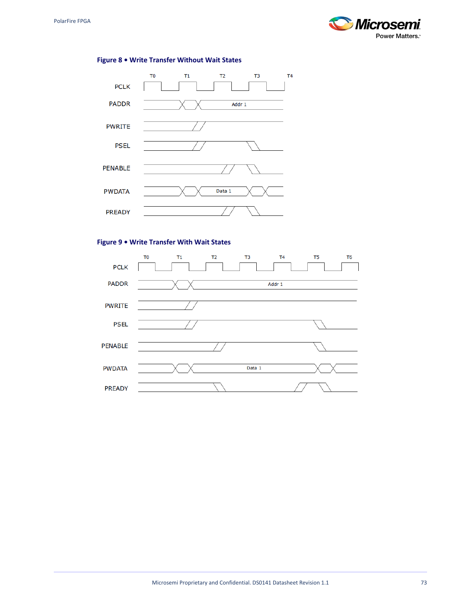



## **Figure 8 • Write Transfer Without Wait States**

### **Figure 9 • Write Transfer With Wait States**

|                | T <sub>0</sub> | T1 | T <sub>2</sub> | T <sub>3</sub> | T <sub>4</sub> | T <sub>5</sub> | T <sub>6</sub> |
|----------------|----------------|----|----------------|----------------|----------------|----------------|----------------|
| <b>PCLK</b>    |                |    |                |                |                |                |                |
| <b>PADDR</b>   |                |    |                |                | Addr 1         |                |                |
| <b>PWRITE</b>  |                |    |                |                |                |                |                |
| <b>PSEL</b>    |                |    |                |                |                |                |                |
| <b>PENABLE</b> |                |    |                |                |                |                |                |
| <b>PWDATA</b>  |                |    |                | Data 1         |                |                |                |
| <b>PREADY</b>  |                |    |                |                |                |                |                |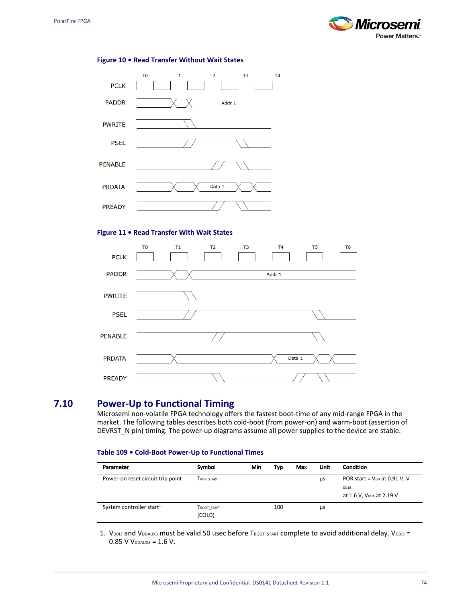

#### **Figure 10 • Read Transfer Without Wait States**



### **Figure 11 • Read Transfer With Wait States**

| <b>PCLK</b>    | T <sub>6</sub><br>T <sub>0</sub><br>T1<br>T <sub>2</sub><br>T <sub>4</sub><br>T5<br>T <sub>3</sub> |
|----------------|----------------------------------------------------------------------------------------------------|
| <b>PADDR</b>   | Addr 1                                                                                             |
| <b>PWRITE</b>  |                                                                                                    |
| <b>PSEL</b>    |                                                                                                    |
| <b>PENABLE</b> |                                                                                                    |
| <b>PRDATA</b>  | Data 1                                                                                             |
| <b>PREADY</b>  |                                                                                                    |

## **7.10 Power-Up to Functional Timing**

Microsemi non-volatile FPGA technology offers the fastest boot-time of any mid-range FPGA in the market. The following tables describes both cold-boot (from power-on) and warm-boot (assertion of DEVRST\_N pin) timing. The power-up diagrams assume all power supplies to the device are stable.

#### **Table 109 • Cold-Boot Power-Up to Functional Times**

| Parameter                            | Symbol                | Min | Typ | Max | Unit | <b>Condition</b>                             |
|--------------------------------------|-----------------------|-----|-----|-----|------|----------------------------------------------|
| Power-on reset circuit trip point    | TPOR START            |     |     |     | μs   | POR start = $V_{DD}$ at 0.91 V, V            |
|                                      |                       |     |     |     |      | DD18<br>at 1.6 V, V <sub>DDA</sub> at 2.19 V |
| System controller start <sup>1</sup> | TBOOT START<br>(COLD) |     | 100 |     | μs   |                                              |

1. VDDI3 and VDDAUX3 must be valid 50 usec before TBOOT\_START COmplete to avoid additional delay. VDDI3 =  $0.85$  V V<sub>DDAUX3</sub> =  $1.6$  V.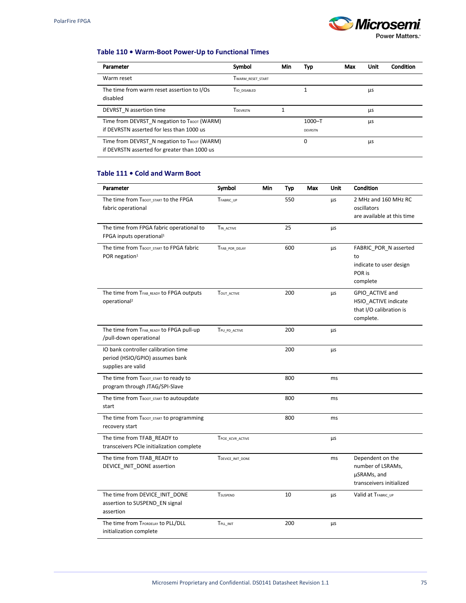

**Power Matters.** 

#### **Table 110 • Warm-Boot Power-Up to Functional Times**

| Parameter                                                                                   | Symbol            | Min | Typ                          | Max | Unit | Condition |
|---------------------------------------------------------------------------------------------|-------------------|-----|------------------------------|-----|------|-----------|
| Warm reset                                                                                  | TWARM RESET START |     |                              |     |      |           |
| The time from warm reset assertion to I/Os<br>disabled                                      | TIO DISABLED      |     |                              |     | μs   |           |
| DEVRST N assertion time                                                                     | TDEVRSTN          |     |                              |     | μs   |           |
| Time from DEVRST N negation to TBOOT (WARM)<br>if DEVRSTN asserted for less than 1000 us    |                   |     | $1000 - T$<br><b>DEVRSTN</b> |     | μs   |           |
| Time from DEVRST N negation to TBOOT (WARM)<br>if DEVRSTN asserted for greater than 1000 us |                   |     | 0                            |     | μs   |           |

### **Table 111 • Cold and Warm Boot**

| Parameter                                                                                    | Symbol            | Min | Typ | Max | Unit | Condition                                                                        |
|----------------------------------------------------------------------------------------------|-------------------|-----|-----|-----|------|----------------------------------------------------------------------------------|
| The time from TBOOT_START to the FPGA<br>fabric operational                                  | TFABRIC_UP        |     | 550 |     | μs   | 2 MHz and 160 MHz RC<br>oscillators<br>are available at this time                |
| The time from FPGA fabric operational to<br>FPGA inputs operational <sup>1</sup>             | TIN ACTIVE        |     | 25  |     | μs   |                                                                                  |
| The time from TBOOT_START to FPGA fabric<br>POR negation <sup>1</sup>                        | TFAB_POR_DELAY    |     | 600 |     | μs   | FABRIC_POR_N asserted<br>to<br>indicate to user design<br>POR is<br>complete     |
| The time from TFAB_READY to FPGA outputs<br>operational <sup>2</sup>                         | TOUT_ACTIVE       |     | 200 |     | μs   | GPIO_ACTIVE and<br>HSIO ACTIVE indicate<br>that I/O calibration is<br>complete.  |
| The time from TFAB_READY to FPGA pull-up<br>/pull-down operational                           | TPU_PD_ACTIVE     |     | 200 |     | μs   |                                                                                  |
| IO bank controller calibration time<br>period (HSIO/GPIO) assumes bank<br>supplies are valid |                   |     | 200 |     | μs   |                                                                                  |
| The time from TBOOT_START to ready to<br>program through JTAG/SPI-Slave                      |                   |     | 800 |     | ms   |                                                                                  |
| The time from TBOOT_START to autoupdate<br>start                                             |                   |     | 800 |     | ms   |                                                                                  |
| The time from TBOOT_START to programming<br>recovery start                                   |                   |     | 800 |     | ms   |                                                                                  |
| The time from TFAB READY to<br>transceivers PCIe initialization complete                     | TPCIE_XCVR_ACTIVE |     |     |     | μs   |                                                                                  |
| The time from TFAB_READY to<br>DEVICE_INIT_DONE assertion                                    | TDEVICE_INIT_DONE |     |     |     | ms   | Dependent on the<br>number of LSRAMs,<br>µSRAMs, and<br>transceivers initialized |
| The time from DEVICE_INIT_DONE<br>assertion to SUSPEND_EN signal<br>assertion                | TSUSPEND          |     | 10  |     | μs   | Valid at TFABRIC UP                                                              |
| The time from TPORDELAY to PLL/DLL<br>initialization complete                                | TPLL INIT         |     | 200 |     | μs   |                                                                                  |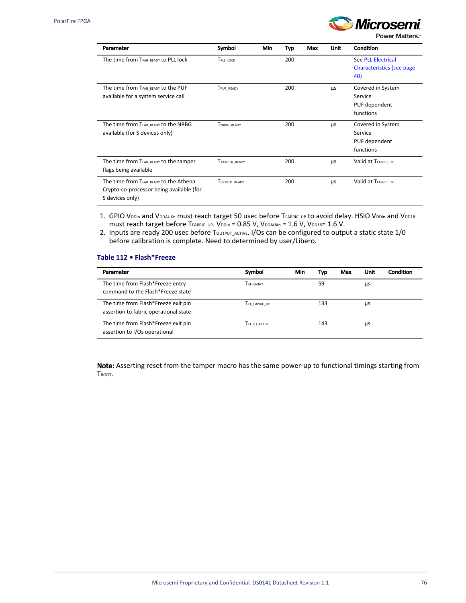

Power Matters.

| Parameter                                                                                             | Symbol               | <b>Min</b> | Typ | Max | <b>Unit</b> | Condition                                                      |
|-------------------------------------------------------------------------------------------------------|----------------------|------------|-----|-----|-------------|----------------------------------------------------------------|
| The time from TFAB_READY to PLL lock                                                                  | TPLL_LOCK            |            | 200 |     |             | <b>See PLL Electrical</b><br>Characteristics (see page)<br>40) |
| The time from TFAB READY to the PUF<br>available for a system service call                            | TPUF_READY           |            | 200 |     | μs          | Covered in System<br>Service<br>PUF dependent<br>functions     |
| The time from TFAB READY to the NRBG<br>available (for S devices only)                                | TNRBG_READY          |            | 200 |     | μs          | Covered in System<br>Service<br>PUF dependent<br>functions     |
| The time from TFAB_READY to the tamper<br>flags being available                                       | <b>TTAMPER READY</b> |            | 200 |     | μs          | Valid at TFABRIC UP                                            |
| The time from TFAB READY to the Athena<br>Crypto-co-processor being available (for<br>S devices only) | TCRYPTO_READY        |            | 200 |     | μs          | Valid at TFABRIC UP                                            |

- 1. GPIO VDDIn and VDDAUXn must reach target 50 usec before TFABRIC\_UP to avoid delay. HSIO VDDIn and VDD18 must reach target before TFABRIC\_UP. VDDIn =  $0.85$  V, VDDAUXn = 1.6 V, VDD18= 1.6 V.
- 2. Inputs are ready 200 usec before TouTPUT\_ACTIVE. I/Os can be configured to output a static state 1/0 before calibration is complete. Need to determined by user/Libero.

#### **Table 112 • Flash\*Freeze**

| Parameter                                                                    | Symbol           | Min | Typ | Max | Unit | Condition |
|------------------------------------------------------------------------------|------------------|-----|-----|-----|------|-----------|
| The time from Flash*Freeze entry<br>command to the Flash*Freeze state        | <b>TFF ENTRY</b> |     | 59  |     | μs   |           |
| The time from Flash*Freeze exit pin<br>assertion to fabric operational state | TFF FABRIC UP    |     | 133 |     | μs   |           |
| The time from Flash*Freeze exit pin<br>assertion to I/Os operational         | TFF IO ACTIVE    |     | 143 |     | μs   |           |

Note: Asserting reset from the tamper macro has the same power-up to functional timings starting from Твоот.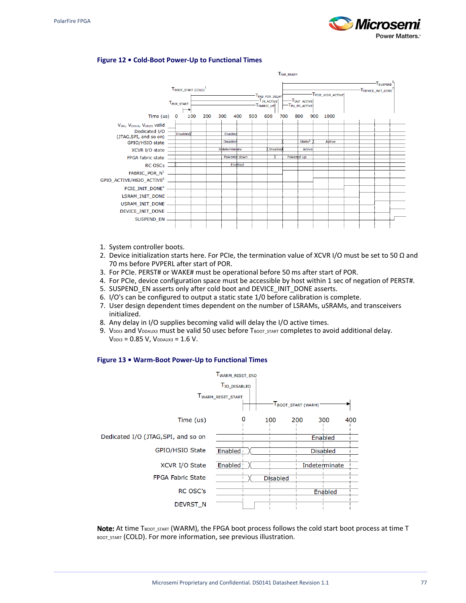

#### **Figure 12 • Cold-Boot Power-Up to Functional Times**



- 1. System controller boots.
- 2. Device initialization starts here. For PCIe, the termination value of XCVR I/O must be set to 50  $\Omega$  and 70 ms before PVPERL after start of POR.
- 3. For PCIe. PERST# or WAKE# must be operational before 50 ms after start of POR.
- 4. For PCIe, device configuration space must be accessible by host within 1 sec of negation of PERST#.
- 5. SUSPEND\_EN asserts only after cold boot and DEVICE\_INIT\_DONE asserts.
- 6. I/O's can be configured to output a static state 1/0 before calibration is complete.
- 7. User design dependent times dependent on the number of LSRAMs, uSRAMs, and transceivers initialized.
- 8. Any delay in I/O supplies becoming valid will delay the I/O active times.
- 9. VDDI3 and VDDAUX3 must be valid 50 usec before TBOOT\_START COmpletes to avoid additional delay.  $V_{DD13} = 0.85 V$ ,  $V_{DDAUX3} = 1.6 V$ .

#### **Figure 13 • Warm-Boot Power-Up to Functional Times**



Note: At time TBOOT START (WARM), the FPGA boot process follows the cold start boot process at time T BOOT\_START (COLD). For more information, see previous illustration.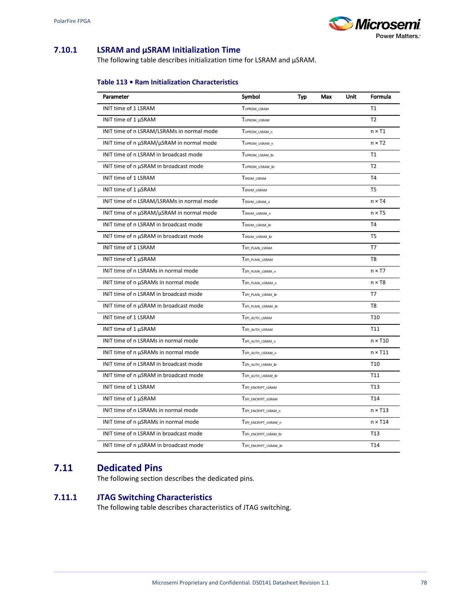

### **7.10.1 LSRAM and μSRAM Initialization Time**

The following table describes initialization time for LSRAM and μSRAM.

#### **Table 113 • Ram Initialization Characteristics**

| Parameter                                  | Symbol                | Typ | Max | Unit | Formula         |
|--------------------------------------------|-----------------------|-----|-----|------|-----------------|
| INIT time of 1 LSRAM                       | TUPROM LSRAM          |     |     |      | T1              |
| INIT time of 1 µSRAM                       | TUPROM USRAM          |     |     |      | T <sub>2</sub>  |
| INIT time of n LSRAM/LSRAMs in normal mode | TUPROM LSRAM n        |     |     |      | $n \times T1$   |
| INIT time of n µSRAM/µSRAM in normal mode  | TUPROM_USRAM_n        |     |     |      | $n \times T2$   |
| INIT time of n LSRAM in broadcast mode     | TUPROM_LSRAM_Br       |     |     |      | T1              |
| INIT time of n µSRAM in broadcast mode     | TUPROM_USRAM_Br       |     |     |      | T <sub>2</sub>  |
| INIT time of 1 LSRAM                       | TSNVM_LSRAM           |     |     |      | T <sub>4</sub>  |
| INIT time of 1 µSRAM                       | TSNVM_USRAM           |     |     |      | T <sub>5</sub>  |
| INIT time of n LSRAM/LSRAMs in normal mode | TSNVM_LSRAM_n         |     |     |      | $n \times T4$   |
| INIT time of n µSRAM/µSRAM in normal mode  | TSNVM_USRAM_n         |     |     |      | $n \times T5$   |
| INIT time of n LSRAM in broadcast mode     | TSNVM_LSRAM_Br        |     |     |      | T <sub>4</sub>  |
| INIT time of n µSRAM in broadcast mode     | TSNVM_USRAM_Br        |     |     |      | T <sub>5</sub>  |
| INIT time of 1 LSRAM                       | TSPI_PLAIN_LSRAM      |     |     |      | T7              |
| INIT time of 1 µSRAM                       | TSPI_PLAIN_USRAM      |     |     |      | T8              |
| INIT time of n LSRAMs in normal mode       | TSPI_PLAIN_LSRAM_n    |     |     |      | $n \times T7$   |
| INIT time of n µSRAMs in normal mode       | TSPI_PLAIN_USRAM_n    |     |     |      | $n \times T8$   |
| INIT time of n LSRAM in broadcast mode     | TSPI_PLAIN_LSRAM_Br   |     |     |      | T7              |
| INIT time of n µSRAM in broadcast mode     | TSPI_PLAIN_USRAM_Br   |     |     |      | T <sub>8</sub>  |
| INIT time of 1 LSRAM                       | TSPI_AUTH_LSRAM       |     |     |      | T <sub>10</sub> |
| INIT time of 1 µSRAM                       | TSPI_AUTH_USRAM       |     |     |      | T11             |
| INIT time of n LSRAMs in normal mode       | TSPI_AUTH_LSRAM_n     |     |     |      | $n \times T10$  |
| INIT time of n µSRAMs in normal mode       | TSPI_AUTH_USRAM_n     |     |     |      | $n \times T11$  |
| INIT time of n LSRAM in broadcast mode     | TSPI_AUTH_LSRAM_Br    |     |     |      | T <sub>10</sub> |
| INIT time of n µSRAM in broadcast mode     | TSPI_AUTH_USRAM_Br    |     |     |      | T11             |
| <b>INIT time of 1 LSRAM</b>                | TSPI_ENCRYPT_LSRAM    |     |     |      | T <sub>13</sub> |
| INIT time of 1 µSRAM                       | TSPI_ENCRYPT_USRAM    |     |     |      | T <sub>14</sub> |
| INIT time of n LSRAMs in normal mode       | TSPI_ENCRYPT_LSRAM_n  |     |     |      | $n \times T13$  |
| INIT time of n µSRAMs in normal mode       | TSPI_ENCRYPT_USRAM_n  |     |     |      | $n \times T14$  |
| INIT time of n LSRAM in broadcast mode     | TSPI_ENCRYPT_LSRAM_Br |     |     |      | T <sub>13</sub> |
| INIT time of n µSRAM in broadcast mode     | TSPI_ENCRYPT_USRAM_Br |     |     |      | T14             |

## **7.11 Dedicated Pins**

The following section describes the dedicated pins.

### **7.11.1 JTAG Switching Characteristics**

The following table describes characteristics of JTAG switching.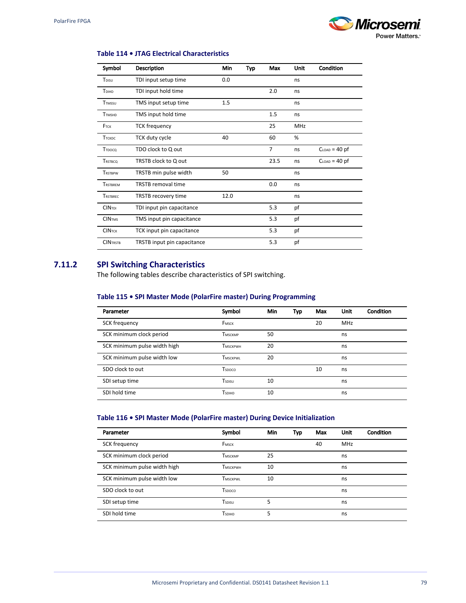

#### **Table 114 • JTAG Electrical Characteristics**

| Symbol            | <b>Description</b>          | Min  | <b>Typ</b> | Max            | Unit | Condition       |
|-------------------|-----------------------------|------|------------|----------------|------|-----------------|
| T <sub>DISU</sub> | TDI input setup time        | 0.0  |            |                | ns   |                 |
| TDIHD             | TDI input hold time         |      |            | 2.0            | ns   |                 |
| <b>TTMSSU</b>     | TMS input setup time        | 1.5  |            |                | ns   |                 |
| <b>TTMSHD</b>     | TMS input hold time         |      |            | 1.5            | ns   |                 |
| FTCK              | <b>TCK frequency</b>        |      |            | 25             | MHz  |                 |
| Ттскос            | TCK duty cycle              | 40   |            | 60             | %    |                 |
| TTDOCO            | TDO clock to Q out          |      |            | $\overline{7}$ | ns   | $CLOAD = 40$ pf |
| <b>TRSTBCQ</b>    | TRSTB clock to Q out        |      |            | 23.5           | ns   | $CLOAD = 40$ pf |
| <b>TRSTBPW</b>    | TRSTB min pulse width       | 50   |            |                | ns   |                 |
| <b>TRSTBREM</b>   | <b>TRSTB</b> removal time   |      |            | 0.0            | ns   |                 |
| <b>TRSTBREC</b>   | TRSTB recovery time         | 12.0 |            |                | ns   |                 |
| <b>CINTDI</b>     | TDI input pin capacitance   |      |            | 5.3            | pf   |                 |
| <b>CINTMS</b>     | TMS input pin capacitance   |      |            | 5.3            | pf   |                 |
| <b>CINTCK</b>     | TCK input pin capacitance   |      |            | 5.3            | pf   |                 |
| <b>CINTRSTB</b>   | TRSTB input pin capacitance |      |            | 5.3            | pf   |                 |

## **7.11.2 SPI Switching Characteristics**

The following tables describe characteristics of SPI switching.

#### **Table 115 • SPI Master Mode (PolarFire master) During Programming**

| Parameter                    | Symbol          | Min | Typ | Max | Unit       | Condition |
|------------------------------|-----------------|-----|-----|-----|------------|-----------|
| SCK frequency                | FMSCK           |     |     | 20  | <b>MHz</b> |           |
| SCK minimum clock period     | TMSCKMP         | 50  |     |     | ns         |           |
| SCK minimum pulse width high | <b>TMSCKPWH</b> | 20  |     |     | ns         |           |
| SCK minimum pulse width low  | <b>TMSCKPWL</b> | 20  |     |     | ns         |           |
| SDO clock to out             | Tspoco          |     |     | 10  | ns         |           |
| SDI setup time               | Tspisu          | 10  |     |     | ns         |           |
| SDI hold time                | <b>TSDIHD</b>   | 10  |     |     | ns         |           |

#### **Table 116 • SPI Master Mode (PolarFire master) During Device Initialization**

| Parameter                    | Symbol          | <b>Min</b> | Typ | Max | <b>Unit</b> | Condition |
|------------------------------|-----------------|------------|-----|-----|-------------|-----------|
| SCK frequency                | FMSCK           |            |     | 40  | MHz         |           |
| SCK minimum clock period     | <b>TMSCKMP</b>  | 25         |     |     | ns          |           |
| SCK minimum pulse width high | <b>TMSCKPWH</b> | 10         |     |     | ns          |           |
| SCK minimum pulse width low  | TMSCKPWI        | 10         |     |     | ns          |           |
| SDO clock to out             | Tspoco          |            |     |     | ns          |           |
| SDI setup time               | Tspisu          | 5          |     |     | ns          |           |
| SDI hold time                | <b>TSDIHD</b>   | 5          |     |     | ns          |           |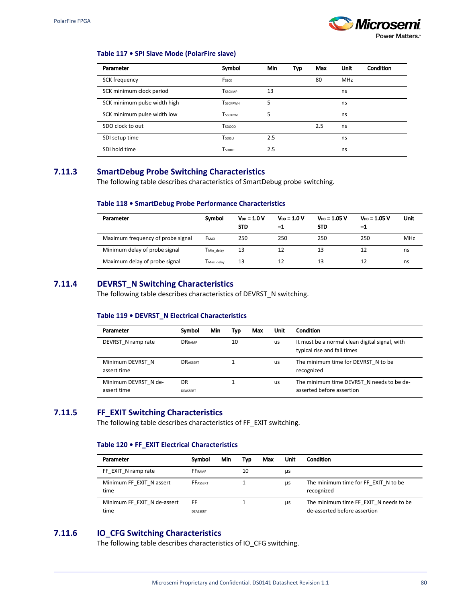

#### **Table 117 • SPI Slave Mode (PolarFire slave)**

| Parameter                    | Symbol          | <b>Min</b> | Typ | Max | Unit       | Condition |
|------------------------------|-----------------|------------|-----|-----|------------|-----------|
| SCK frequency                | FSSCK           |            |     | 80  | <b>MHz</b> |           |
| SCK minimum clock period     | <b>TSSCKMP</b>  | 13         |     |     | ns         |           |
| SCK minimum pulse width high | <b>TSSCKPWH</b> | 5          |     |     | ns         |           |
| SCK minimum pulse width low  | <b>TSSCKPWL</b> | 5          |     |     | ns         |           |
| SDO clock to out             | Tspoco          |            |     | 2.5 | ns         |           |
| SDI setup time               | Tspisu          | 2.5        |     |     | ns         |           |
| SDI hold time                | <b>TSDIHD</b>   | 2.5        |     |     | ns         |           |

## **7.11.3 SmartDebug Probe Switching Characteristics**

The following table describes characteristics of SmartDebug probe switching.

#### **Table 118 • SmartDebug Probe Performance Characteristics**

| Parameter                         | Symbol                 | $V_{DD} = 1.0 V$<br><b>STD</b> | $V_{DD} = 1.0 V$<br>-1 | $V_{DD} = 1.05 V$<br><b>STD</b> | $V_{DD} = 1.05 V$<br>-1 | Unit       |
|-----------------------------------|------------------------|--------------------------------|------------------------|---------------------------------|-------------------------|------------|
| Maximum frequency of probe signal | <b>F</b> MAX           | 250                            | 250                    | 250                             | 250                     | <b>MHz</b> |
| Minimum delay of probe signal     | TMin delay             | 13                             | 12                     | 13                              |                         | ns         |
| Maximum delay of probe signal     | T <sub>Max</sub> delay | 13                             | 12                     | 13                              |                         | ns         |

### **7.11.4 DEVRST\_N Switching Characteristics**

The following table describes characteristics of DEVRST\_N switching.

#### **Table 119 • DEVRST\_N Electrical Characteristics**

| Parameter                           | Symbol                | Min | Typ | Max | Unit      | <b>Condition</b>                                                              |
|-------------------------------------|-----------------------|-----|-----|-----|-----------|-------------------------------------------------------------------------------|
| DEVRST N ramp rate                  | <b>DRRAMP</b>         |     | 10  |     | us        | It must be a normal clean digital signal, with<br>typical rise and fall times |
| Minimum DEVRST N<br>assert time     | <b>DRASSERT</b>       |     |     |     | <b>US</b> | The minimum time for DEVRST N to be<br>recognized                             |
| Minimum DEVRST N de-<br>assert time | DR<br><b>DEASSERT</b> |     |     |     | <b>US</b> | The minimum time DEVRST N needs to be de-<br>asserted before assertion        |

## **7.11.5 FF\_EXIT Switching Characteristics**

The following table describes characteristics of FF\_EXIT switching.

#### **Table 120 • FF\_EXIT Electrical Characteristics**

| Parameter                           | Symbol          | <b>Min</b> | Typ | Max | Unit | <b>Condition</b>                                                       |
|-------------------------------------|-----------------|------------|-----|-----|------|------------------------------------------------------------------------|
| FF EXIT N ramp rate                 | <b>FFRAMP</b>   |            | 10  |     | μs   |                                                                        |
| Minimum FF EXIT N assert<br>time    | <b>FFASSERT</b> |            |     |     | μs   | The minimum time for FF EXIT N to be<br>recognized                     |
| Minimum FF EXIT N de-assert<br>time | FF<br>DEASSERT  |            |     |     | μs   | The minimum time FF EXIT N needs to be<br>de-asserted before assertion |

## **7.11.6 IO\_CFG Switching Characteristics**

The following table describes characteristics of IO\_CFG switching.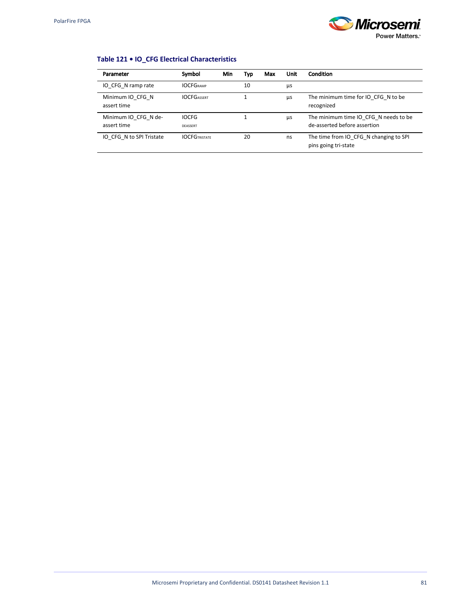

## **Table 121 • IO\_CFG Electrical Characteristics**

| Parameter                           | Symbol                   | Min | Typ | Max | Unit | <b>Condition</b>                                                      |
|-------------------------------------|--------------------------|-----|-----|-----|------|-----------------------------------------------------------------------|
| IO CFG N ramp rate                  | <b>IOCFGRAMP</b>         |     | 10  |     | μs   |                                                                       |
| Minimum IO CFG N<br>assert time     | <b>IOCFGASSERT</b>       |     |     |     | μs   | The minimum time for IO CFG N to be<br>recognized                     |
| Minimum IO CFG N de-<br>assert time | <b>IOCFG</b><br>DEASSERT |     |     |     | μs   | The minimum time IO CFG N needs to be<br>de-asserted before assertion |
| IO CFG N to SPI Tristate            | <b>IOCFGTRISTATF</b>     |     | 20  |     | ns   | The time from IO CFG N changing to SPI<br>pins going tri-state        |